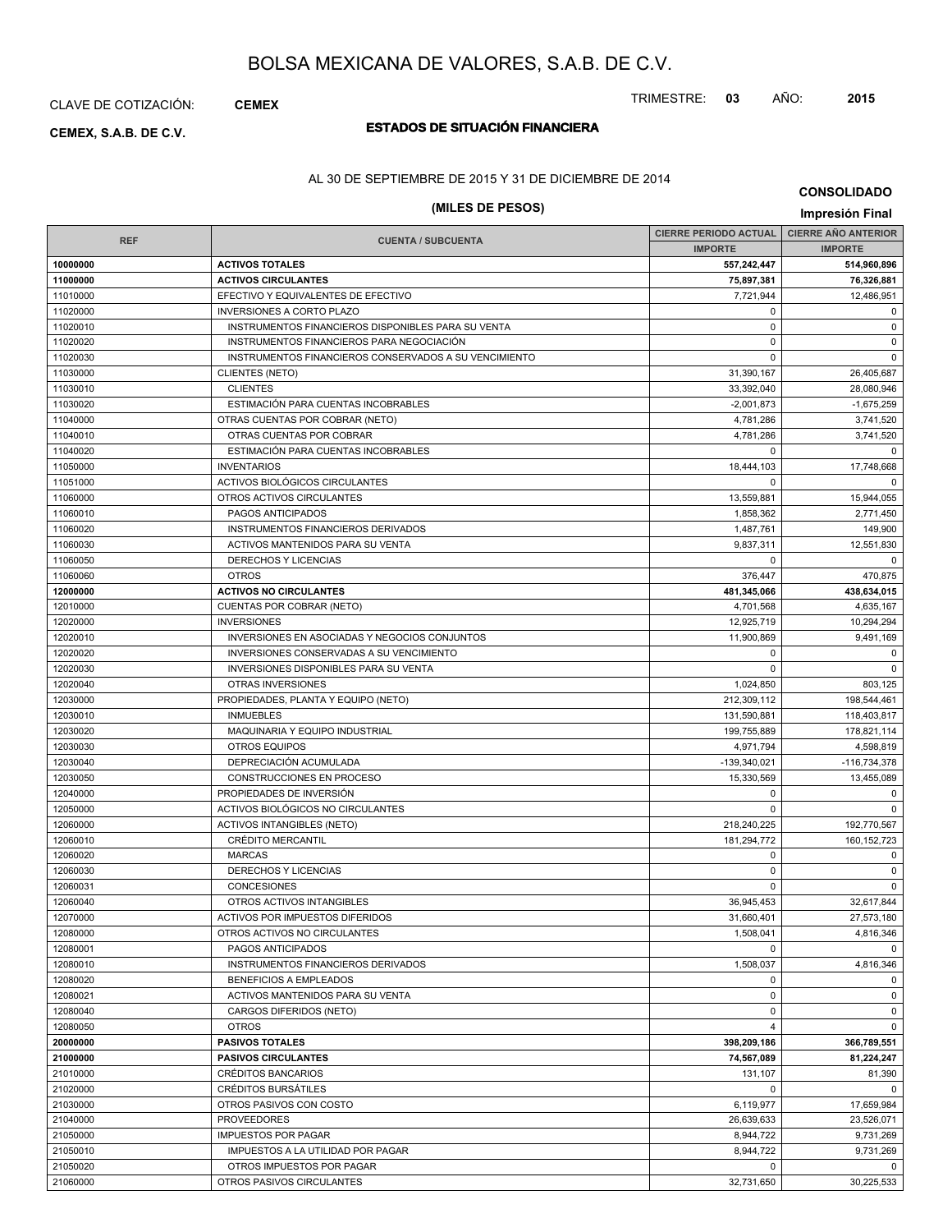# CLAVE DE COTIZACIÓN: **CEMEX**

# **ESTADOS DE SITUACIÓN FINANCIERA CEMEX, S.A.B. DE C.V.**

# TRIMESTRE: **03** AÑO: **2015**

AL 30 DE SEPTIEMBRE DE 2015 Y 31 DE DICIEMBRE DE 2014

# **(MILES DE PESOS) Impresión Final**

**CONSOLIDADO**

| <b>REF</b>           | <b>CUENTA / SUBCUENTA</b>                             | <b>CIERRE PERIODO ACTUAL</b> | <b>CIERRE AÑO ANTERIOR</b> |
|----------------------|-------------------------------------------------------|------------------------------|----------------------------|
|                      |                                                       | <b>IMPORTE</b>               | <b>IMPORTE</b>             |
| 10000000             | <b>ACTIVOS TOTALES</b>                                | 557,242,447                  | 514,960,896                |
| 11000000             | <b>ACTIVOS CIRCULANTES</b>                            | 75,897,381                   | 76,326,881                 |
| 11010000             | EFECTIVO Y EQUIVALENTES DE EFECTIVO                   | 7,721,944                    | 12,486,951                 |
| 11020000             | <b>INVERSIONES A CORTO PLAZO</b>                      | $\mathbf 0$                  | $\mathbf 0$                |
| 11020010             | INSTRUMENTOS FINANCIEROS DISPONIBLES PARA SU VENTA    | $\mathbf 0$                  | $\mathbf 0$                |
| 11020020             | INSTRUMENTOS FINANCIEROS PARA NEGOCIACIÓN             | $\mathbf 0$                  | $\pmb{0}$                  |
| 11020030             | INSTRUMENTOS FINANCIEROS CONSERVADOS A SU VENCIMIENTO | $\Omega$                     | $\mathbf 0$                |
| 11030000             | <b>CLIENTES (NETO)</b>                                | 31,390,167                   | 26,405,687                 |
| 11030010             | <b>CLIENTES</b>                                       | 33,392,040                   | 28,080,946                 |
| 11030020             | ESTIMACIÓN PARA CUENTAS INCOBRABLES                   | $-2,001,873$                 | $-1,675,259$               |
| 11040000             | OTRAS CUENTAS POR COBRAR (NETO)                       | 4,781,286                    | 3,741,520                  |
| 11040010             | OTRAS CUENTAS POR COBRAR                              | 4,781,286                    | 3,741,520                  |
| 11040020             | ESTIMACIÓN PARA CUENTAS INCOBRABLES                   | $\mathbf 0$                  | $\mathbf 0$                |
| 11050000             | <b>INVENTARIOS</b>                                    | 18,444,103                   | 17,748,668                 |
| 11051000             | ACTIVOS BIOLÓGICOS CIRCULANTES                        | $\mathbf 0$                  | $\Omega$                   |
| 11060000             | OTROS ACTIVOS CIRCULANTES                             | 13,559,881                   | 15,944,055                 |
| 11060010             | PAGOS ANTICIPADOS                                     | 1,858,362                    | 2,771,450                  |
| 11060020             | INSTRUMENTOS FINANCIEROS DERIVADOS                    | 1,487,761                    | 149,900                    |
| 11060030             | ACTIVOS MANTENIDOS PARA SU VENTA                      | 9,837,311                    | 12,551,830                 |
| 11060050             | DERECHOS Y LICENCIAS                                  | 0                            | $\mathbf 0$                |
| 11060060             | <b>OTROS</b>                                          | 376,447                      | 470,875                    |
| 12000000             | <b>ACTIVOS NO CIRCULANTES</b>                         | 481,345,066                  | 438,634,015                |
| 12010000             | <b>CUENTAS POR COBRAR (NETO)</b>                      | 4,701,568                    | 4,635,167                  |
| 12020000             | <b>INVERSIONES</b>                                    | 12,925,719                   | 10,294,294                 |
| 12020010             | INVERSIONES EN ASOCIADAS Y NEGOCIOS CONJUNTOS         | 11.900.869                   | 9,491,169                  |
| 12020020             | INVERSIONES CONSERVADAS A SU VENCIMIENTO              | $\mathbf 0$                  | $\mathbf 0$                |
| 12020030             | INVERSIONES DISPONIBLES PARA SU VENTA                 | $\Omega$                     | $\Omega$                   |
| 12020040             | OTRAS INVERSIONES                                     | 1,024,850                    | 803,125                    |
| 12030000             | PROPIEDADES, PLANTA Y EQUIPO (NETO)                   | 212,309,112                  | 198,544,461                |
| 12030010             | <b>INMUEBLES</b>                                      | 131,590,881                  | 118,403,817                |
| 12030020             | MAQUINARIA Y EQUIPO INDUSTRIAL                        | 199,755,889                  | 178,821,114                |
| 12030030             | <b>OTROS EQUIPOS</b>                                  | 4,971,794                    | 4,598,819                  |
| 12030040             | DEPRECIACIÓN ACUMULADA                                | $-139,340,021$               | $-116,734,378$             |
| 12030050             | CONSTRUCCIONES EN PROCESO                             | 15,330,569                   | 13,455,089                 |
| 12040000             | PROPIEDADES DE INVERSIÓN                              | 0                            | $\mathbf 0$                |
| 12050000             | ACTIVOS BIOLÓGICOS NO CIRCULANTES                     | $\Omega$                     | $\Omega$                   |
| 12060000             | <b>ACTIVOS INTANGIBLES (NETO)</b>                     | 218,240,225                  | 192,770,567                |
| 12060010             | <b>CRÉDITO MERCANTIL</b>                              | 181,294,772                  | 160, 152, 723              |
| 12060020             | <b>MARCAS</b>                                         | 0                            | 0                          |
| 12060030             | DERECHOS Y LICENCIAS                                  | $\mathbf 0$                  | $\mathbf 0$                |
| 12060031             | CONCESIONES                                           | $\Omega$                     | $\mathbf 0$                |
| 12060040             | OTROS ACTIVOS INTANGIBLES                             | 36,945,453                   | 32,617,844                 |
| 12070000             | ACTIVOS POR IMPUESTOS DIFERIDOS                       | 31,660,401                   | 27,573,180                 |
| 12080000             | OTROS ACTIVOS NO CIRCULANTES                          | 1,508,041                    | 4,816,346                  |
| 12080001             | PAGOS ANTICIPADOS                                     | $\Omega$                     | $\Omega$                   |
| 12080010             | INSTRUMENTOS FINANCIEROS DERIVADOS                    | 1,508,037                    | 4,816,346                  |
| 12080020             | BENEFICIOS A EMPLEADOS                                | 0                            | $\mathbf 0$                |
| 12080021             | ACTIVOS MANTENIDOS PARA SU VENTA                      | $\mathbf 0$                  | $\mathbf 0$                |
| 12080040             | CARGOS DIFERIDOS (NETO)                               | $\mathbf 0$                  | $\mathbf 0$                |
| 12080050             | <b>OTROS</b>                                          | 4                            | $\mathbf 0$                |
| 20000000             | <b>PASIVOS TOTALES</b>                                | 398,209,186                  | 366,789,551                |
| 21000000             | <b>PASIVOS CIRCULANTES</b>                            | 74.567.089                   | 81,224,247                 |
| 21010000             | CRÉDITOS BANCARIOS                                    | 131,107                      | 81,390                     |
| 21020000<br>21030000 | CRÉDITOS BURSÁTILES                                   | 0                            | $\Omega$                   |
|                      | OTROS PASIVOS CON COSTO                               | 6,119,977                    | 17,659,984                 |
| 21040000             | <b>PROVEEDORES</b>                                    | 26,639,633                   | 23,526,071                 |
| 21050000<br>21050010 | <b>IMPUESTOS POR PAGAR</b>                            | 8,944,722<br>8,944,722       | 9,731,269                  |
| 21050020             | IMPUESTOS A LA UTILIDAD POR PAGAR                     | 0                            | 9,731,269<br>$\mathbf 0$   |
|                      | OTROS IMPUESTOS POR PAGAR                             |                              |                            |
| 21060000             | OTROS PASIVOS CIRCULANTES                             | 32,731,650                   | 30,225,533                 |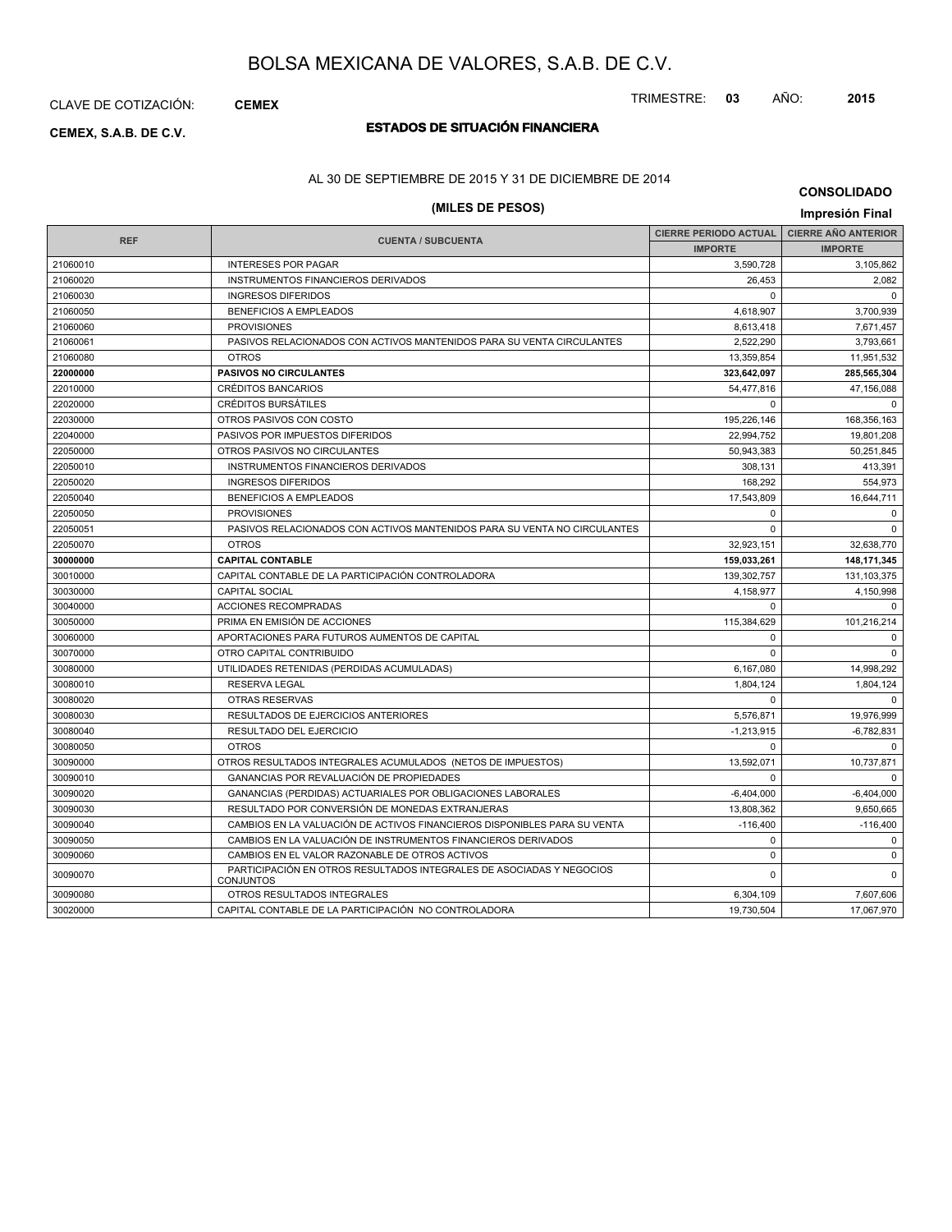CLAVE DE COTIZACIÓN: **CEMEX**

# **ESTADOS DE SITUACIÓN FINANCIERA CEMEX, S.A.B. DE C.V.**

## AL 30 DE SEPTIEMBRE DE 2015 Y 31 DE DICIEMBRE DE 2014

# **(MILES DE PESOS) Impresión Final**

**CONSOLIDADO**

|            |                                                                                   | <b>CIERRE PERIODO ACTUAL</b> | <b>CIERRE AÑO ANTERIOR</b> |
|------------|-----------------------------------------------------------------------------------|------------------------------|----------------------------|
| <b>REF</b> | <b>CUENTA / SUBCUENTA</b>                                                         | <b>IMPORTE</b>               | <b>IMPORTE</b>             |
| 21060010   | <b>INTERESES POR PAGAR</b>                                                        | 3,590,728                    | 3,105,862                  |
| 21060020   | INSTRUMENTOS FINANCIEROS DERIVADOS                                                | 26.453                       | 2,082                      |
| 21060030   | <b>INGRESOS DIFERIDOS</b>                                                         | $\Omega$                     | $\Omega$                   |
| 21060050   | <b>BENEFICIOS A EMPLEADOS</b>                                                     | 4,618,907                    | 3,700,939                  |
| 21060060   | <b>PROVISIONES</b>                                                                | 8,613,418                    | 7,671,457                  |
| 21060061   | PASIVOS RELACIONADOS CON ACTIVOS MANTENIDOS PARA SU VENTA CIRCULANTES             | 2,522,290                    | 3,793,661                  |
| 21060080   | <b>OTROS</b>                                                                      | 13,359,854                   | 11,951,532                 |
| 22000000   | <b>PASIVOS NO CIRCULANTES</b>                                                     | 323,642,097                  | 285,565,304                |
| 22010000   | <b>CRÉDITOS BANCARIOS</b>                                                         | 54,477,816                   | 47,156,088                 |
| 22020000   | <b>CRÉDITOS BURSÁTILES</b>                                                        | $\Omega$                     | 0                          |
| 22030000   | OTROS PASIVOS CON COSTO                                                           | 195,226,146                  | 168,356,163                |
| 22040000   | PASIVOS POR IMPUESTOS DIFERIDOS                                                   | 22,994,752                   | 19,801,208                 |
| 22050000   | OTROS PASIVOS NO CIRCULANTES                                                      | 50,943,383                   | 50,251,845                 |
| 22050010   | INSTRUMENTOS FINANCIEROS DERIVADOS                                                | 308.131                      | 413,391                    |
| 22050020   | <b>INGRESOS DIFERIDOS</b>                                                         | 168.292                      | 554,973                    |
| 22050040   | <b>BENEFICIOS A EMPLEADOS</b>                                                     | 17,543,809                   | 16,644,711                 |
| 22050050   | <b>PROVISIONES</b>                                                                | $\Omega$                     | $\Omega$                   |
| 22050051   | PASIVOS RELACIONADOS CON ACTIVOS MANTENIDOS PARA SU VENTA NO CIRCULANTES          | $\Omega$                     | $\Omega$                   |
| 22050070   | <b>OTROS</b>                                                                      | 32,923,151                   | 32,638,770                 |
| 30000000   | <b>CAPITAL CONTABLE</b>                                                           | 159,033,261                  | 148, 171, 345              |
| 30010000   | CAPITAL CONTABLE DE LA PARTICIPACIÓN CONTROLADORA                                 | 139,302,757                  | 131, 103, 375              |
| 30030000   | <b>CAPITAL SOCIAL</b>                                                             | 4,158,977                    | 4,150,998                  |
| 30040000   | <b>ACCIONES RECOMPRADAS</b>                                                       | $\Omega$                     | $\Omega$                   |
| 30050000   | PRIMA EN EMISIÓN DE ACCIONES                                                      | 115,384,629                  | 101,216,214                |
| 30060000   | APORTACIONES PARA FUTUROS AUMENTOS DE CAPITAL                                     | $\mathbf 0$                  | $\mathbf 0$                |
| 30070000   | OTRO CAPITAL CONTRIBUIDO                                                          | $\Omega$                     | $\Omega$                   |
| 30080000   | UTILIDADES RETENIDAS (PERDIDAS ACUMULADAS)                                        | 6,167,080                    | 14,998,292                 |
| 30080010   | <b>RESERVA LEGAL</b>                                                              | 1.804.124                    | 1,804,124                  |
| 30080020   | <b>OTRAS RESERVAS</b>                                                             | $\Omega$                     | $\Omega$                   |
| 30080030   | <b>RESULTADOS DE EJERCICIOS ANTERIORES</b>                                        | 5,576,871                    | 19,976,999                 |
| 30080040   | <b>RESULTADO DEL EJERCICIO</b>                                                    | $-1,213,915$                 | $-6,782,831$               |
| 30080050   | <b>OTROS</b>                                                                      | $\Omega$                     | $\Omega$                   |
| 30090000   | OTROS RESULTADOS INTEGRALES ACUMULADOS (NETOS DE IMPUESTOS)                       | 13,592,071                   | 10,737,871                 |
| 30090010   | GANANCIAS POR REVALUACIÓN DE PROPIEDADES                                          | $\Omega$                     | $\Omega$                   |
| 30090020   | GANANCIAS (PERDIDAS) ACTUARIALES POR OBLIGACIONES LABORALES                       | $-6,404,000$                 | $-6,404,000$               |
| 30090030   | RESULTADO POR CONVERSIÓN DE MONEDAS EXTRANJERAS                                   | 13,808,362                   | 9,650,665                  |
| 30090040   | CAMBIOS EN LA VALUACIÓN DE ACTIVOS FINANCIEROS DISPONIBLES PARA SU VENTA          | $-116,400$                   | $-116,400$                 |
| 30090050   | CAMBIOS EN LA VALUACIÓN DE INSTRUMENTOS FINANCIEROS DERIVADOS                     | $\mathbf 0$                  | $\mathbf 0$                |
| 30090060   | CAMBIOS EN EL VALOR RAZONABLE DE OTROS ACTIVOS                                    | $\mathbf 0$                  | $\mathbf 0$                |
| 30090070   | PARTICIPACIÓN EN OTROS RESULTADOS INTEGRALES DE ASOCIADAS Y NEGOCIOS<br>CONJUNTOS | $\mathbf 0$                  | $\Omega$                   |
| 30090080   | OTROS RESULTADOS INTEGRALES                                                       | 6,304,109                    | 7,607,606                  |
| 30020000   | CAPITAL CONTABLE DE LA PARTICIPACIÓN NO CONTROLADORA                              | 19,730,504                   | 17,067,970                 |

TRIMESTRE: **03** AÑO: **2015**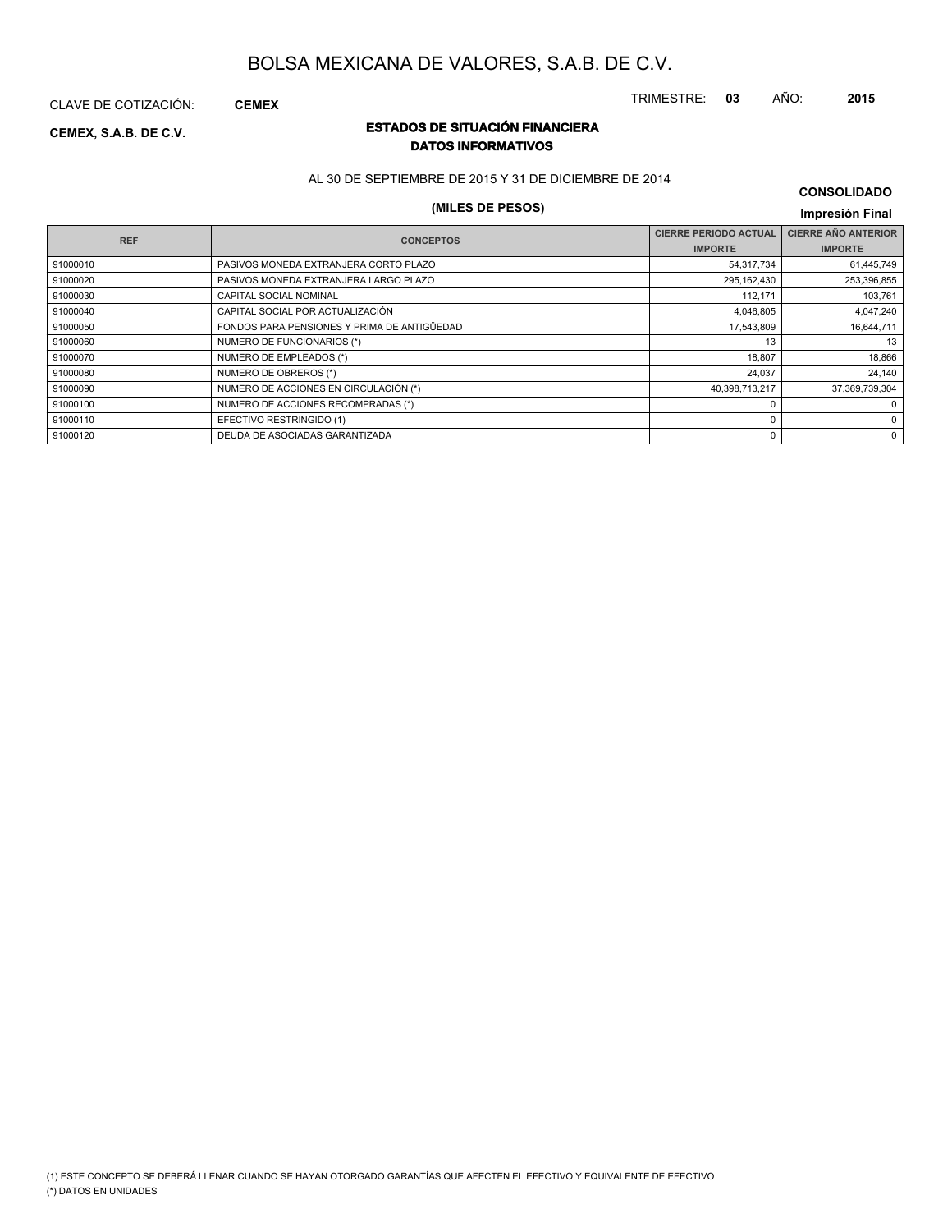TRIMESTRE: **03** AÑO: **2015**

CLAVE DE COTIZACIÓN: **CEMEX**

# **ESTADOS DE SITUACIÓN FINANCIERA CEMEX, S.A.B. DE C.V. DATOS INFORMATIVOS**

AL 30 DE SEPTIEMBRE DE 2015 Y 31 DE DICIEMBRE DE 2014

# **(MILES DE PESOS) Impresión Final**

# **CONSOLIDADO**

|                                             | <b>CIERRE PERIODO ACTUAL</b> | <b>CIERRE AÑO ANTERIOR</b> |
|---------------------------------------------|------------------------------|----------------------------|
|                                             | <b>IMPORTE</b>               | <b>IMPORTE</b>             |
| PASIVOS MONEDA EXTRANJERA CORTO PLAZO       | 54,317,734                   | 61,445,749                 |
| PASIVOS MONEDA EXTRANJERA LARGO PLAZO       | 295,162,430                  | 253,396,855                |
| CAPITAL SOCIAL NOMINAL                      | 112,171                      | 103,761                    |
| CAPITAL SOCIAL POR ACTUALIZACIÓN            | 4,046,805                    | 4,047,240                  |
| FONDOS PARA PENSIONES Y PRIMA DE ANTIGÜEDAD | 17,543,809                   | 16,644,711                 |
| NUMERO DE FUNCIONARIOS (*)                  | 13                           | 13                         |
| NUMERO DE EMPLEADOS (*)                     | 18,807                       | 18,866                     |
| NUMERO DE OBREROS (*)                       | 24,037                       | 24,140                     |
| NUMERO DE ACCIONES EN CIRCULACIÓN (*)       | 40.398.713.217               | 37,369,739,304             |
| NUMERO DE ACCIONES RECOMPRADAS (*)          |                              | 0                          |
| EFECTIVO RESTRINGIDO (1)                    |                              | 0                          |
| DEUDA DE ASOCIADAS GARANTIZADA              |                              | 0                          |
|                                             | <b>CONCEPTOS</b>             |                            |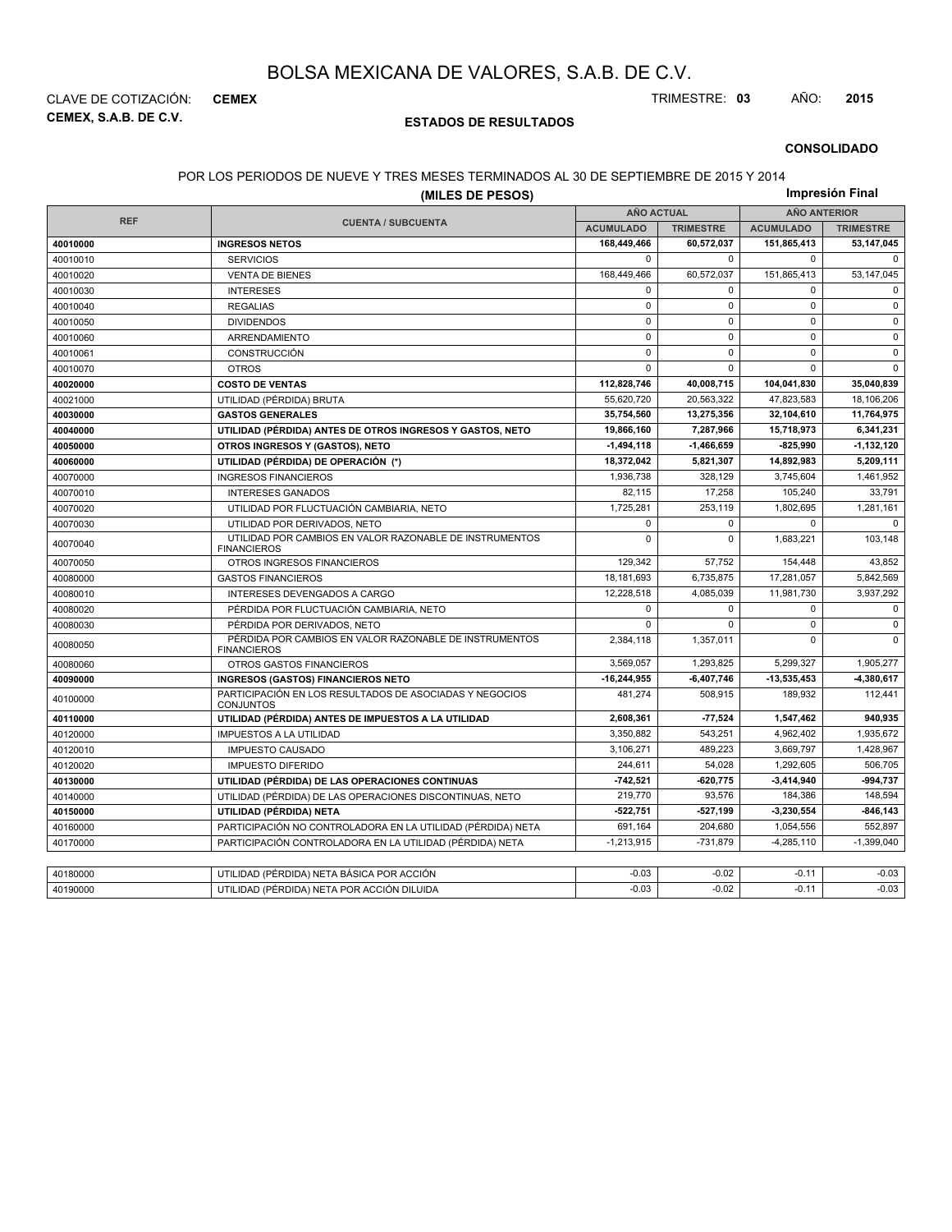**CEMEX, S.A.B. DE C.V.** CLAVE DE COTIZACIÓN: **CEMEX** TRIMESTRE: **03** AÑO: **2015**

### **ESTADOS DE RESULTADOS**

#### **CONSOLIDADO**

#### POR LOS PERIODOS DE NUEVE Y TRES MESES TERMINADOS AL 30 DE SEPTIEMBRE DE 2015 Y 2014

|            | (MILES DE PESOS)                                                              |                                          |                  |                  | Impresión Final  |
|------------|-------------------------------------------------------------------------------|------------------------------------------|------------------|------------------|------------------|
|            |                                                                               | <b>AÑO ACTUAL</b><br><b>AÑO ANTERIOR</b> |                  |                  |                  |
| <b>REF</b> | <b>CUENTA / SUBCUENTA</b>                                                     | <b>ACUMULADO</b>                         | <b>TRIMESTRE</b> | <b>ACUMULADO</b> | <b>TRIMESTRE</b> |
| 40010000   | <b>INGRESOS NETOS</b>                                                         | 168,449,466                              | 60,572,037       | 151,865,413      | 53,147,045       |
| 40010010   | <b>SERVICIOS</b>                                                              | $\Omega$                                 | $\Omega$         | $\mathbf 0$      | $\Omega$         |
| 40010020   | <b>VENTA DE BIENES</b>                                                        | 168,449,466                              | 60,572,037       | 151,865,413      | 53,147,045       |
| 40010030   | <b>INTERESES</b>                                                              | $\mathbf 0$                              | $\Omega$         | $\mathbf 0$      | $\mathbf 0$      |
| 40010040   | <b>REGALIAS</b>                                                               | $\mathsf 0$                              | $\mathbf 0$      | $\mathsf 0$      | $\mathbf 0$      |
| 40010050   | <b>DIVIDENDOS</b>                                                             | $\mathsf 0$                              | $\mathbf 0$      | $\pmb{0}$        | $\mathbf 0$      |
| 40010060   | ARRENDAMIENTO                                                                 | $\mathsf 0$                              | $\mathbf 0$      | $\mathbf 0$      | $\mathbf 0$      |
| 40010061   | CONSTRUCCIÓN                                                                  | $\mathbf 0$                              | $\mathbf 0$      | $\mathbf 0$      | $\mathsf 0$      |
| 40010070   | <b>OTROS</b>                                                                  | $\mathbf 0$                              | $\mathbf 0$      | $\mathbf 0$      | $\mathbf 0$      |
| 40020000   | <b>COSTO DE VENTAS</b>                                                        | 112,828,746                              | 40,008,715       | 104,041,830      | 35,040,839       |
| 40021000   | UTILIDAD (PÉRDIDA) BRUTA                                                      | 55,620,720                               | 20,563,322       | 47,823,583       | 18.106.206       |
| 40030000   | <b>GASTOS GENERALES</b>                                                       | 35,754,560                               | 13,275,356       | 32,104,610       | 11,764,975       |
| 40040000   | UTILIDAD (PÉRDIDA) ANTES DE OTROS INGRESOS Y GASTOS, NETO                     | 19,866,160                               | 7,287,966        | 15,718,973       | 6,341,231        |
| 40050000   | OTROS INGRESOS Y (GASTOS), NETO                                               | $-1,494,118$                             | $-1,466,659$     | $-825,990$       | 1,132,120        |
| 40060000   | UTILIDAD (PÉRDIDA) DE OPERACIÓN (*)                                           | 18,372,042                               | 5,821,307        | 14,892,983       | 5,209,111        |
| 40070000   | <b>INGRESOS FINANCIEROS</b>                                                   | 1,936,738                                | 328,129          | 3,745,604        | 1,461,952        |
| 40070010   | <b>INTERESES GANADOS</b>                                                      | 82,115                                   | 17,258           | 105,240          | 33,791           |
| 40070020   | UTILIDAD POR FLUCTUACIÓN CAMBIARIA, NETO                                      | 1,725,281                                | 253,119          | 1,802,695        | 1,281,161        |
| 40070030   | UTILIDAD POR DERIVADOS, NETO                                                  | $\pmb{0}$                                | $\mathbf 0$      | $\mathbf 0$      | $\mathbf 0$      |
| 40070040   | UTILIDAD POR CAMBIOS EN VALOR RAZONABLE DE INSTRUMENTOS<br><b>FINANCIEROS</b> | $\mathbf 0$                              | $\Omega$         | 1,683,221        | 103,148          |
| 40070050   | OTROS INGRESOS FINANCIEROS                                                    | 129,342                                  | 57,752           | 154,448          | 43,852           |
| 40080000   | <b>GASTOS FINANCIEROS</b>                                                     | 18,181,693                               | 6,735,875        | 17,281,057       | 5,842,569        |
| 40080010   | INTERESES DEVENGADOS A CARGO                                                  | 12,228,518                               | 4,085,039        | 11,981,730       | 3,937,292        |
| 40080020   | PÉRDIDA POR FLUCTUACIÓN CAMBIARIA, NETO                                       | $\mathbf 0$                              | $\mathbf 0$      | $\mathbf 0$      | $\mathsf 0$      |
| 40080030   | PÉRDIDA POR DERIVADOS, NETO                                                   | $\Omega$                                 | $\Omega$         | $\mathbf 0$      | $\mathbf 0$      |
| 40080050   | PÉRDIDA POR CAMBIOS EN VALOR RAZONABLE DE INSTRUMENTOS<br><b>FINANCIEROS</b>  | 2,384,118                                | 1,357,011        | $\mathbf 0$      | $\mathbf 0$      |
| 40080060   | OTROS GASTOS FINANCIEROS                                                      | 3,569,057                                | 1,293,825        | 5,299,327        | 1,905,277        |
| 40090000   | <b>INGRESOS (GASTOS) FINANCIEROS NETO</b>                                     | -16,244,955                              | $-6,407,746$     | $-13,535,453$    | -4,380,617       |
| 40100000   | PARTICIPACIÓN EN LOS RESULTADOS DE ASOCIADAS Y NEGOCIOS<br><b>CONJUNTOS</b>   | 481,274                                  | 508,915          | 189,932          | 112,441          |
| 40110000   | UTILIDAD (PÉRDIDA) ANTES DE IMPUESTOS A LA UTILIDAD                           | 2,608,361                                | $-77,524$        | 1,547,462        | 940.935          |
| 40120000   | <b>IMPUESTOS A LA UTILIDAD</b>                                                | 3,350,882                                | 543,251          | 4,962,402        | 1,935,672        |
| 40120010   | <b>IMPUESTO CAUSADO</b>                                                       | 3,106,271                                | 489,223          | 3,669,797        | 1,428,967        |
| 40120020   | <b>IMPUESTO DIFERIDO</b>                                                      | 244,611                                  | 54,028           | 1,292,605        | 506,705          |
| 40130000   | UTILIDAD (PÉRDIDA) DE LAS OPERACIONES CONTINUAS                               | $-742,521$                               | $-620,775$       | $-3,414,940$     | -994,737         |
| 40140000   | UTILIDAD (PÉRDIDA) DE LAS OPERACIONES DISCONTINUAS, NETO                      | 219,770                                  | 93.576           | 184,386          | 148,594          |
| 40150000   | UTILIDAD (PÉRDIDA) NETA                                                       | $-522,751$                               | $-527,199$       | -3,230,554       | -846,143         |
| 40160000   | PARTICIPACIÓN NO CONTROLADORA EN LA UTILIDAD (PÉRDIDA) NETA                   | 691,164                                  | 204.680          | 1,054,556        | 552,897          |
| 40170000   | PARTICIPACIÓN CONTROLADORA EN LA UTILIDAD (PÉRDIDA) NETA                      | $-1,213,915$                             | $-731,879$       | $-4,285,110$     | $-1,399,040$     |
|            |                                                                               |                                          |                  |                  |                  |
| 40180000   | UTILIDAD (PÉRDIDA) NETA BÁSICA POR ACCIÓN                                     | $-0.03$                                  | $-0.02$          | $-0.11$          | $-0.03$          |
| 40190000   | UTILIDAD (PÉRDIDA) NETA POR ACCIÓN DILUIDA                                    | $-0.03$                                  | $-0.02$          | $-0.11$          | $-0.03$          |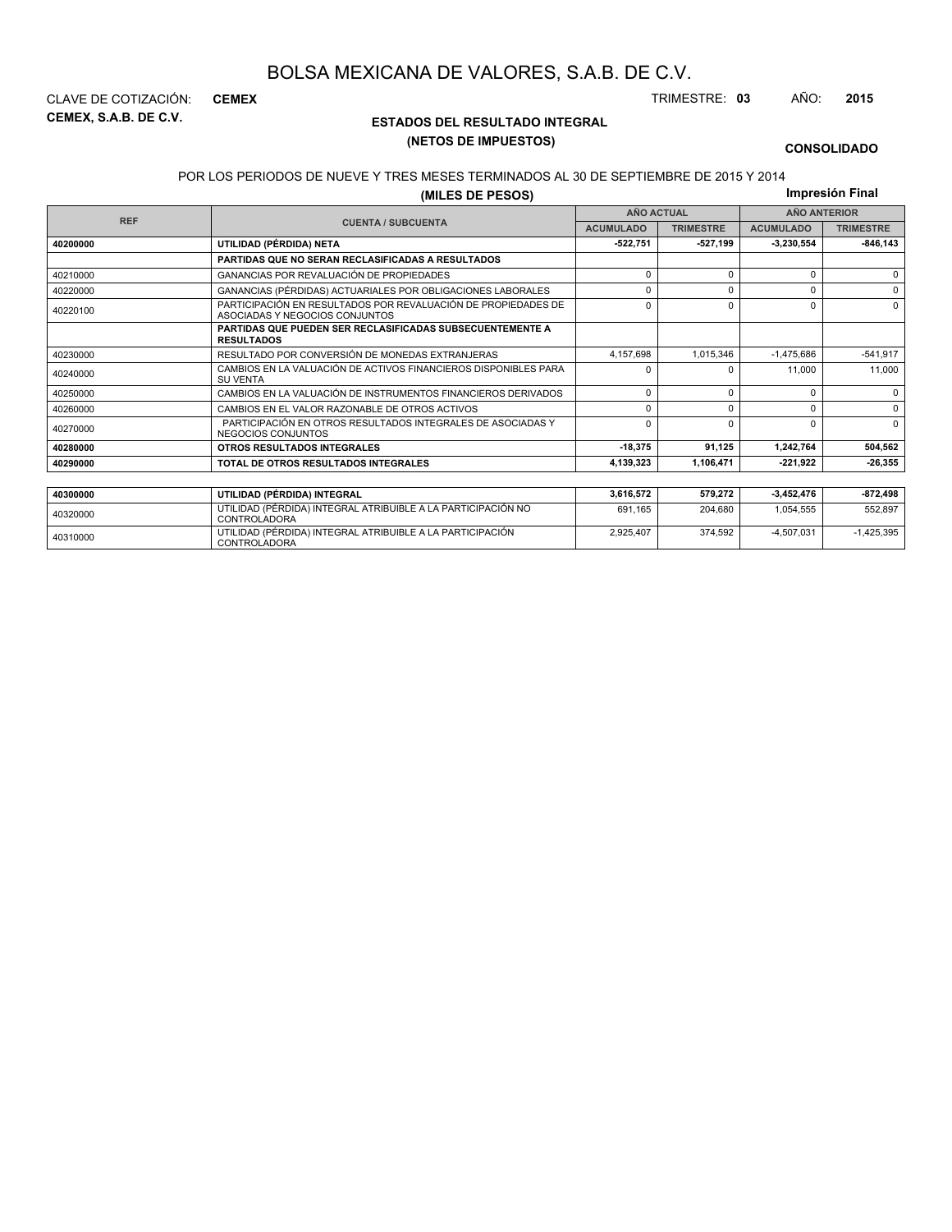**CEMEX, S.A.B. DE C.V.** CLAVE DE COTIZACIÓN: **CEMEX** TRIMESTRE: **03** AÑO: **2015**

### **ESTADOS DEL RESULTADO INTEGRAL (NETOS DE IMPUESTOS)**

2,925,407 374,592 -4,507,031 -1,425,395

#### **CONSOLIDADO**

#### POR LOS PERIODOS DE NUEVE Y TRES MESES TERMINADOS AL 30 DE SEPTIEMBRE DE 2015 Y 2014

**(MILES DE PESOS)**

**Impresión Final**

| <b>REF</b> |                                                                                                 |                  | <b>AÑO ACTUAL</b> |                  | <b>AÑO ANTERIOR</b> |
|------------|-------------------------------------------------------------------------------------------------|------------------|-------------------|------------------|---------------------|
|            | <b>CUENTA / SUBCUENTA</b>                                                                       | <b>ACUMULADO</b> | <b>TRIMESTRE</b>  | <b>ACUMULADO</b> | <b>TRIMESTRE</b>    |
| 40200000   | UTILIDAD (PÉRDIDA) NETA                                                                         | $-522,751$       | $-527,199$        | -3,230,554       | $-846, 143$         |
|            | PARTIDAS QUE NO SERAN RECLASIFICADAS A RESULTADOS                                               |                  |                   |                  |                     |
| 40210000   | GANANCIAS POR REVALUACIÓN DE PROPIEDADES                                                        | $\Omega$         |                   | 0                | $\Omega$            |
| 40220000   | GANANCIAS (PÉRDIDAS) ACTUARIALES POR OBLIGACIONES LABORALES                                     | $\Omega$         | $\Omega$          | 0                | $\Omega$            |
| 40220100   | PARTICIPACIÓN EN RESULTADOS POR REVALUACIÓN DE PROPIEDADES DE<br>ASOCIADAS Y NEGOCIOS CONJUNTOS | $\Omega$         | n                 | $\Omega$         | $\Omega$            |
|            | <b>PARTIDAS QUE PUEDEN SER RECLASIFICADAS SUBSECUENTEMENTE A</b><br><b>RESULTADOS</b>           |                  |                   |                  |                     |
| 40230000   | RESULTADO POR CONVERSIÓN DE MONEDAS EXTRANJERAS                                                 | 4,157,698        | 1,015,346         | $-1,475,686$     | $-541,917$          |
| 40240000   | CAMBIOS EN LA VALUACIÓN DE ACTIVOS FINANCIEROS DISPONIBLES PARA<br><b>SU VENTA</b>              | $\Omega$         |                   | 11,000           | 11,000              |
| 40250000   | CAMBIOS EN LA VALUACIÓN DE INSTRUMENTOS FINANCIEROS DERIVADOS                                   | $\Omega$         | $\Omega$          | 0                | $\Omega$            |
| 40260000   | CAMBIOS EN EL VALOR RAZONABLE DE OTROS ACTIVOS                                                  | $\Omega$         | $\Omega$          | $\Omega$         | $\Omega$            |
| 40270000   | PARTICIPACIÓN EN OTROS RESULTADOS INTEGRALES DE ASOCIADAS Y<br>NEGOCIOS CONJUNTOS               | $\Omega$         | $\Omega$          | $\Omega$         | $\Omega$            |
| 40280000   | OTROS RESULTADOS INTEGRALES                                                                     | $-18,375$        | 91,125            | 1,242,764        | 504,562             |
| 40290000   | TOTAL DE OTROS RESULTADOS INTEGRALES                                                            | 4,139,323        | 1,106,471         | -221,922         | $-26,355$           |
|            |                                                                                                 |                  |                   |                  |                     |
| 40300000   | UTILIDAD (PÉRDIDA) INTEGRAL                                                                     | 3,616,572        | 579,272           | -3,452,476       | -872,498            |
| 40320000   | UTILIDAD (PÉRDIDA) INTEGRAL ATRIBUIBLE A LA PARTICIPACIÓN NO<br><b>CONTROLADORA</b>             | 691.165          | 204,680           | 1,054,555        | 552,897             |

<sup>40310000</sup> UTILIDAD (PÉRDIDA) INTEGRAL ATRIBUIBLE A LA PARTICIPACIÓN CONTROLADORA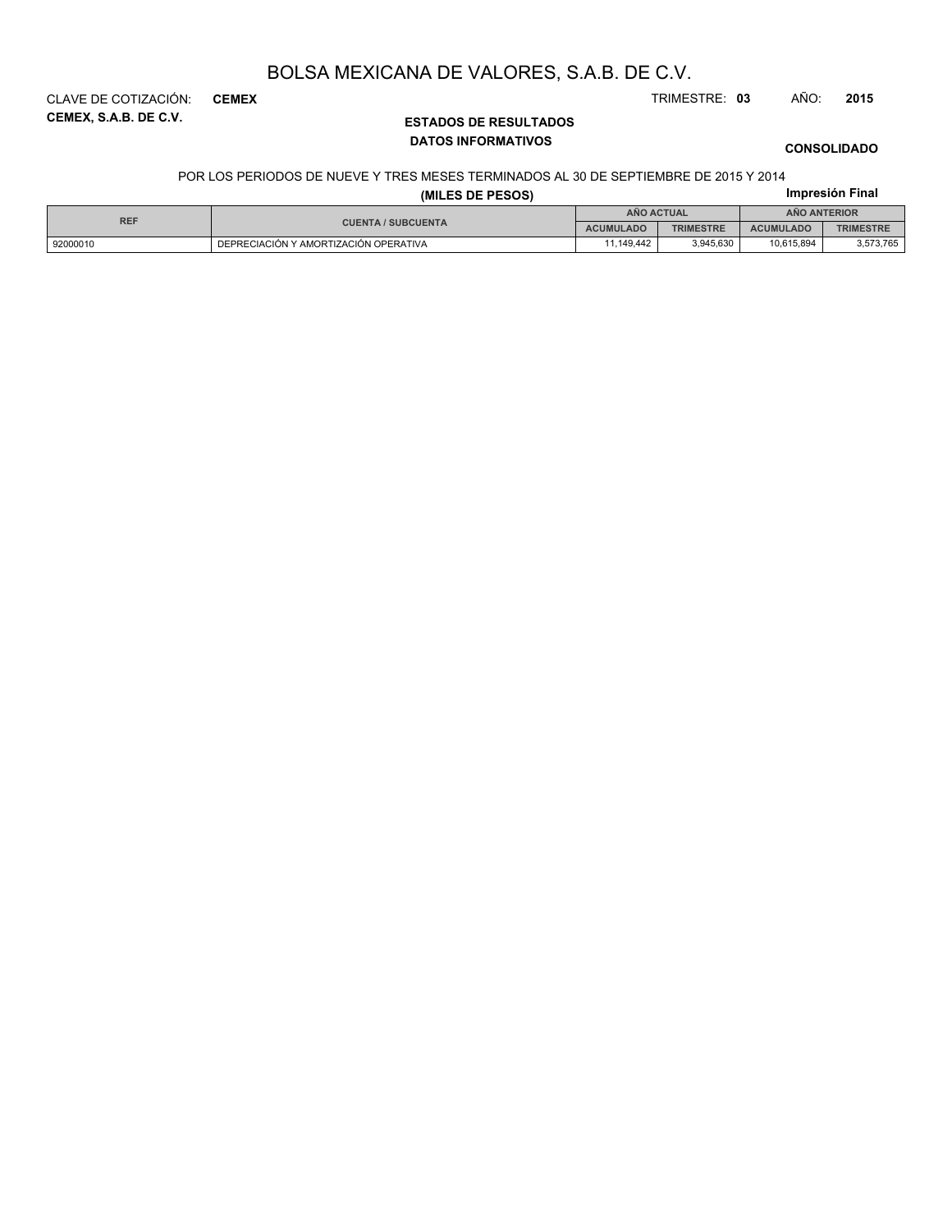**CEMEX, S.A.B. DE C.V.** CLAVE DE COTIZACIÓN: **CEMEX** TRIMESTRE: **03** AÑO: **2015**

# **ESTADOS DE RESULTADOS DATOS INFORMATIVOS**

**CONSOLIDADO**

**Impresión Final**

#### POR LOS PERIODOS DE NUEVE Y TRES MESES TERMINADOS AL 30 DE SEPTIEMBRE DE 2015 Y 2014

| (MILES DE PESOS) |  |  |  |
|------------------|--|--|--|
|                  |  |  |  |

| <b>REF</b> | <b>ANO ACTUAL</b>                     |                  |                  | <b>ANO ANTERIOR</b> |                  |
|------------|---------------------------------------|------------------|------------------|---------------------|------------------|
|            | <b>CUENTA / SUBCUENTA</b>             | <b>ACUMULADO</b> | <b>TRIMESTRE</b> | <b>ACUMULADO</b>    | <b>TRIMESTRE</b> |
| 92000010   | DEPRECIACIÓN Y AMORTIZACIÓN OPERATIVA | 1.149.442        | 3.945.630        | 10.615.894          | 3,573,765        |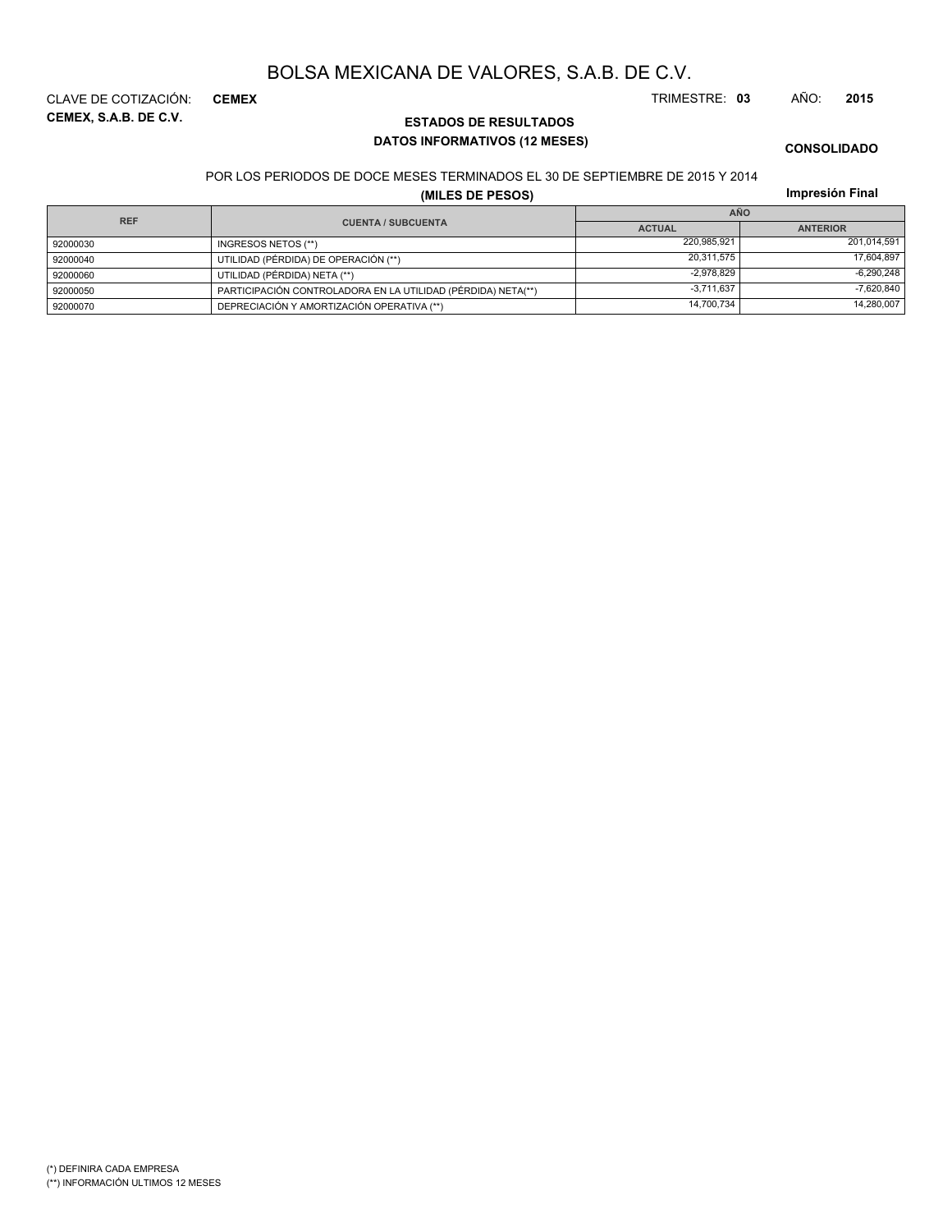**CEMEX, S.A.B. DE C.V.** CLAVE DE COTIZACIÓN: **CEMEX** TRIMESTRE: **03** AÑO: **2015**

**CONSOLIDADO**

POR LOS PERIODOS DE DOCE MESES TERMINADOS EL 30 DE SEPTIEMBRE DE 2015 Y 2014

**DATOS INFORMATIVOS (12 MESES)**

**ESTADOS DE RESULTADOS**

### **(MILES DE PESOS)**

**Impresión Final**

| <b>REF</b> |                                                              | <b>AÑO</b>    |                 |  |  |
|------------|--------------------------------------------------------------|---------------|-----------------|--|--|
|            | <b>CUENTA / SUBCUENTA</b>                                    | <b>ACTUAL</b> | <b>ANTERIOR</b> |  |  |
| 92000030   | INGRESOS NETOS (**)                                          | 220,985,921   | 201.014.591     |  |  |
| 92000040   | UTILIDAD (PÉRDIDA) DE OPERACIÓN (**)                         | 20.311.575    | 17,604,897      |  |  |
| 92000060   | UTILIDAD (PÉRDIDA) NETA (**)                                 | $-2.978.829$  | $-6,290,248$    |  |  |
| 92000050   | PARTICIPACIÓN CONTROLADORA EN LA UTILIDAD (PÉRDIDA) NETA(**) | $-3.711.637$  | $-7.620.840$    |  |  |
| 92000070   | DEPRECIACIÓN Y AMORTIZACIÓN OPERATIVA (**)                   | 14,700,734    | 14,280,007      |  |  |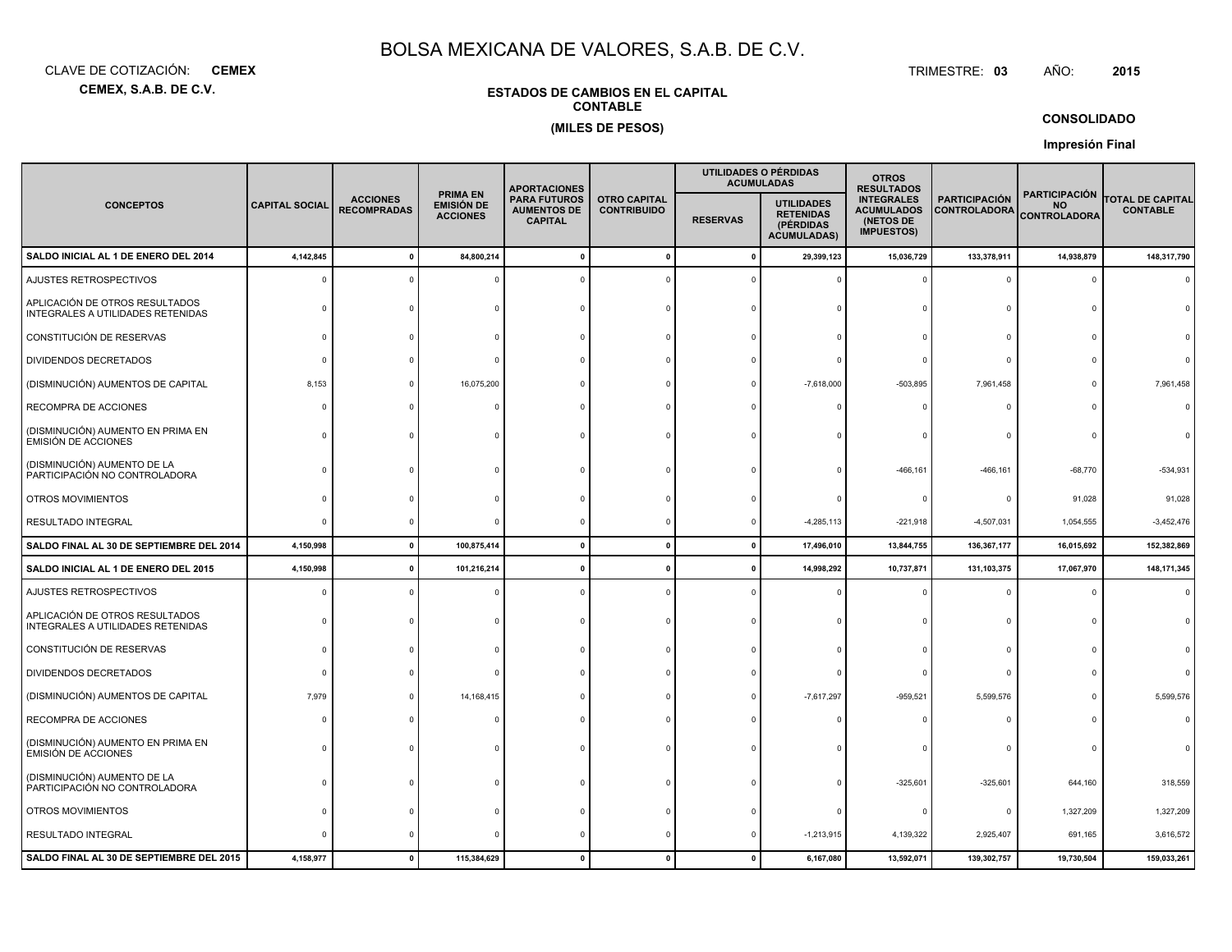**CEMEX, S.A.B. DE C.V.**CLAVE DE COTIZACIÓN:**CEMEX**: **CEMEX** TRIMESTRE:

### **ESTADOS DE CAMBIOS EN EL CAPITALCONTABLE(MILES DE PESOS)**

TRIMESTRE: 03 AÑO: **<sup>2015</sup>**

#### **CONSOLIDADO**

**Impresión Final**

|                                                                     |                       |                                       |                                                  | <b>APORTACIONES</b>                                         |                                           |                 | UTILIDADES O PÉRDIDAS<br><b>ACUMULADAS</b>                               | <b>OTROS</b><br><b>RESULTADOS</b>                                        |                                             |                                                          |                                            |
|---------------------------------------------------------------------|-----------------------|---------------------------------------|--------------------------------------------------|-------------------------------------------------------------|-------------------------------------------|-----------------|--------------------------------------------------------------------------|--------------------------------------------------------------------------|---------------------------------------------|----------------------------------------------------------|--------------------------------------------|
| <b>CONCEPTOS</b>                                                    | <b>CAPITAL SOCIAL</b> | <b>ACCIONES</b><br><b>RECOMPRADAS</b> | <b>PRIMA EN</b><br>EMISIÓN DE<br><b>ACCIONES</b> | <b>PARA FUTUROS</b><br><b>AUMENTOS DE</b><br><b>CAPITAL</b> | <b>OTRO CAPITAL</b><br><b>CONTRIBUIDO</b> | <b>RESERVAS</b> | <b>UTILIDADES</b><br><b>RETENIDAS</b><br>(PÉRDIDAS<br><b>ACUMULADAS)</b> | <b>INTEGRALES</b><br><b>ACUMULADOS</b><br>(NETOS DE<br><b>IMPUESTOS)</b> | <b>PARTICIPACIÓN</b><br><b>CONTROLADORA</b> | <b>PARTICIPACIÓN</b><br><b>NO</b><br><b>CONTROLADORA</b> | <b>TOTAL DE CAPITAL</b><br><b>CONTABLE</b> |
| SALDO INICIAL AL 1 DE ENERO DEL 2014                                | 4,142,845             |                                       | 84,800,214                                       |                                                             | $\mathbf 0$                               | $\mathbf{0}$    | 29,399,123                                                               | 15,036,729                                                               | 133,378,911                                 | 14,938,879                                               | 148,317,790                                |
| AJUSTES RETROSPECTIVOS                                              |                       |                                       |                                                  |                                                             |                                           |                 |                                                                          |                                                                          | $\Omega$                                    | $\Omega$                                                 |                                            |
| APLICACIÓN DE OTROS RESULTADOS<br>INTEGRALES A UTILIDADES RETENIDAS |                       |                                       |                                                  |                                                             |                                           |                 |                                                                          |                                                                          | $\Omega$                                    |                                                          |                                            |
| CONSTITUCIÓN DE RESERVAS                                            | n                     |                                       |                                                  |                                                             |                                           |                 |                                                                          |                                                                          | $\Omega$                                    |                                                          |                                            |
| DIVIDENDOS DECRETADOS                                               |                       |                                       |                                                  |                                                             |                                           |                 |                                                                          |                                                                          | $\Omega$                                    |                                                          |                                            |
| (DISMINUCIÓN) AUMENTOS DE CAPITAL                                   | 8,153                 |                                       | 16,075,200                                       |                                                             |                                           |                 | $-7,618,000$                                                             | $-503,895$                                                               | 7,961,458                                   | $\Omega$                                                 | 7,961,458                                  |
| RECOMPRA DE ACCIONES                                                |                       |                                       |                                                  |                                                             |                                           |                 |                                                                          |                                                                          | $\Omega$                                    |                                                          |                                            |
| (DISMINUCIÓN) AUMENTO EN PRIMA EN<br><b>EMISIÓN DE ACCIONES</b>     |                       |                                       |                                                  |                                                             |                                           |                 |                                                                          |                                                                          | $\Omega$                                    |                                                          |                                            |
| (DISMINUCIÓN) AUMENTO DE LA<br>PARTICIPACIÓN NO CONTROLADORA        |                       |                                       |                                                  |                                                             |                                           |                 |                                                                          | $-466, 161$                                                              | $-466, 161$                                 | $-68,770$                                                | $-534,931$                                 |
| OTROS MOVIMIENTOS                                                   |                       |                                       |                                                  |                                                             |                                           |                 |                                                                          |                                                                          | 0                                           | 91,028                                                   | 91,028                                     |
| RESULTADO INTEGRAL                                                  |                       |                                       |                                                  |                                                             |                                           |                 | $-4,285,113$                                                             | $-221,918$                                                               | $-4,507,031$                                | 1,054,555                                                | $-3,452,476$                               |
| SALDO FINAL AL 30 DE SEPTIEMBRE DEL 2014                            | 4,150,998             | $\mathbf{0}$                          | 100,875,414                                      | 0                                                           | $\mathbf{0}$                              | $\mathbf 0$     | 17,496,010                                                               | 13,844,755                                                               | 136,367,177                                 | 16,015,692                                               | 152,382,869                                |
| SALDO INICIAL AL 1 DE ENERO DEL 2015                                | 4,150,998             |                                       | 101,216,214                                      |                                                             | $\Omega$                                  | - 0             | 14,998,292                                                               | 10,737,871                                                               | 131,103,375                                 | 17,067,970                                               | 148, 171, 345                              |
| AJUSTES RETROSPECTIVOS                                              |                       |                                       |                                                  |                                                             |                                           |                 |                                                                          |                                                                          | $\Omega$                                    | $\Omega$                                                 |                                            |
| APLICACIÓN DE OTROS RESULTADOS<br>INTEGRALES A UTILIDADES RETENIDAS |                       |                                       |                                                  |                                                             |                                           |                 |                                                                          |                                                                          | 0                                           |                                                          |                                            |
| CONSTITUCIÓN DE RESERVAS                                            |                       |                                       |                                                  |                                                             |                                           |                 |                                                                          |                                                                          | $\Omega$                                    |                                                          |                                            |
| DIVIDENDOS DECRETADOS                                               |                       |                                       |                                                  |                                                             |                                           |                 |                                                                          |                                                                          | $\mathbf 0$                                 |                                                          |                                            |
| (DISMINUCIÓN) AUMENTOS DE CAPITAL                                   | 7,979                 |                                       | 14, 168, 415                                     |                                                             |                                           |                 | $-7,617,297$                                                             | $-959,521$                                                               | 5,599,576                                   |                                                          | 5,599,576                                  |
| RECOMPRA DE ACCIONES                                                |                       |                                       |                                                  |                                                             |                                           |                 |                                                                          |                                                                          | $\Omega$                                    |                                                          |                                            |
| (DISMINUCIÓN) AUMENTO EN PRIMA EN<br><b>EMISIÓN DE ACCIONES</b>     |                       |                                       |                                                  |                                                             |                                           |                 |                                                                          |                                                                          | $\Omega$                                    |                                                          |                                            |
| (DISMINUCIÓN) AUMENTO DE LA<br>PARTICIPACIÓN NO CONTROLADORA        |                       |                                       |                                                  |                                                             |                                           |                 |                                                                          | $-325,601$                                                               | $-325,601$                                  | 644,160                                                  | 318,559                                    |
| OTROS MOVIMIENTOS                                                   |                       |                                       |                                                  |                                                             |                                           |                 |                                                                          |                                                                          | 0                                           | 1,327,209                                                | 1,327,209                                  |
| <b>RESULTADO INTEGRAL</b>                                           |                       |                                       |                                                  |                                                             |                                           |                 | $-1,213,915$                                                             | 4,139,322                                                                | 2,925,407                                   | 691,165                                                  | 3,616,572                                  |
| SALDO FINAL AL 30 DE SEPTIEMBRE DEL 2015                            | 4,158,977             | $\mathbf{r}$                          | 115,384,629                                      |                                                             |                                           | $\mathbf{0}$    | 6,167,080                                                                | 13,592,071                                                               | 139,302,757                                 | 19,730,504                                               | 159,033,261                                |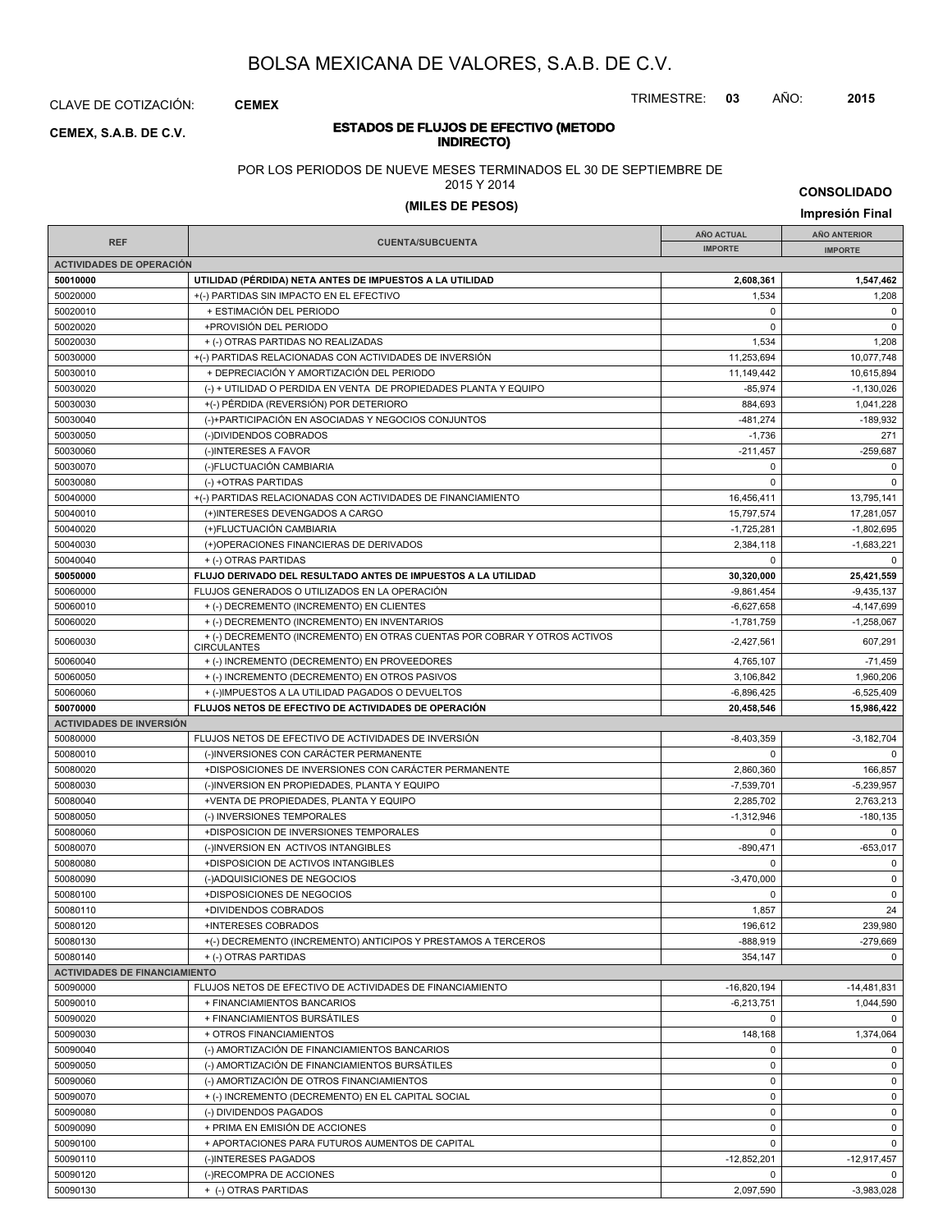CLAVE DE COTIZACIÓN: **CEMEX**

#### **ESTADOS DE FLUJOS DE EFECTIVO (METODO INDIRECTOR CEMEX, S.A.B. DE C.V.**<br>**INDIRECTO**

POR LOS PERIODOS DE NUEVE MESES TERMINADOS EL 30 DE SEPTIEMBRE DE

2015 Y 2014

# **(MILES DE PESOS) Impresión Final**

**IMPORTE FINAL CUENTA/SUBCUENTA**<br> **IMPORTE AÑO ACTUAL IMPORTE IMPORTE REF AÑO ANTERIOR IMPORTE ACTIVIDADES DE OPERACIÓN 50010000 UTILIDAD (PÉRDIDA) NETA ANTES DE IMPUESTOS A LA UTILIDAD 2,608,361 1,547,462** 50020000 + (-) PARTIDAS SIN IMPACTO EN EL EFECTIVO + 1,534 1,534 1,534 1,208 50020010 + ESTIMACIÓN DEL PERIODO 0 0 50020020 +PROVISIÓN DEL PERIODO 0 0 50020030 + (-) OTRAS PARTIDAS NO REALIZADAS 1,534 1,534 1,534 1,534 1,534 1,536 1,536 1,536 1,536 1,536 1,537 1,508 1,538 1,539 1,539 1,539 1,539 1,539 1,539 1,539 1,539 1,539 1,539 1,539 1,539 1,539 1,539 1,539 1,539 1,53 50030000 + (-) PARTIDAS RELACIONADAS CON ACTIVIDADES DE INVERSIÓN 11,253,694 11,253,694 10,077,748 50030010 + DEPRECIACIÓN Y AMORTIZACIÓN DEL PERIODO 11,149,442 10,615,894 50030020 (-) + UTILIDAD O PERDIDA EN VENTA DE PROPIEDADES PLANTA Y EQUIPO -1,130,026 -85,974 -1,130,026 50030030 +(-) PÉRDIDA (REVERSIÓN) POR DETERIORO + +(-) PÉRDIDA (REVERSIÓN) POR DETERIORO 50030040 (-)+PARTICIPACIÓN EN ASOCIADAS Y NEGOCIOS CONJUNTOS -189,932 -481,274 -189,932 50030050 (-)DIVIDENDOS COBRADOS -1,736 271 50030060 (-)INTERESES A FAVOR -211,457 -259,687 -259,687 -211,457 -259,687 -259,687 50030070 (-)FLUCTUACIÓN CAMBIARIA 0 0 50030080 (-) +OTRAS PARTIDAS 0 0 50040000 +(-) PARTIDAS RELACIONADAS CON ACTIVIDADES DE FINANCIAMIENTO 16,456,411 16,456,411 13,795,141 50040010 (+)INTERESES DEVENGADOS A CARGO 15,797,574 17,281,057 17,281,057 17,281,057 50040020 (+)FLUCTUACIÓN CAMBIARIA -1,725,281 -1,802,695 50040030 (+)OPERACIONES FINANCIERAS DE DERIVADOS 2,384,118 -1,683,221 50040040 + (-) OTRAS PARTIDAS 0 0 **50050000 FLUJO DERIVADO DEL RESULTADO ANTES DE IMPUESTOS A LA UTILIDAD 30,320,000 25,421,559** 50060000 FLUJOS GENERADOS O UTILIZADOS EN LA OPERACIÓN -9,861,454 -9,435,137 50060010 + (-) DECREMENTO (INCREMENTO) EN CLIENTES -6,627,658 -6,627,658 -4,147,699  $+$  (-) DECREMENTO (INCREMENTO) EN INVENTARIOS -1,781,759 -1,781,759 -1,258,067 <sup>50060030</sup> -2,427,561 607,291 + (-) DECREMENTO (INCREMENTO) EN OTRAS CUENTAS POR COBRAR Y OTROS ACTIVOS **CIRCULANTES** 50060040 + (-) INCREMENTO (DECREMENTO) EN PROVEEDORES 4,765,107 + 4,765,107 - 71,459 50060050 + (-) INCREMENTO (DECREMENTO) EN OTROS PASIVOS 3,106,842 1,960,206  $+() \text{IMPUESTOS A LA UTILIDAD PAGADOS O DEVUELTOS} \tag{5.896.425 \longrightarrow 6,896.425 \longrightarrow 6,525,409 \longrightarrow 6,525,409 \longrightarrow 6,525,409 \longrightarrow 6,525,409 \longrightarrow 6,525,409 \longrightarrow 6,525,409 \longrightarrow 6,525,409 \longrightarrow 6,525,409 \longrightarrow 6,525,409 \longrightarrow 6,525,409 \longrightarrow 6,525,409 \longrightarrow 6,525,409 \longrightarrow 6,525,409 \longrightarrow 6,525,409 \longrightarrow$ **50070000 FLUJOS NETOS DE EFECTIVO DE ACTIVIDADES DE OPERACIÓN 20,458,546 15,986,422 ACTIVIDADES DE INVERSIÓN** 50080000 FLUJOS NETOS DE EFECTIVO DE ACTIVIDADES DE INVERSIÓN CONSTRUITION DE LA SUBSIDIA DE LA SUBSIDIA DE LA 50080010 (-)INVERSIONES CON CARÁCTER PERMANENTE 0 0 50080020 +DISPOSICIONES DE INVERSIONES CON CARÁCTER PERMANENTE 2,860,360 166,857 50080030 (-)INVERSION EN PROPIEDADES, PLANTA Y EQUIPO -7,539,701 -7,539,701 -5,239,957 50080040 +VENTA DE PROPIEDADES, PLANTA Y EQUIPO 2,285,702 2,763,213 50080050 (-) INVERSIONES TEMPORALES -1,312,946 (-) INVERSIONES TEMPORALES -1,312,946 (-) INVERSIONES TEMPORALES 50080060 +DISPOSICION DE INVERSIONES TEMPORALES 0 0 50080070 (-)INVERSION EN ACTIVOS INTANGIBLES -653,017 -653,017 -653,017 -653,017 50080080 +DISPOSICION DE ACTIVOS INTANGIBLES 0 0 50080090 (-)ADQUISICIONES DE NEGOCIOS -3,470,000 0 50080100 +DISPOSICIONES DE NEGOCIOS 0 0 50080110 +DIVIDENDOS COBRADOS 1,857 24 50080120 +INTERESES COBRADOS 196,612 239,980 50080130 +(-) DECREMENTO (INCREMENTO) ANTICIPOS Y PRESTAMOS A TERCEROS -888,919 -888,919 -279,669 50080140 + (-) OTRAS PARTIDAS 354,147 0 **ACTIVIDADES DE FINANCIAMIENTO** 50090000 FLUJOS NETOS DE EFECTIVO DE ACTIVIDADES DE FINANCIAMIENTO AND ESTENTENTO ANNO 16,820,194 -16,820,194 -14,481,831 50090010 + FINANCIAMIENTOS BANCARIOS + FINANCIAMIENTOS BANCARIOS + + FINANCIAMIENTOS BANCARIOS + + FINANCIAMIENTOS BANCARIOS + + FINANCIAMIENTOS + + FINANCIAMIENTOS + + FINANCIAMIENTOS + + FINANCIAMIENTOS + + FINANCIAMIENT 50090020 + FINANCIAMIENTOS BURSÁTILES 0 0 50090030 + OTROS FINANCIAMIENTOS + OTROS FINANCIAMIENTOS + 148,168 + 1,374,064 50090040 (-) AMORTIZACIÓN DE FINANCIAMIENTOS BANCARIOS 0 0 50090050 (-) AMORTIZACIÓN DE FINANCIAMIENTOS BURSÁTILES 0 0 50090060 (-) AMORTIZACIÓN DE OTROS FINANCIAMIENTOS 0 0 50090070 + (-) INCREMENTO (DECREMENTO) EN EL CAPITAL SOCIAL 0 0 50090080 (-) DIVIDENDOS PAGADOS 0 0 50090090 + PRIMA EN EMISIÓN DE ACCIONES de la componentación de la componentación de la componentación de la c 50090100 + APORTACIONES PARA FUTUROS AUMENTOS DE CAPITAL 0 0 50090110 | (-)INTERESES PAGADOS -12,852,201 | -12,917,457

50090120 (-)RECOMPRA DE ACCIONES 0 0 50090130 + (-) OTRAS PARTIDAS 2,097,590 -3,983,028

TRIMESTRE: **03** AÑO: **2015**

**CONSOLIDADO**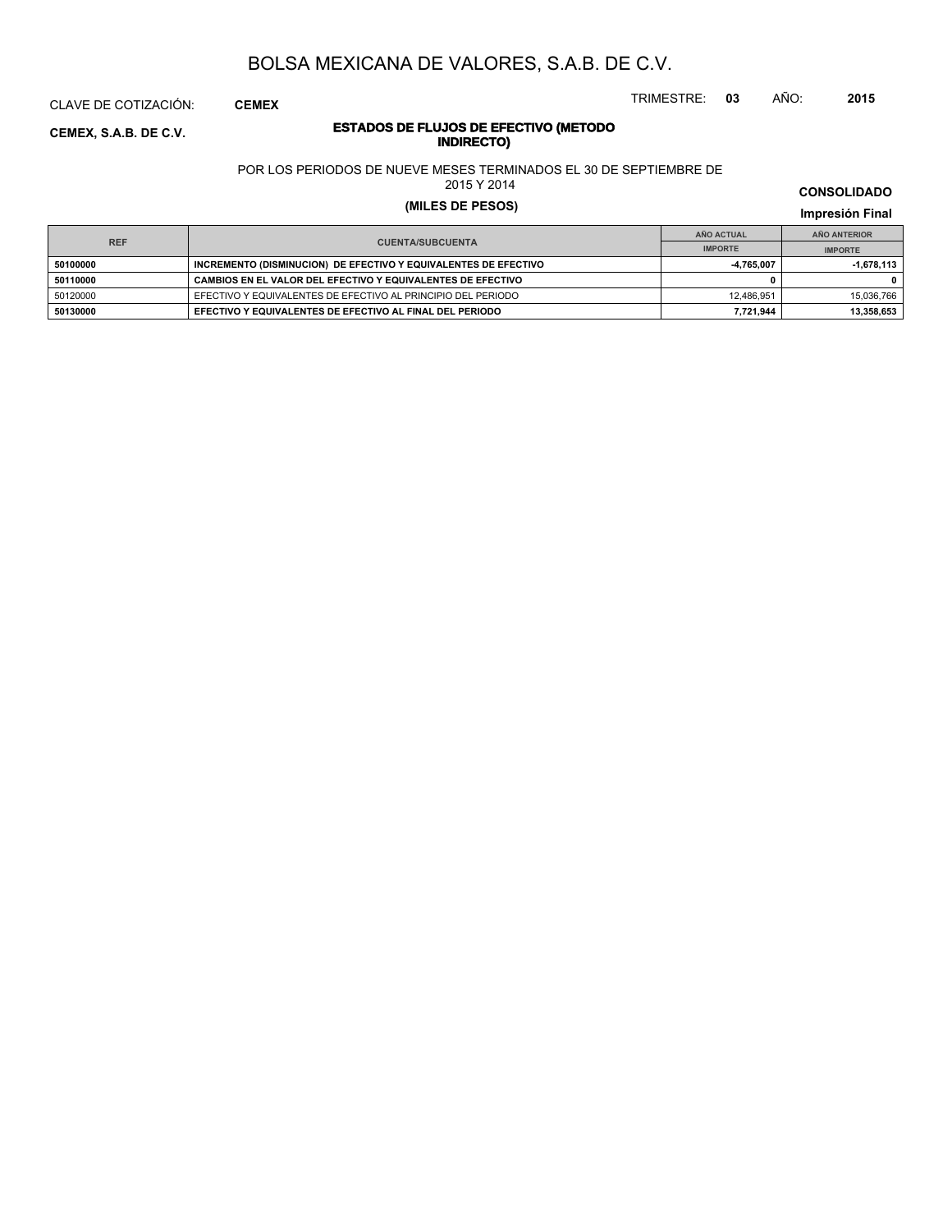CLAVE DE COTIZACIÓN: **CEMEX**

#### **ESTADOS DE FLUJOS DE EFECTIVO (METODO INDIRECTO CEMEX, S.A.B. DE C.V.**<br>**INDIRECTO**

POR LOS PERIODOS DE NUEVE MESES TERMINADOS EL 30 DE SEPTIEMBRE DE

2015 Y 2014

# **(MILES DE PESOS) Impresión Final**

**IMPRESIÓN FINAL EN EN ENCLORED EN EL ENCLORED EN EL ENCLORED EN EL ENCLORED EN EL ENCLORED EN EL ENCLORED EN EL ENCLORED EN EL ENCLORED EN EL ENCLORED EN EL ENCLORED EN EL ENCLORED EN EL ENCLORED EN EL ENCLORED EN EL ENCL AÑO ACTUAL IMPORTE IMPORTE REF AÑO ANTERIOR IMPORTE 50100000 INCREMENTO (DISMINUCION) DE EFECTIVO Y EQUIVALENTES DE EFECTIVO -4,765,007** -4,765,007 -1,678,113 **50110000 CAMBIOS EN EL VALOR DEL EFECTIVO Y EQUIVALENTES DE EFECTIVO 0 0** 50120000 EFECTIVO Y EQUIVALENTES DE EFECTIVO AL PRINCIPIO DEL PERIODO 12,486,951 12,486,951 15,036,766 **50130000 EFECTIVO Y EQUIVALENTES DE EFECTIVO AL FINAL DEL PERIODO 7,721,944 13,358,653**

**CONSOLIDADO**

TRIMESTRE: **03** AÑO: **2015**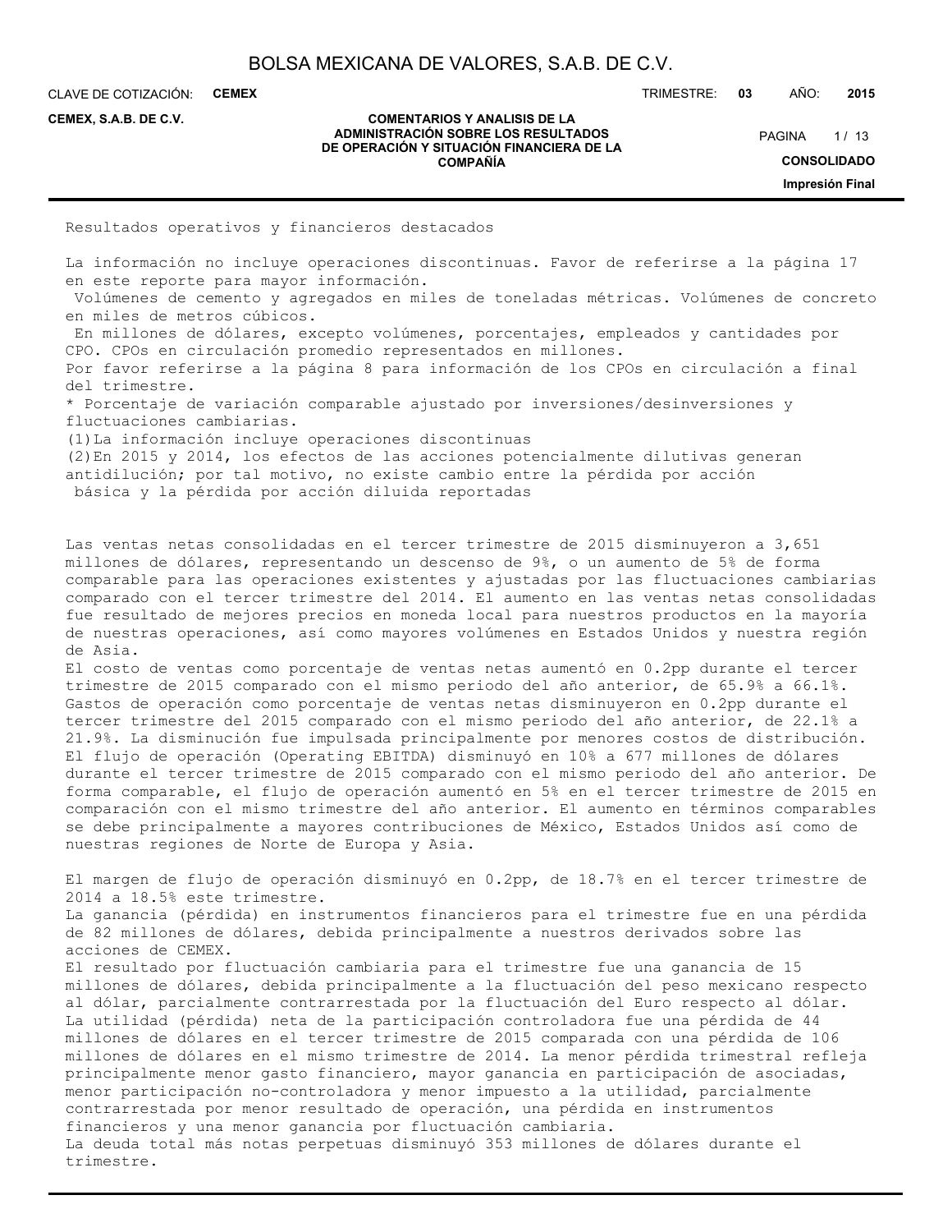| BOLSA MEXICANA DE VALORES, S.A.B. DE C.V. |  |  |  |
|-------------------------------------------|--|--|--|
|-------------------------------------------|--|--|--|

CLAVE DE COTIZACIÓN: **CEMEX**

**CEMEX, S.A.B. DE C.V.**

#### **COMENTARIOS Y ANALISIS DE LA ADMINISTRACIÓN SOBRE LOS RESULTADOS DE OPERACIÓN Y SITUACIÓN FINANCIERA DE LA COMPAÑÍA**

TRIMESTRE: **03** AÑO: **2015**

 $1/13$ **CONSOLIDADO Impresión Final** PAGINA

Resultados operativos y financieros destacados

La información no incluye operaciones discontinuas. Favor de referirse a la página 17 en este reporte para mayor información.

 Volúmenes de cemento y agregados en miles de toneladas métricas. Volúmenes de concreto en miles de metros cúbicos.

 En millones de dólares, excepto volúmenes, porcentajes, empleados y cantidades por CPO. CPOs en circulación promedio representados en millones.

Por favor referirse a la página 8 para información de los CPOs en circulación a final del trimestre.

\* Porcentaje de variación comparable ajustado por inversiones/desinversiones y fluctuaciones cambiarias.

(1)La información incluye operaciones discontinuas

(2)En 2015 y 2014, los efectos de las acciones potencialmente dilutivas generan antidilución; por tal motivo, no existe cambio entre la pérdida por acción básica y la pérdida por acción diluida reportadas

Las ventas netas consolidadas en el tercer trimestre de 2015 disminuyeron a 3,651 millones de dólares, representando un descenso de 9%, o un aumento de 5% de forma comparable para las operaciones existentes y ajustadas por las fluctuaciones cambiarias comparado con el tercer trimestre del 2014. El aumento en las ventas netas consolidadas fue resultado de mejores precios en moneda local para nuestros productos en la mayoría de nuestras operaciones, así como mayores volúmenes en Estados Unidos y nuestra región de Asia.

El costo de ventas como porcentaje de ventas netas aumentó en 0.2pp durante el tercer trimestre de 2015 comparado con el mismo periodo del año anterior, de 65.9% a 66.1%. Gastos de operación como porcentaje de ventas netas disminuyeron en 0.2pp durante el tercer trimestre del 2015 comparado con el mismo periodo del año anterior, de 22.1% a 21.9%. La disminución fue impulsada principalmente por menores costos de distribución. El flujo de operación (Operating EBITDA) disminuyó en 10% a 677 millones de dólares durante el tercer trimestre de 2015 comparado con el mismo periodo del año anterior. De forma comparable, el flujo de operación aumentó en 5% en el tercer trimestre de 2015 en comparación con el mismo trimestre del año anterior. El aumento en términos comparables se debe principalmente a mayores contribuciones de México, Estados Unidos así como de nuestras regiones de Norte de Europa y Asia.

El margen de flujo de operación disminuyó en 0.2pp, de 18.7% en el tercer trimestre de 2014 a 18.5% este trimestre.

La ganancia (pérdida) en instrumentos financieros para el trimestre fue en una pérdida de 82 millones de dólares, debida principalmente a nuestros derivados sobre las acciones de CEMEX.

El resultado por fluctuación cambiaria para el trimestre fue una ganancia de 15 millones de dólares, debida principalmente a la fluctuación del peso mexicano respecto al dólar, parcialmente contrarrestada por la fluctuación del Euro respecto al dólar. La utilidad (pérdida) neta de la participación controladora fue una pérdida de 44 millones de dólares en el tercer trimestre de 2015 comparada con una pérdida de 106 millones de dólares en el mismo trimestre de 2014. La menor pérdida trimestral refleja principalmente menor gasto financiero, mayor ganancia en participación de asociadas, menor participación no-controladora y menor impuesto a la utilidad, parcialmente contrarrestada por menor resultado de operación, una pérdida en instrumentos financieros y una menor ganancia por fluctuación cambiaria. La deuda total más notas perpetuas disminuyó 353 millones de dólares durante el trimestre.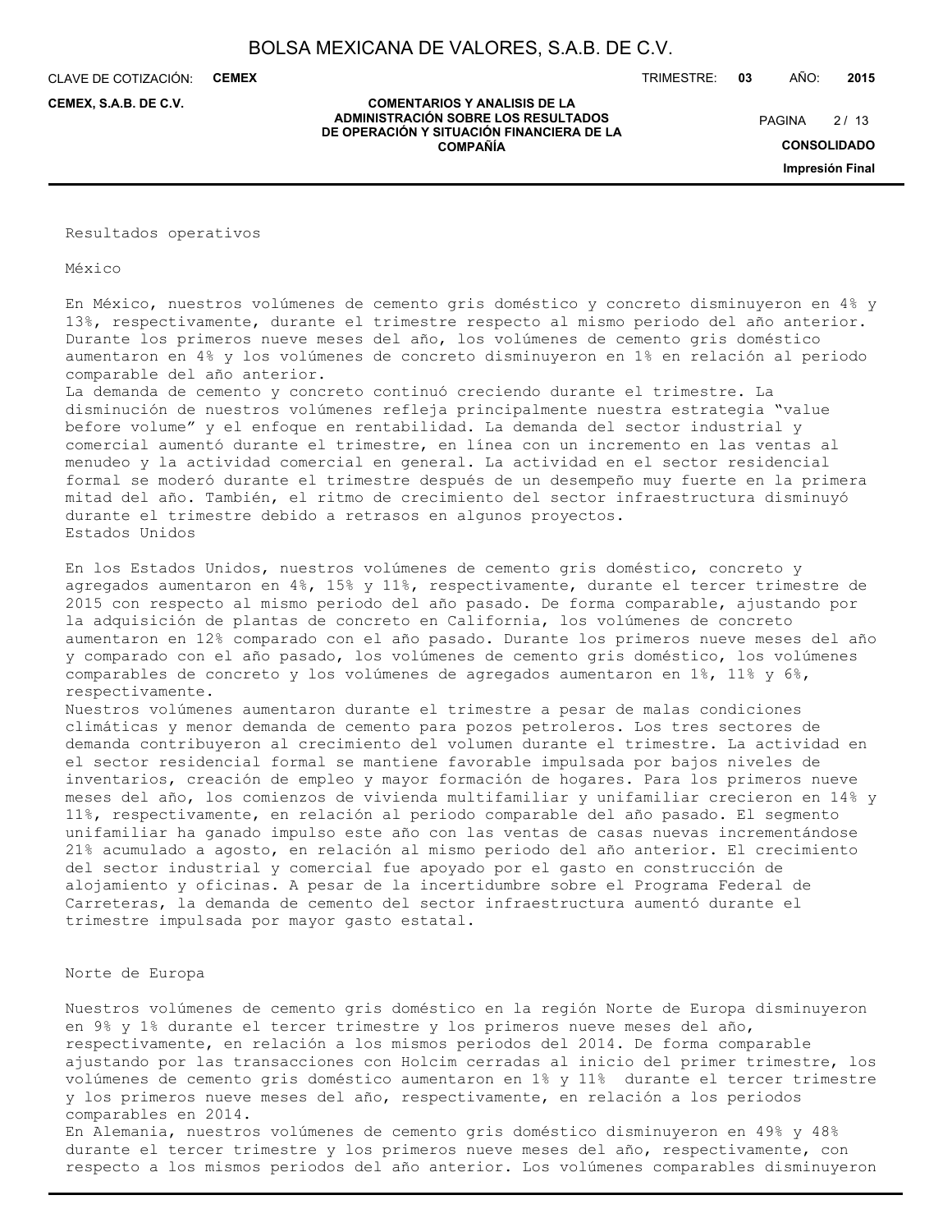CLAVE DE COTIZACIÓN: **CEMEX**

**CEMEX, S.A.B. DE C.V.**

TRIMESTRE: **03** AÑO: **2015**

 $2/13$ **PAGINA** 

> **CONSOLIDADO Impresión Final**

#### **COMENTARIOS Y ANALISIS DE LA ADMINISTRACIÓN SOBRE LOS RESULTADOS DE OPERACIÓN Y SITUACIÓN FINANCIERA DE LA COMPAÑÍA**

Resultados operativos

México

En México, nuestros volúmenes de cemento gris doméstico y concreto disminuyeron en 4% y 13%, respectivamente, durante el trimestre respecto al mismo periodo del año anterior. Durante los primeros nueve meses del año, los volúmenes de cemento gris doméstico aumentaron en 4% y los volúmenes de concreto disminuyeron en 1% en relación al periodo comparable del año anterior.

La demanda de cemento y concreto continuó creciendo durante el trimestre. La disminución de nuestros volúmenes refleja principalmente nuestra estrategia "value before volume" y el enfoque en rentabilidad. La demanda del sector industrial y comercial aumentó durante el trimestre, en línea con un incremento en las ventas al menudeo y la actividad comercial en general. La actividad en el sector residencial formal se moderó durante el trimestre después de un desempeño muy fuerte en la primera mitad del año. También, el ritmo de crecimiento del sector infraestructura disminuyó durante el trimestre debido a retrasos en algunos proyectos. Estados Unidos

En los Estados Unidos, nuestros volúmenes de cemento gris doméstico, concreto y agregados aumentaron en 4%, 15% y 11%, respectivamente, durante el tercer trimestre de 2015 con respecto al mismo periodo del año pasado. De forma comparable, ajustando por la adquisición de plantas de concreto en California, los volúmenes de concreto aumentaron en 12% comparado con el año pasado. Durante los primeros nueve meses del año y comparado con el año pasado, los volúmenes de cemento gris doméstico, los volúmenes comparables de concreto y los volúmenes de agregados aumentaron en 1%, 11% y 6%, respectivamente.

Nuestros volúmenes aumentaron durante el trimestre a pesar de malas condiciones climáticas y menor demanda de cemento para pozos petroleros. Los tres sectores de demanda contribuyeron al crecimiento del volumen durante el trimestre. La actividad en el sector residencial formal se mantiene favorable impulsada por bajos niveles de inventarios, creación de empleo y mayor formación de hogares. Para los primeros nueve meses del año, los comienzos de vivienda multifamiliar y unifamiliar crecieron en 14% y 11%, respectivamente, en relación al periodo comparable del año pasado. El segmento unifamiliar ha ganado impulso este año con las ventas de casas nuevas incrementándose 21% acumulado a agosto, en relación al mismo periodo del año anterior. El crecimiento del sector industrial y comercial fue apoyado por el gasto en construcción de alojamiento y oficinas. A pesar de la incertidumbre sobre el Programa Federal de Carreteras, la demanda de cemento del sector infraestructura aumentó durante el trimestre impulsada por mayor gasto estatal.

#### Norte de Europa

Nuestros volúmenes de cemento gris doméstico en la región Norte de Europa disminuyeron en 9% y 1% durante el tercer trimestre y los primeros nueve meses del año, respectivamente, en relación a los mismos periodos del 2014. De forma comparable ajustando por las transacciones con Holcim cerradas al inicio del primer trimestre, los volúmenes de cemento gris doméstico aumentaron en 1% y 11% durante el tercer trimestre y los primeros nueve meses del año, respectivamente, en relación a los periodos comparables en 2014.

En Alemania, nuestros volúmenes de cemento gris doméstico disminuyeron en 49% y 48% durante el tercer trimestre y los primeros nueve meses del año, respectivamente, con respecto a los mismos periodos del año anterior. Los volúmenes comparables disminuyeron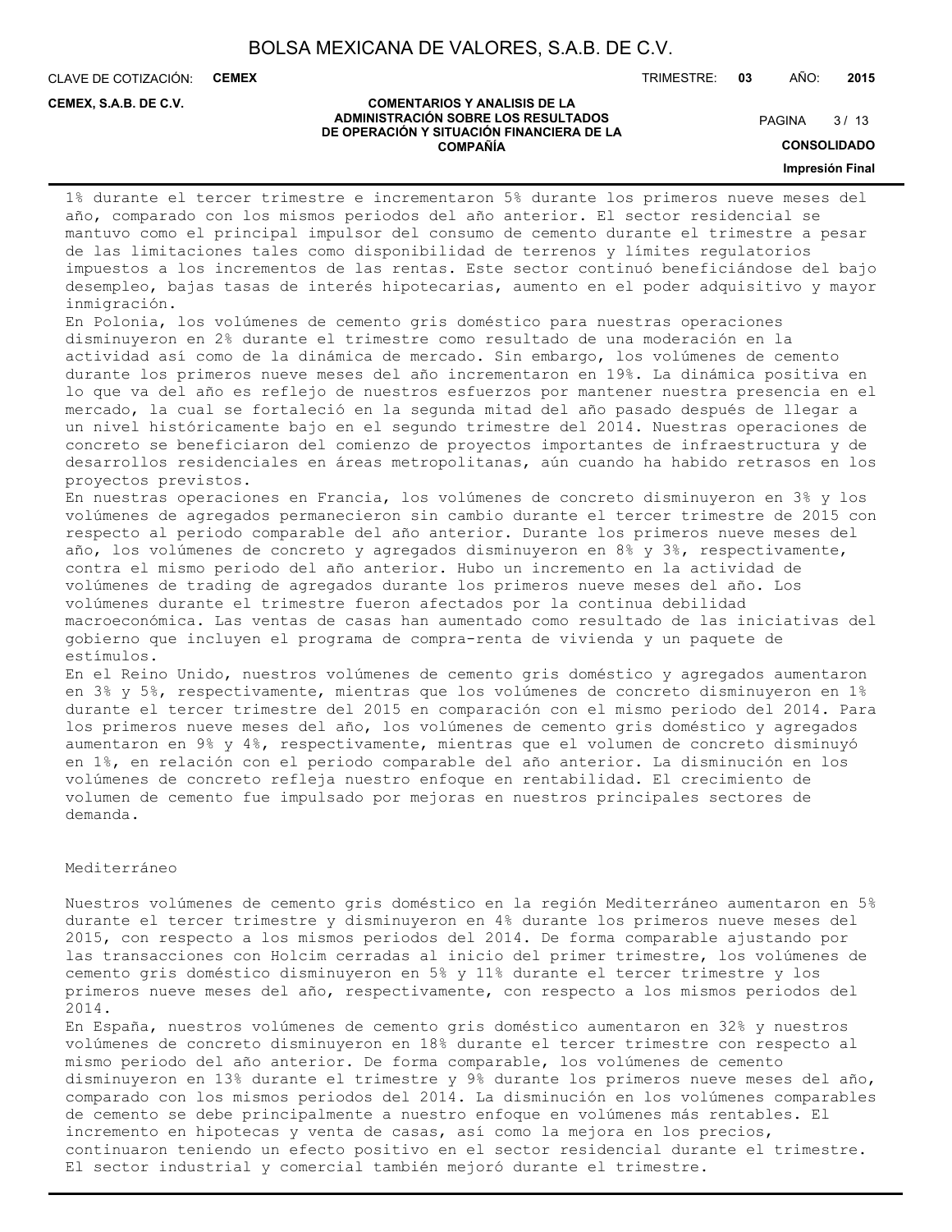CLAVE DE COTIZACIÓN: **CEMEX**

**CEMEX, S.A.B. DE C.V.**

TRIMESTRE: **03** AÑO: **2015**

#### **COMENTARIOS Y ANALISIS DE LA ADMINISTRACIÓN SOBRE LOS RESULTADOS DE OPERACIÓN Y SITUACIÓN FINANCIERA DE LA COMPAÑÍA**

 $3/13$ **PAGINA** 

**CONSOLIDADO**

**Impresión Final**

1% durante el tercer trimestre e incrementaron 5% durante los primeros nueve meses del año, comparado con los mismos periodos del año anterior. El sector residencial se mantuvo como el principal impulsor del consumo de cemento durante el trimestre a pesar de las limitaciones tales como disponibilidad de terrenos y límites regulatorios impuestos a los incrementos de las rentas. Este sector continuó beneficiándose del bajo desempleo, bajas tasas de interés hipotecarias, aumento en el poder adquisitivo y mayor inmigración.

En Polonia, los volúmenes de cemento gris doméstico para nuestras operaciones disminuyeron en 2% durante el trimestre como resultado de una moderación en la actividad así como de la dinámica de mercado. Sin embargo, los volúmenes de cemento durante los primeros nueve meses del año incrementaron en 19%. La dinámica positiva en lo que va del año es reflejo de nuestros esfuerzos por mantener nuestra presencia en el mercado, la cual se fortaleció en la segunda mitad del año pasado después de llegar a un nivel históricamente bajo en el segundo trimestre del 2014. Nuestras operaciones de concreto se beneficiaron del comienzo de proyectos importantes de infraestructura y de desarrollos residenciales en áreas metropolitanas, aún cuando ha habido retrasos en los proyectos previstos.

En nuestras operaciones en Francia, los volúmenes de concreto disminuyeron en 3% y los volúmenes de agregados permanecieron sin cambio durante el tercer trimestre de 2015 con respecto al periodo comparable del año anterior. Durante los primeros nueve meses del año, los volúmenes de concreto y agregados disminuyeron en 8% y 3%, respectivamente, contra el mismo periodo del año anterior. Hubo un incremento en la actividad de volúmenes de trading de agregados durante los primeros nueve meses del año. Los volúmenes durante el trimestre fueron afectados por la continua debilidad macroeconómica. Las ventas de casas han aumentado como resultado de las iniciativas del gobierno que incluyen el programa de compra-renta de vivienda y un paquete de estímulos.

En el Reino Unido, nuestros volúmenes de cemento gris doméstico y agregados aumentaron en 3% y 5%, respectivamente, mientras que los volúmenes de concreto disminuyeron en 1% durante el tercer trimestre del 2015 en comparación con el mismo periodo del 2014. Para los primeros nueve meses del año, los volúmenes de cemento gris doméstico y agregados aumentaron en 9% y 4%, respectivamente, mientras que el volumen de concreto disminuyó en 1%, en relación con el periodo comparable del año anterior. La disminución en los volúmenes de concreto refleja nuestro enfoque en rentabilidad. El crecimiento de volumen de cemento fue impulsado por mejoras en nuestros principales sectores de demanda.

#### Mediterráneo

Nuestros volúmenes de cemento gris doméstico en la región Mediterráneo aumentaron en 5% durante el tercer trimestre y disminuyeron en 4% durante los primeros nueve meses del 2015, con respecto a los mismos periodos del 2014. De forma comparable ajustando por las transacciones con Holcim cerradas al inicio del primer trimestre, los volúmenes de cemento gris doméstico disminuyeron en 5% y 11% durante el tercer trimestre y los primeros nueve meses del año, respectivamente, con respecto a los mismos periodos del 2014.

En España, nuestros volúmenes de cemento gris doméstico aumentaron en 32% y nuestros volúmenes de concreto disminuyeron en 18% durante el tercer trimestre con respecto al mismo periodo del año anterior. De forma comparable, los volúmenes de cemento disminuyeron en 13% durante el trimestre y 9% durante los primeros nueve meses del año, comparado con los mismos periodos del 2014. La disminución en los volúmenes comparables de cemento se debe principalmente a nuestro enfoque en volúmenes más rentables. El incremento en hipotecas y venta de casas, así como la mejora en los precios, continuaron teniendo un efecto positivo en el sector residencial durante el trimestre. El sector industrial y comercial también mejoró durante el trimestre.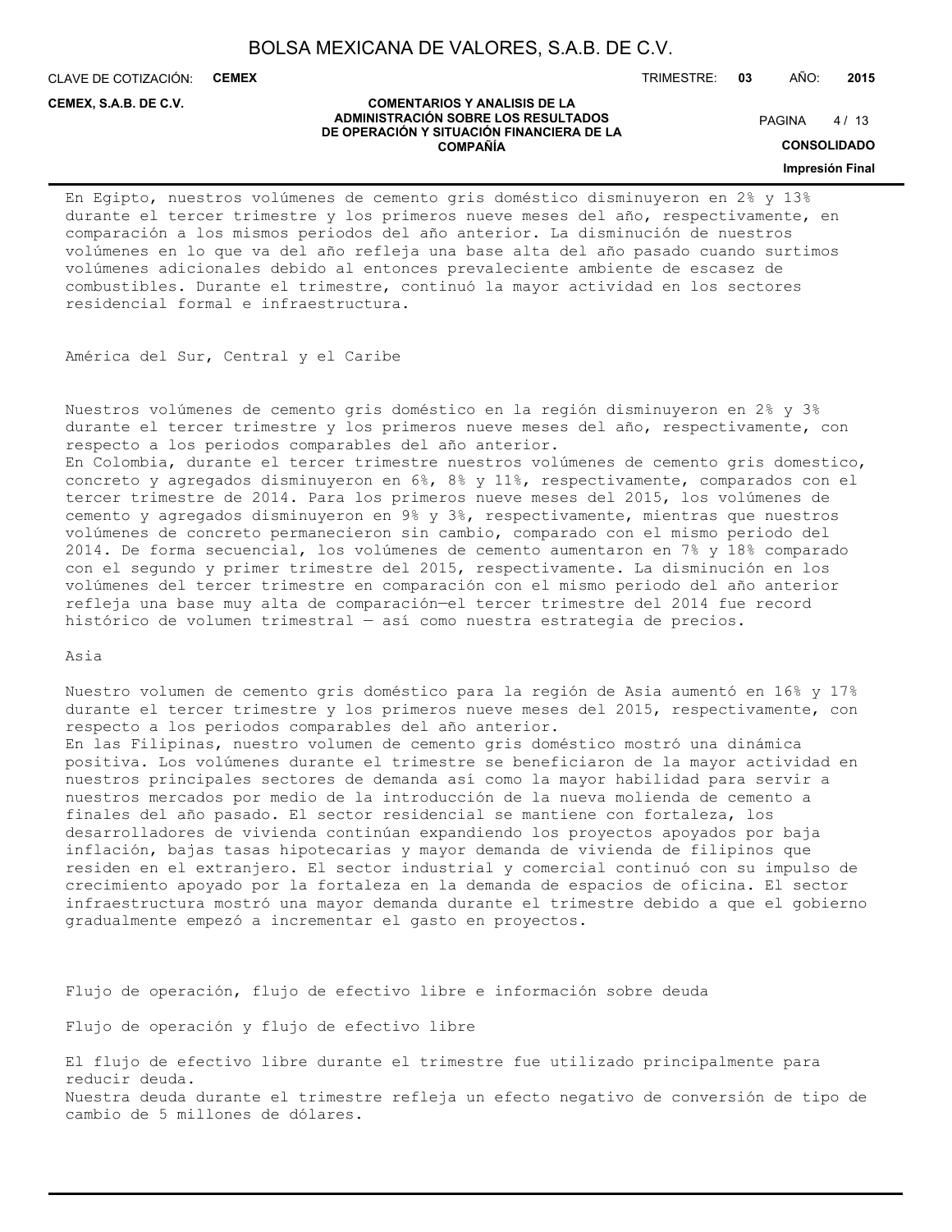CLAVE DE COTIZACIÓN: **CEMEX**

**CEMEX, S.A.B. DE C.V.**

TRIMESTRE: **03** AÑO: **2015**

#### **COMENTARIOS Y ANALISIS DE LA ADMINISTRACIÓN SOBRE LOS RESULTADOS DE OPERACIÓN Y SITUACIÓN FINANCIERA DE LA COMPAÑÍA**

 $4/13$ **PAGINA** 

**CONSOLIDADO**

**Impresión Final**

En Egipto, nuestros volúmenes de cemento gris doméstico disminuyeron en 2% y 13% durante el tercer trimestre y los primeros nueve meses del año, respectivamente, en comparación a los mismos periodos del año anterior. La disminución de nuestros volúmenes en lo que va del año refleja una base alta del año pasado cuando surtimos volúmenes adicionales debido al entonces prevaleciente ambiente de escasez de combustibles. Durante el trimestre, continuó la mayor actividad en los sectores residencial formal e infraestructura.

América del Sur, Central y el Caribe

Nuestros volúmenes de cemento gris doméstico en la región disminuyeron en 2% y 3% durante el tercer trimestre y los primeros nueve meses del año, respectivamente, con respecto a los periodos comparables del año anterior. En Colombia, durante el tercer trimestre nuestros volúmenes de cemento gris domestico, concreto y agregados disminuyeron en 6%, 8% y 11%, respectivamente, comparados con el tercer trimestre de 2014. Para los primeros nueve meses del 2015, los volúmenes de cemento y agregados disminuyeron en 9% y 3%, respectivamente, mientras que nuestros volúmenes de concreto permanecieron sin cambio, comparado con el mismo periodo del 2014. De forma secuencial, los volúmenes de cemento aumentaron en 7% y 18% comparado con el segundo y primer trimestre del 2015, respectivamente. La disminución en los volúmenes del tercer trimestre en comparación con el mismo periodo del año anterior refleja una base muy alta de comparación—el tercer trimestre del 2014 fue record histórico de volumen trimestral — así como nuestra estrategia de precios.

Asia

Nuestro volumen de cemento gris doméstico para la región de Asia aumentó en 16% y 17% durante el tercer trimestre y los primeros nueve meses del 2015, respectivamente, con respecto a los periodos comparables del año anterior. En las Filipinas, nuestro volumen de cemento gris doméstico mostró una dinámica positiva. Los volúmenes durante el trimestre se beneficiaron de la mayor actividad en nuestros principales sectores de demanda así como la mayor habilidad para servir a nuestros mercados por medio de la introducción de la nueva molienda de cemento a finales del año pasado. El sector residencial se mantiene con fortaleza, los desarrolladores de vivienda continúan expandiendo los proyectos apoyados por baja inflación, bajas tasas hipotecarias y mayor demanda de vivienda de filipinos que residen en el extranjero. El sector industrial y comercial continuó con su impulso de crecimiento apoyado por la fortaleza en la demanda de espacios de oficina. El sector infraestructura mostró una mayor demanda durante el trimestre debido a que el gobierno gradualmente empezó a incrementar el gasto en proyectos.

Flujo de operación, flujo de efectivo libre e información sobre deuda

Flujo de operación y flujo de efectivo libre

El flujo de efectivo libre durante el trimestre fue utilizado principalmente para reducir deuda. Nuestra deuda durante el trimestre refleja un efecto negativo de conversión de tipo de cambio de 5 millones de dólares.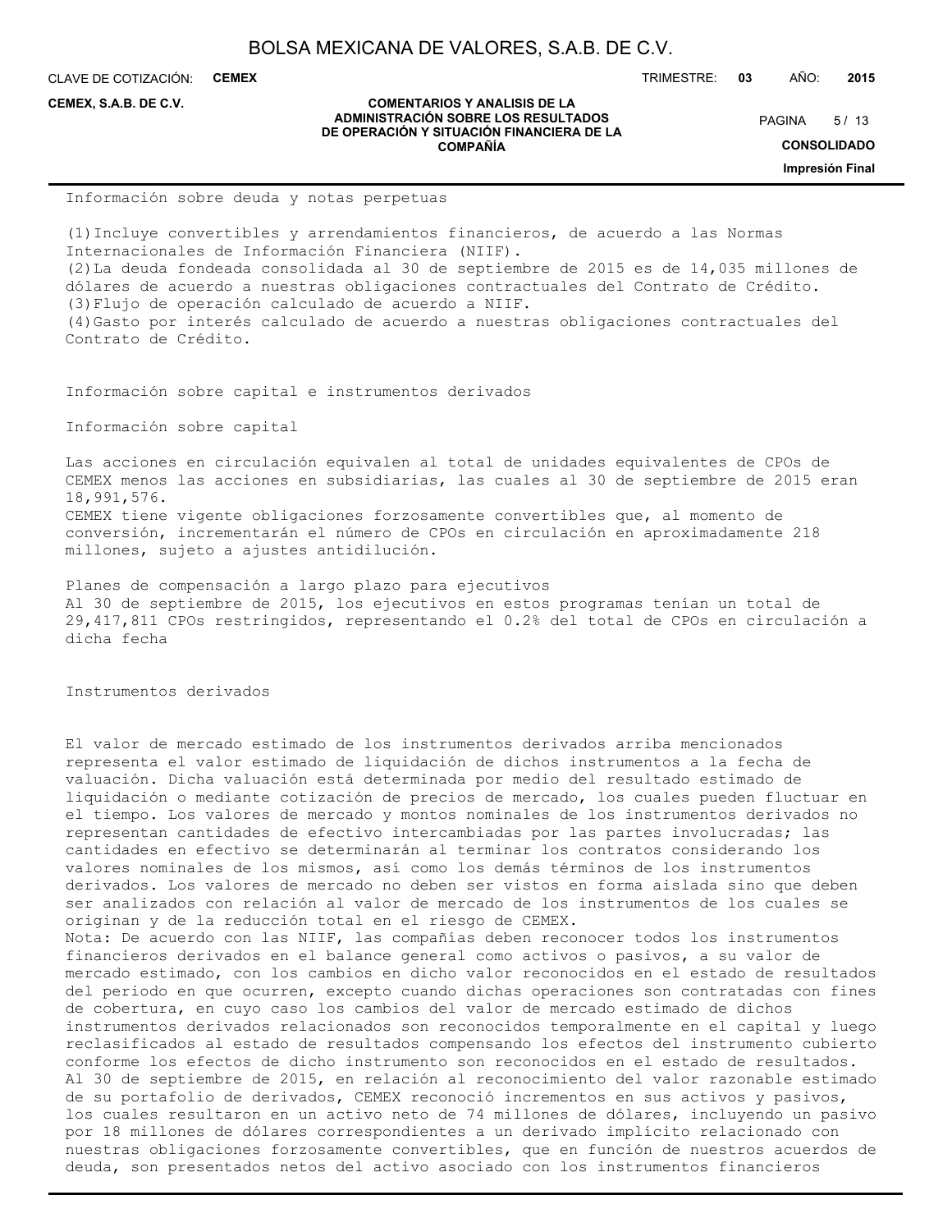CLAVE DE COTIZACIÓN: **CEMEX**

**CEMEX, S.A.B. DE C.V.**

#### **COMENTARIOS Y ANALISIS DE LA ADMINISTRACIÓN SOBRE LOS RESULTADOS DE OPERACIÓN Y SITUACIÓN FINANCIERA DE LA COMPAÑÍA**

 $5/13$ **PAGINA** 

**CONSOLIDADO**

**Impresión Final**

Información sobre deuda y notas perpetuas

(1)Incluye convertibles y arrendamientos financieros, de acuerdo a las Normas Internacionales de Información Financiera (NIIF). (2)La deuda fondeada consolidada al 30 de septiembre de 2015 es de 14,035 millones de dólares de acuerdo a nuestras obligaciones contractuales del Contrato de Crédito. (3)Flujo de operación calculado de acuerdo a NIIF. (4)Gasto por interés calculado de acuerdo a nuestras obligaciones contractuales del Contrato de Crédito.

Información sobre capital e instrumentos derivados

Información sobre capital

Las acciones en circulación equivalen al total de unidades equivalentes de CPOs de CEMEX menos las acciones en subsidiarias, las cuales al 30 de septiembre de 2015 eran 18,991,576. CEMEX tiene vigente obligaciones forzosamente convertibles que, al momento de conversión, incrementarán el número de CPOs en circulación en aproximadamente 218 millones, sujeto a ajustes antidilución.

Planes de compensación a largo plazo para ejecutivos Al 30 de septiembre de 2015, los ejecutivos en estos programas tenían un total de 29,417,811 CPOs restringidos, representando el 0.2% del total de CPOs en circulación a dicha fecha

Instrumentos derivados

El valor de mercado estimado de los instrumentos derivados arriba mencionados representa el valor estimado de liquidación de dichos instrumentos a la fecha de valuación. Dicha valuación está determinada por medio del resultado estimado de liquidación o mediante cotización de precios de mercado, los cuales pueden fluctuar en el tiempo. Los valores de mercado y montos nominales de los instrumentos derivados no representan cantidades de efectivo intercambiadas por las partes involucradas; las cantidades en efectivo se determinarán al terminar los contratos considerando los valores nominales de los mismos, así como los demás términos de los instrumentos derivados. Los valores de mercado no deben ser vistos en forma aislada sino que deben ser analizados con relación al valor de mercado de los instrumentos de los cuales se originan y de la reducción total en el riesgo de CEMEX. Nota: De acuerdo con las NIIF, las compañías deben reconocer todos los instrumentos financieros derivados en el balance general como activos o pasivos, a su valor de mercado estimado, con los cambios en dicho valor reconocidos en el estado de resultados del periodo en que ocurren, excepto cuando dichas operaciones son contratadas con fines de cobertura, en cuyo caso los cambios del valor de mercado estimado de dichos instrumentos derivados relacionados son reconocidos temporalmente en el capital y luego reclasificados al estado de resultados compensando los efectos del instrumento cubierto conforme los efectos de dicho instrumento son reconocidos en el estado de resultados. Al 30 de septiembre de 2015, en relación al reconocimiento del valor razonable estimado de su portafolio de derivados, CEMEX reconoció incrementos en sus activos y pasivos, los cuales resultaron en un activo neto de 74 millones de dólares, incluyendo un pasivo por 18 millones de dólares correspondientes a un derivado implícito relacionado con nuestras obligaciones forzosamente convertibles, que en función de nuestros acuerdos de deuda, son presentados netos del activo asociado con los instrumentos financieros

TRIMESTRE: **03** AÑO: **2015**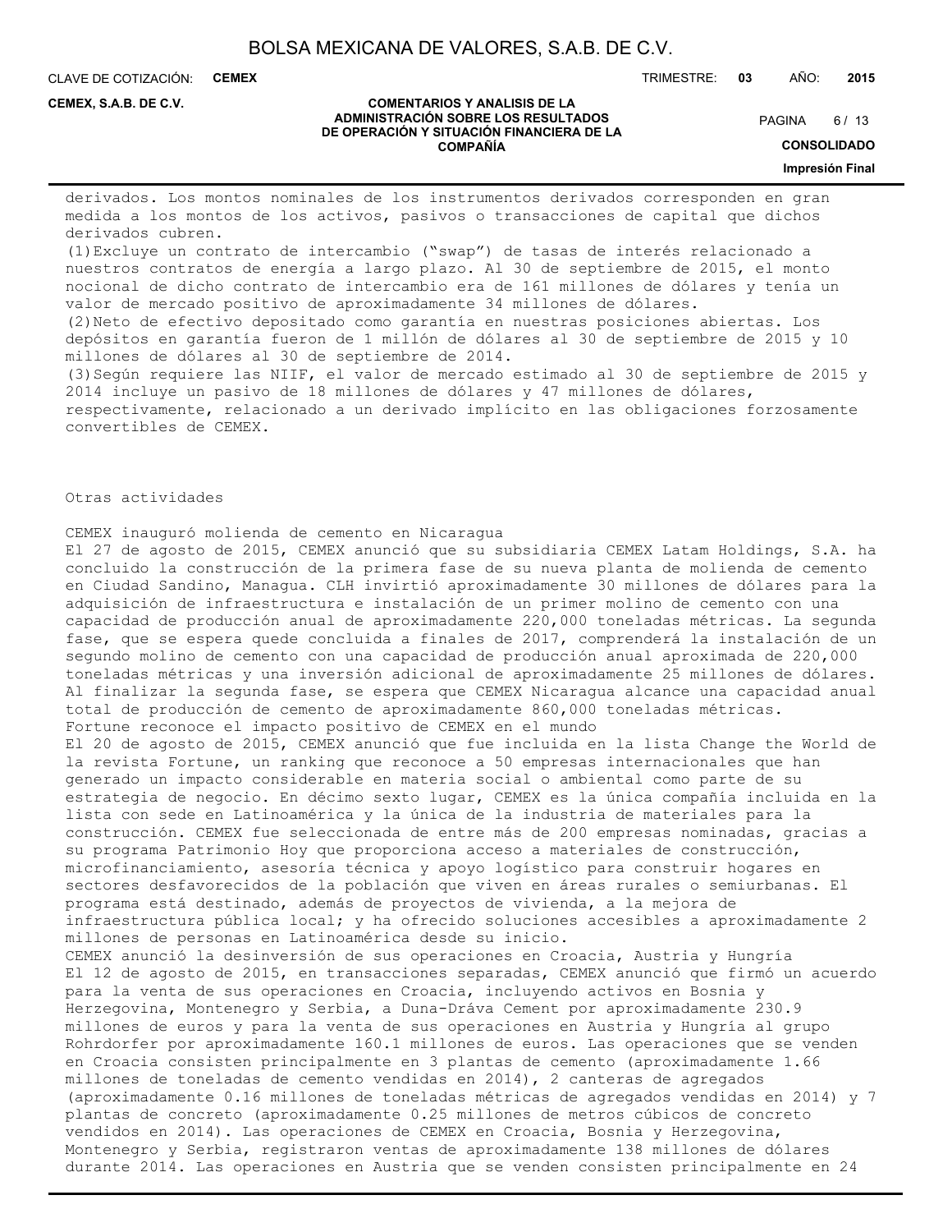CLAVE DE COTIZACIÓN: **CEMEX**

**CEMEX, S.A.B. DE C.V.**

#### **COMENTARIOS Y ANALISIS DE LA ADMINISTRACIÓN SOBRE LOS RESULTADOS DE OPERACIÓN Y SITUACIÓN FINANCIERA DE LA COMPAÑÍA**

 $6/13$ **PAGINA** 

**CONSOLIDADO**

**Impresión Final**

derivados. Los montos nominales de los instrumentos derivados corresponden en gran medida a los montos de los activos, pasivos o transacciones de capital que dichos derivados cubren.

(1)Excluye un contrato de intercambio ("swap") de tasas de interés relacionado a nuestros contratos de energía a largo plazo. Al 30 de septiembre de 2015, el monto nocional de dicho contrato de intercambio era de 161 millones de dólares y tenía un valor de mercado positivo de aproximadamente 34 millones de dólares.

(2)Neto de efectivo depositado como garantía en nuestras posiciones abiertas. Los depósitos en garantía fueron de 1 millón de dólares al 30 de septiembre de 2015 y 10 millones de dólares al 30 de septiembre de 2014.

(3)Según requiere las NIIF, el valor de mercado estimado al 30 de septiembre de 2015 y 2014 incluye un pasivo de 18 millones de dólares y 47 millones de dólares, respectivamente, relacionado a un derivado implícito en las obligaciones forzosamente convertibles de CEMEX.

Otras actividades

CEMEX inauguró molienda de cemento en Nicaragua El 27 de agosto de 2015, CEMEX anunció que su subsidiaria CEMEX Latam Holdings, S.A. ha concluido la construcción de la primera fase de su nueva planta de molienda de cemento en Ciudad Sandino, Managua. CLH invirtió aproximadamente 30 millones de dólares para la adquisición de infraestructura e instalación de un primer molino de cemento con una capacidad de producción anual de aproximadamente 220,000 toneladas métricas. La segunda fase, que se espera quede concluida a finales de 2017, comprenderá la instalación de un segundo molino de cemento con una capacidad de producción anual aproximada de 220,000 toneladas métricas y una inversión adicional de aproximadamente 25 millones de dólares. Al finalizar la segunda fase, se espera que CEMEX Nicaragua alcance una capacidad anual total de producción de cemento de aproximadamente 860,000 toneladas métricas. Fortune reconoce el impacto positivo de CEMEX en el mundo El 20 de agosto de 2015, CEMEX anunció que fue incluida en la lista Change the World de la revista Fortune, un ranking que reconoce a 50 empresas internacionales que han generado un impacto considerable en materia social o ambiental como parte de su estrategia de negocio. En décimo sexto lugar, CEMEX es la única compañía incluida en la lista con sede en Latinoamérica y la única de la industria de materiales para la construcción. CEMEX fue seleccionada de entre más de 200 empresas nominadas, gracias a su programa Patrimonio Hoy que proporciona acceso a materiales de construcción, microfinanciamiento, asesoría técnica y apoyo logístico para construir hogares en sectores desfavorecidos de la población que viven en áreas rurales o semiurbanas. El programa está destinado, además de proyectos de vivienda, a la mejora de infraestructura pública local; y ha ofrecido soluciones accesibles a aproximadamente 2 millones de personas en Latinoamérica desde su inicio. CEMEX anunció la desinversión de sus operaciones en Croacia, Austria y Hungría El 12 de agosto de 2015, en transacciones separadas, CEMEX anunció que firmó un acuerdo para la venta de sus operaciones en Croacia, incluyendo activos en Bosnia y Herzegovina, Montenegro y Serbia, a Duna-Dráva Cement por aproximadamente 230.9 millones de euros y para la venta de sus operaciones en Austria y Hungría al grupo Rohrdorfer por aproximadamente 160.1 millones de euros. Las operaciones que se venden en Croacia consisten principalmente en 3 plantas de cemento (aproximadamente 1.66 millones de toneladas de cemento vendidas en 2014), 2 canteras de agregados (aproximadamente 0.16 millones de toneladas métricas de agregados vendidas en 2014) y 7 plantas de concreto (aproximadamente 0.25 millones de metros cúbicos de concreto vendidos en 2014). Las operaciones de CEMEX en Croacia, Bosnia y Herzegovina, Montenegro y Serbia, registraron ventas de aproximadamente 138 millones de dólares durante 2014. Las operaciones en Austria que se venden consisten principalmente en 24

TRIMESTRE: **03** AÑO: **2015**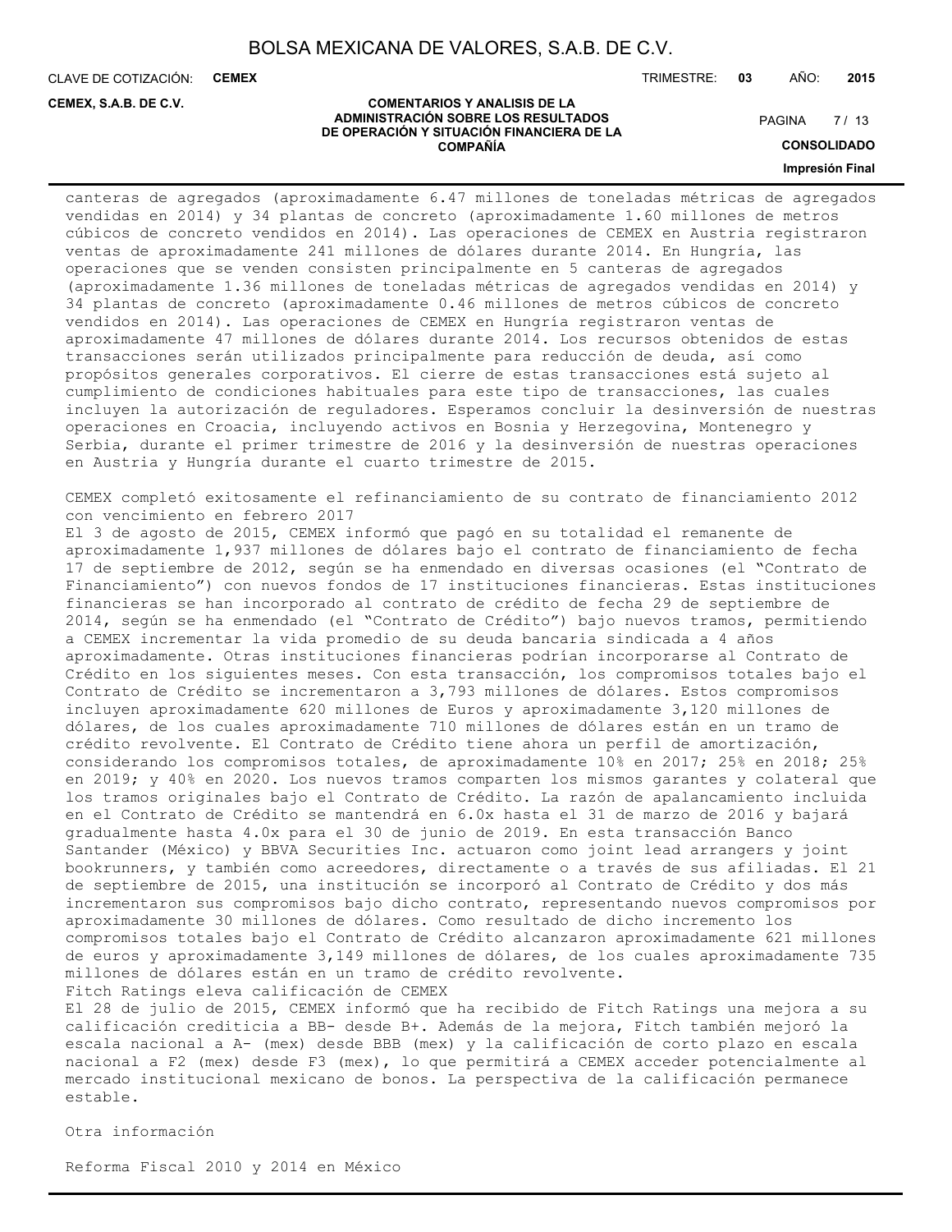CLAVE DE COTIZACIÓN: **CEMEX**

**CEMEX, S.A.B. DE C.V.**

TRIMESTRE: **03** AÑO: **2015**

#### **COMENTARIOS Y ANALISIS DE LA ADMINISTRACIÓN SOBRE LOS RESULTADOS DE OPERACIÓN Y SITUACIÓN FINANCIERA DE LA COMPAÑÍA**

 $7/13$ PAGINA

**CONSOLIDADO**

#### **Impresión Final**

canteras de agregados (aproximadamente 6.47 millones de toneladas métricas de agregados vendidas en 2014) y 34 plantas de concreto (aproximadamente 1.60 millones de metros cúbicos de concreto vendidos en 2014). Las operaciones de CEMEX en Austria registraron ventas de aproximadamente 241 millones de dólares durante 2014. En Hungría, las operaciones que se venden consisten principalmente en 5 canteras de agregados (aproximadamente 1.36 millones de toneladas métricas de agregados vendidas en 2014) y 34 plantas de concreto (aproximadamente 0.46 millones de metros cúbicos de concreto vendidos en 2014). Las operaciones de CEMEX en Hungría registraron ventas de aproximadamente 47 millones de dólares durante 2014. Los recursos obtenidos de estas transacciones serán utilizados principalmente para reducción de deuda, así como propósitos generales corporativos. El cierre de estas transacciones está sujeto al cumplimiento de condiciones habituales para este tipo de transacciones, las cuales incluyen la autorización de reguladores. Esperamos concluir la desinversión de nuestras operaciones en Croacia, incluyendo activos en Bosnia y Herzegovina, Montenegro y Serbia, durante el primer trimestre de 2016 y la desinversión de nuestras operaciones en Austria y Hungría durante el cuarto trimestre de 2015.

CEMEX completó exitosamente el refinanciamiento de su contrato de financiamiento 2012 con vencimiento en febrero 2017

El 3 de agosto de 2015, CEMEX informó que pagó en su totalidad el remanente de aproximadamente 1,937 millones de dólares bajo el contrato de financiamiento de fecha 17 de septiembre de 2012, según se ha enmendado en diversas ocasiones (el "Contrato de Financiamiento") con nuevos fondos de 17 instituciones financieras. Estas instituciones financieras se han incorporado al contrato de crédito de fecha 29 de septiembre de 2014, según se ha enmendado (el "Contrato de Crédito") bajo nuevos tramos, permitiendo a CEMEX incrementar la vida promedio de su deuda bancaria sindicada a 4 años aproximadamente. Otras instituciones financieras podrían incorporarse al Contrato de Crédito en los siguientes meses. Con esta transacción, los compromisos totales bajo el Contrato de Crédito se incrementaron a 3,793 millones de dólares. Estos compromisos incluyen aproximadamente 620 millones de Euros y aproximadamente 3,120 millones de dólares, de los cuales aproximadamente 710 millones de dólares están en un tramo de crédito revolvente. El Contrato de Crédito tiene ahora un perfil de amortización, considerando los compromisos totales, de aproximadamente 10% en 2017; 25% en 2018; 25% en 2019; y 40% en 2020. Los nuevos tramos comparten los mismos garantes y colateral que los tramos originales bajo el Contrato de Crédito. La razón de apalancamiento incluida en el Contrato de Crédito se mantendrá en 6.0x hasta el 31 de marzo de 2016 y bajará gradualmente hasta 4.0x para el 30 de junio de 2019. En esta transacción Banco Santander (México) y BBVA Securities Inc. actuaron como joint lead arrangers y joint bookrunners, y también como acreedores, directamente o a través de sus afiliadas. El 21 de septiembre de 2015, una institución se incorporó al Contrato de Crédito y dos más incrementaron sus compromisos bajo dicho contrato, representando nuevos compromisos por aproximadamente 30 millones de dólares. Como resultado de dicho incremento los compromisos totales bajo el Contrato de Crédito alcanzaron aproximadamente 621 millones de euros y aproximadamente 3,149 millones de dólares, de los cuales aproximadamente 735 millones de dólares están en un tramo de crédito revolvente. Fitch Ratings eleva calificación de CEMEX

El 28 de julio de 2015, CEMEX informó que ha recibido de Fitch Ratings una mejora a su calificación crediticia a BB- desde B+. Además de la mejora, Fitch también mejoró la escala nacional a A- (mex) desde BBB (mex) y la calificación de corto plazo en escala nacional a F2 (mex) desde F3 (mex), lo que permitirá a CEMEX acceder potencialmente al mercado institucional mexicano de bonos. La perspectiva de la calificación permanece estable.

Otra información

Reforma Fiscal 2010 y 2014 en México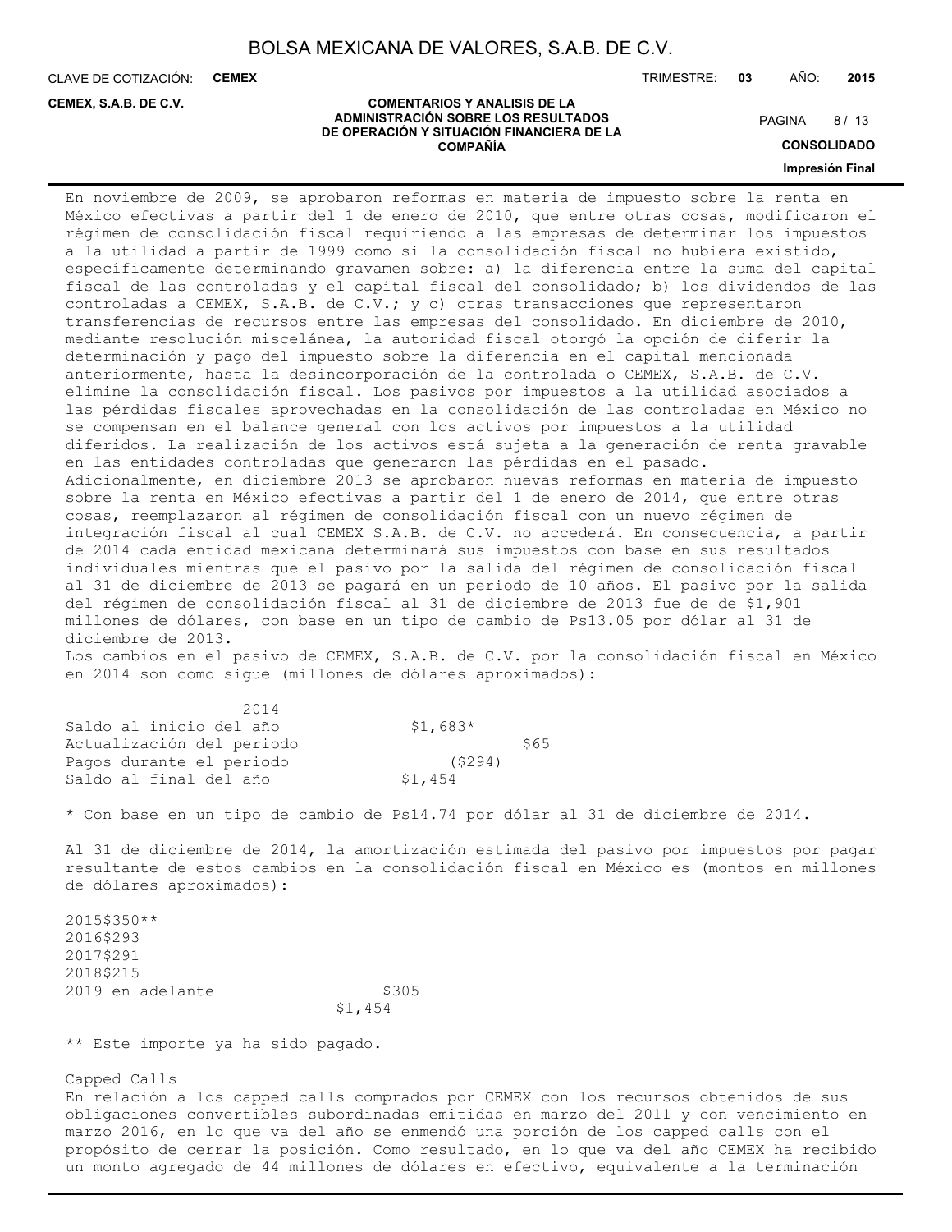**COMPAÑÍA**

CLAVE DE COTIZACIÓN: **CEMEX**

**CEMEX, S.A.B. DE C.V.**

TRIMESTRE: **03** AÑO: **2015**

#### **COMENTARIOS Y ANALISIS DE LA ADMINISTRACIÓN SOBRE LOS RESULTADOS DE OPERACIÓN Y SITUACIÓN FINANCIERA DE LA**

8/13 **PAGINA** 

**CONSOLIDADO**

**Impresión Final**

En noviembre de 2009, se aprobaron reformas en materia de impuesto sobre la renta en México efectivas a partir del 1 de enero de 2010, que entre otras cosas, modificaron el régimen de consolidación fiscal requiriendo a las empresas de determinar los impuestos a la utilidad a partir de 1999 como si la consolidación fiscal no hubiera existido, específicamente determinando gravamen sobre: a) la diferencia entre la suma del capital fiscal de las controladas y el capital fiscal del consolidado; b) los dividendos de las controladas a CEMEX, S.A.B. de C.V.; y c) otras transacciones que representaron transferencias de recursos entre las empresas del consolidado. En diciembre de 2010, mediante resolución miscelánea, la autoridad fiscal otorgó la opción de diferir la determinación y pago del impuesto sobre la diferencia en el capital mencionada anteriormente, hasta la desincorporación de la controlada o CEMEX, S.A.B. de C.V. elimine la consolidación fiscal. Los pasivos por impuestos a la utilidad asociados a las pérdidas fiscales aprovechadas en la consolidación de las controladas en México no se compensan en el balance general con los activos por impuestos a la utilidad diferidos. La realización de los activos está sujeta a la generación de renta gravable en las entidades controladas que generaron las pérdidas en el pasado. Adicionalmente, en diciembre 2013 se aprobaron nuevas reformas en materia de impuesto sobre la renta en México efectivas a partir del 1 de enero de 2014, que entre otras cosas, reemplazaron al régimen de consolidación fiscal con un nuevo régimen de integración fiscal al cual CEMEX S.A.B. de C.V. no accederá. En consecuencia, a partir de 2014 cada entidad mexicana determinará sus impuestos con base en sus resultados individuales mientras que el pasivo por la salida del régimen de consolidación fiscal al 31 de diciembre de 2013 se pagará en un periodo de 10 años. El pasivo por la salida del régimen de consolidación fiscal al 31 de diciembre de 2013 fue de de \$1,901 millones de dólares, con base en un tipo de cambio de Ps13.05 por dólar al 31 de diciembre de 2013. Los cambios en el pasivo de CEMEX, S.A.B. de C.V. por la consolidación fiscal en México en 2014 son como sigue (millones de dólares aproximados):

| 2014                      |           |      |
|---------------------------|-----------|------|
| Saldo al inicio del año   | $$1,683*$ |      |
| Actualización del periodo |           | \$65 |
| Pagos durante el periodo  | (5294)    |      |
| Saldo al final del año    | \$1,454   |      |

\* Con base en un tipo de cambio de Ps14.74 por dólar al 31 de diciembre de 2014.

Al 31 de diciembre de 2014, la amortización estimada del pasivo por impuestos por pagar resultante de estos cambios en la consolidación fiscal en México es (montos en millones de dólares aproximados):

2015\$350\*\* 2016\$293 2017\$291 2018\$215 2019 en adelante  $$305$ \$1,454

\*\* Este importe ya ha sido pagado.

Capped Calls

En relación a los capped calls comprados por CEMEX con los recursos obtenidos de sus obligaciones convertibles subordinadas emitidas en marzo del 2011 y con vencimiento en marzo 2016, en lo que va del año se enmendó una porción de los capped calls con el propósito de cerrar la posición. Como resultado, en lo que va del año CEMEX ha recibido un monto agregado de 44 millones de dólares en efectivo, equivalente a la terminación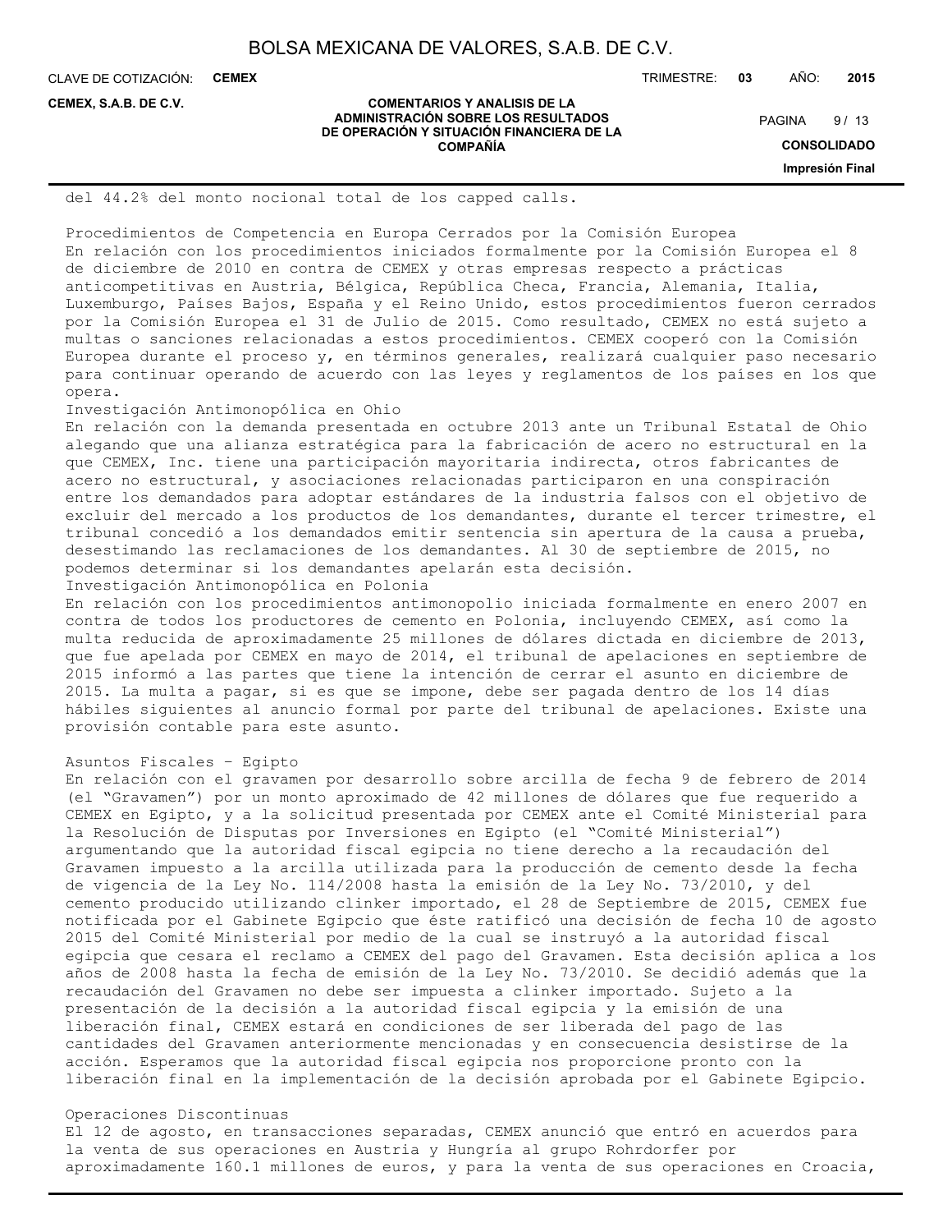**COMENTARIOS Y ANALISIS DE LA ADMINISTRACIÓN SOBRE LOS RESULTADOS DE OPERACIÓN Y SITUACIÓN FINANCIERA DE LA COMPAÑÍA**

CLAVE DE COTIZACIÓN: **CEMEX**

**CEMEX, S.A.B. DE C.V.**

TRIMESTRE: **03** AÑO: **2015**

 $9/13$ PAGINA

**CONSOLIDADO**

**Impresión Final**

### del 44.2% del monto nocional total de los capped calls.

Procedimientos de Competencia en Europa Cerrados por la Comisión Europea En relación con los procedimientos iniciados formalmente por la Comisión Europea el 8 de diciembre de 2010 en contra de CEMEX y otras empresas respecto a prácticas anticompetitivas en Austria, Bélgica, República Checa, Francia, Alemania, Italia, Luxemburgo, Países Bajos, España y el Reino Unido, estos procedimientos fueron cerrados por la Comisión Europea el 31 de Julio de 2015. Como resultado, CEMEX no está sujeto a multas o sanciones relacionadas a estos procedimientos. CEMEX cooperó con la Comisión Europea durante el proceso y, en términos generales, realizará cualquier paso necesario para continuar operando de acuerdo con las leyes y reglamentos de los países en los que opera.

#### Investigación Antimonopólica en Ohio

En relación con la demanda presentada en octubre 2013 ante un Tribunal Estatal de Ohio alegando que una alianza estratégica para la fabricación de acero no estructural en la que CEMEX, Inc. tiene una participación mayoritaria indirecta, otros fabricantes de acero no estructural, y asociaciones relacionadas participaron en una conspiración entre los demandados para adoptar estándares de la industria falsos con el objetivo de excluir del mercado a los productos de los demandantes, durante el tercer trimestre, el tribunal concedió a los demandados emitir sentencia sin apertura de la causa a prueba, desestimando las reclamaciones de los demandantes. Al 30 de septiembre de 2015, no podemos determinar si los demandantes apelarán esta decisión. Investigación Antimonopólica en Polonia

En relación con los procedimientos antimonopolio iniciada formalmente en enero 2007 en contra de todos los productores de cemento en Polonia, incluyendo CEMEX, así como la multa reducida de aproximadamente 25 millones de dólares dictada en diciembre de 2013, que fue apelada por CEMEX en mayo de 2014, el tribunal de apelaciones en septiembre de 2015 informó a las partes que tiene la intención de cerrar el asunto en diciembre de 2015. La multa a pagar, si es que se impone, debe ser pagada dentro de los 14 días hábiles siguientes al anuncio formal por parte del tribunal de apelaciones. Existe una provisión contable para este asunto.

#### Asuntos Fiscales – Egipto

En relación con el gravamen por desarrollo sobre arcilla de fecha 9 de febrero de 2014 (el "Gravamen") por un monto aproximado de 42 millones de dólares que fue requerido a CEMEX en Egipto, y a la solicitud presentada por CEMEX ante el Comité Ministerial para la Resolución de Disputas por Inversiones en Egipto (el "Comité Ministerial") argumentando que la autoridad fiscal egipcia no tiene derecho a la recaudación del Gravamen impuesto a la arcilla utilizada para la producción de cemento desde la fecha de vigencia de la Ley No. 114/2008 hasta la emisión de la Ley No. 73/2010, y del cemento producido utilizando clinker importado, el 28 de Septiembre de 2015, CEMEX fue notificada por el Gabinete Egipcio que éste ratificó una decisión de fecha 10 de agosto 2015 del Comité Ministerial por medio de la cual se instruyó a la autoridad fiscal egipcia que cesara el reclamo a CEMEX del pago del Gravamen. Esta decisión aplica a los años de 2008 hasta la fecha de emisión de la Ley No. 73/2010. Se decidió además que la recaudación del Gravamen no debe ser impuesta a clinker importado. Sujeto a la presentación de la decisión a la autoridad fiscal egipcia y la emisión de una liberación final, CEMEX estará en condiciones de ser liberada del pago de las cantidades del Gravamen anteriormente mencionadas y en consecuencia desistirse de la acción. Esperamos que la autoridad fiscal egipcia nos proporcione pronto con la liberación final en la implementación de la decisión aprobada por el Gabinete Egipcio.

#### Operaciones Discontinuas

El 12 de agosto, en transacciones separadas, CEMEX anunció que entró en acuerdos para la venta de sus operaciones en Austria y Hungría al grupo Rohrdorfer por aproximadamente 160.1 millones de euros, y para la venta de sus operaciones en Croacia,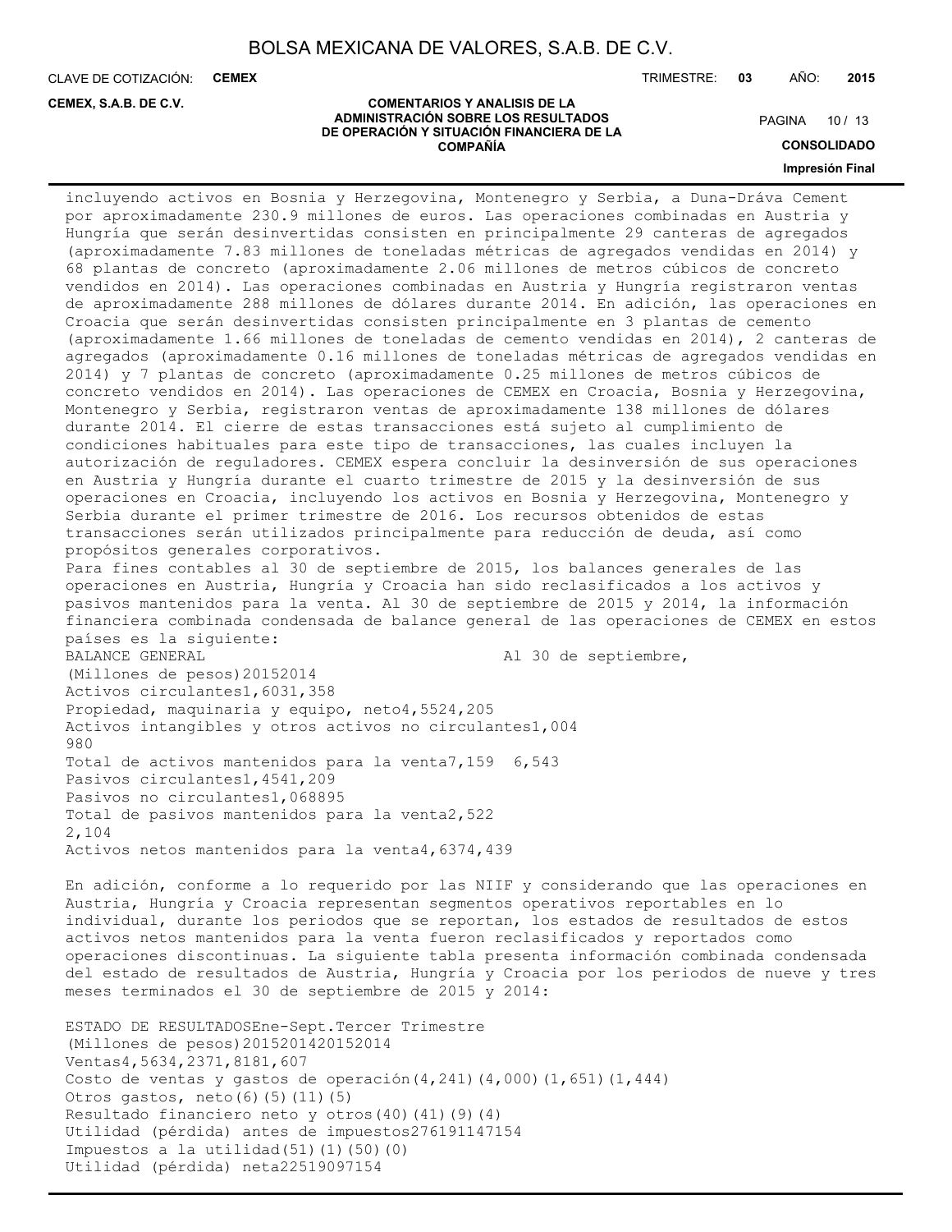CLAVE DE COTIZACIÓN: **CEMEX**

**CEMEX, S.A.B. DE C.V.**

TRIMESTRE: **03** AÑO: **2015**

#### **COMENTARIOS Y ANALISIS DE LA ADMINISTRACIÓN SOBRE LOS RESULTADOS DE OPERACIÓN Y SITUACIÓN FINANCIERA DE LA COMPAÑÍA**

PAGINA 10 / 13

**CONSOLIDADO**

**Impresión Final**

incluyendo activos en Bosnia y Herzegovina, Montenegro y Serbia, a Duna-Dráva Cement por aproximadamente 230.9 millones de euros. Las operaciones combinadas en Austria y Hungría que serán desinvertidas consisten en principalmente 29 canteras de agregados (aproximadamente 7.83 millones de toneladas métricas de agregados vendidas en 2014) y 68 plantas de concreto (aproximadamente 2.06 millones de metros cúbicos de concreto vendidos en 2014). Las operaciones combinadas en Austria y Hungría registraron ventas de aproximadamente 288 millones de dólares durante 2014. En adición, las operaciones en Croacia que serán desinvertidas consisten principalmente en 3 plantas de cemento (aproximadamente 1.66 millones de toneladas de cemento vendidas en 2014), 2 canteras de agregados (aproximadamente 0.16 millones de toneladas métricas de agregados vendidas en 2014) y 7 plantas de concreto (aproximadamente 0.25 millones de metros cúbicos de concreto vendidos en 2014). Las operaciones de CEMEX en Croacia, Bosnia y Herzegovina, Montenegro y Serbia, registraron ventas de aproximadamente 138 millones de dólares durante 2014. El cierre de estas transacciones está sujeto al cumplimiento de condiciones habituales para este tipo de transacciones, las cuales incluyen la autorización de reguladores. CEMEX espera concluir la desinversión de sus operaciones en Austria y Hungría durante el cuarto trimestre de 2015 y la desinversión de sus operaciones en Croacia, incluyendo los activos en Bosnia y Herzegovina, Montenegro y Serbia durante el primer trimestre de 2016. Los recursos obtenidos de estas transacciones serán utilizados principalmente para reducción de deuda, así como propósitos generales corporativos. Para fines contables al 30 de septiembre de 2015, los balances generales de las operaciones en Austria, Hungría y Croacia han sido reclasificados a los activos y pasivos mantenidos para la venta. Al 30 de septiembre de 2015 y 2014, la información financiera combinada condensada de balance general de las operaciones de CEMEX en estos países es la siguiente: BALANCE GENERAL **Al 30 de septiembre**, (Millones de pesos)20152014 Activos circulantes1,6031,358 Propiedad, maquinaria y equipo, neto4,5524,205 Activos intangibles y otros activos no circulantes1,004 980 Total de activos mantenidos para la venta7,159 6,543 Pasivos circulantes1,4541,209 Pasivos no circulantes1,068895 Total de pasivos mantenidos para la venta2,522 2,104 Activos netos mantenidos para la venta4,6374,439 En adición, conforme a lo requerido por las NIIF y considerando que las operaciones en

Austria, Hungría y Croacia representan segmentos operativos reportables en lo individual, durante los periodos que se reportan, los estados de resultados de estos activos netos mantenidos para la venta fueron reclasificados y reportados como operaciones discontinuas. La siguiente tabla presenta información combinada condensada del estado de resultados de Austria, Hungría y Croacia por los periodos de nueve y tres meses terminados el 30 de septiembre de 2015 y 2014:

ESTADO DE RESULTADOSEne-Sept.Tercer Trimestre (Millones de pesos)2015201420152014 Ventas4,5634,2371,8181,607 Costo de ventas y gastos de operación  $(4,241)$   $(4,000)$   $(1,651)$   $(1,444)$ Otros gastos, neto(6)(5)(11)(5) Resultado financiero neto y otros(40)(41)(9)(4) Utilidad (pérdida) antes de impuestos276191147154 Impuestos a la utilidad $(51)(1)(50)(0)$ Utilidad (pérdida) neta22519097154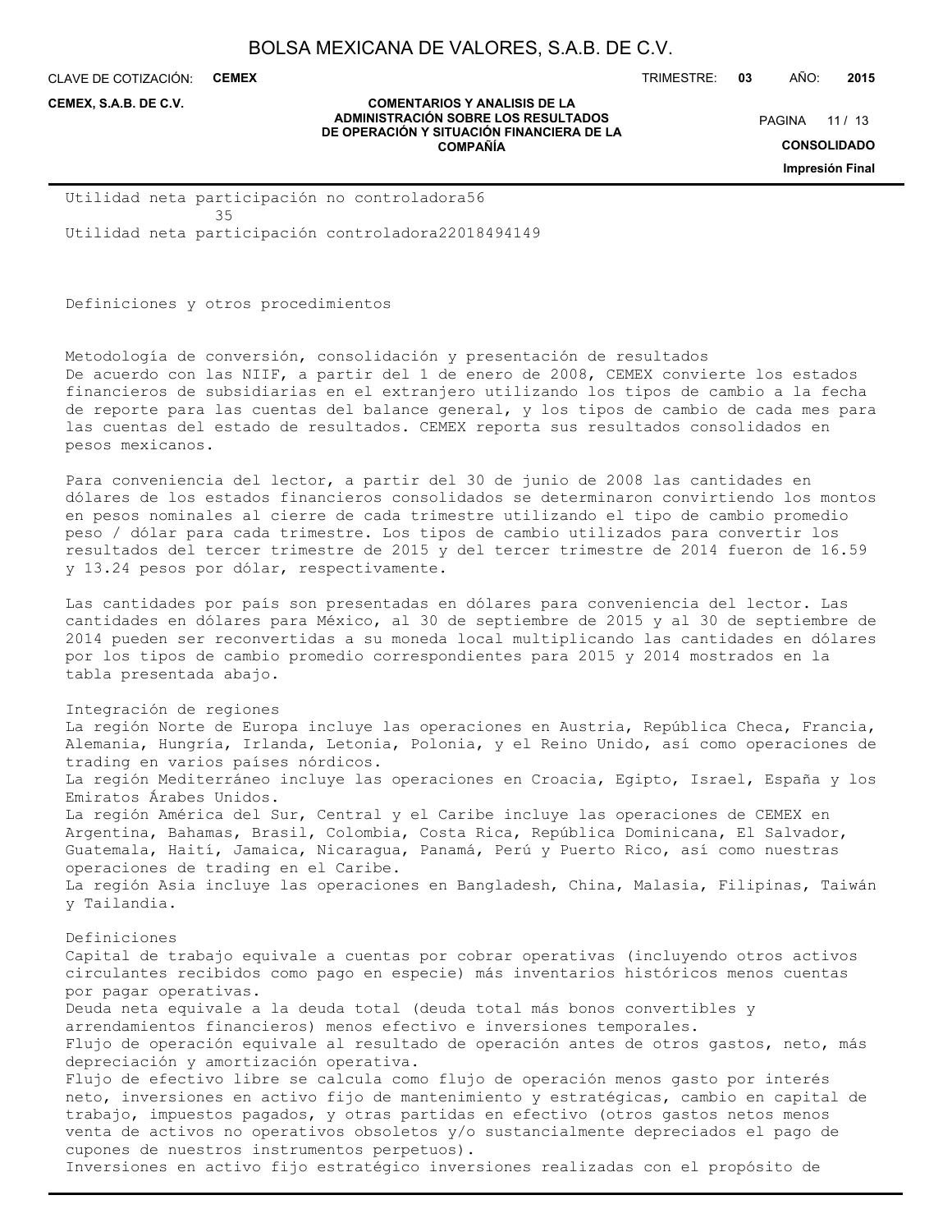**COMENTARIOS Y ANALISIS DE LA**

CLAVE DE COTIZACIÓN: **CEMEX**

**CEMEX, S.A.B. DE C.V.**

TRIMESTRE: **03** AÑO: **2015**

PAGINA 11 / 13

**CONSOLIDADO**

**Impresión Final**

**ADMINISTRACIÓN SOBRE LOS RESULTADOS DE OPERACIÓN Y SITUACIÓN FINANCIERA DE LA COMPAÑÍA**

Utilidad neta participación no controladora56 35 Utilidad neta participación controladora22018494149

Definiciones y otros procedimientos

Metodología de conversión, consolidación y presentación de resultados De acuerdo con las NIIF, a partir del 1 de enero de 2008, CEMEX convierte los estados financieros de subsidiarias en el extranjero utilizando los tipos de cambio a la fecha de reporte para las cuentas del balance general, y los tipos de cambio de cada mes para las cuentas del estado de resultados. CEMEX reporta sus resultados consolidados en pesos mexicanos.

Para conveniencia del lector, a partir del 30 de junio de 2008 las cantidades en dólares de los estados financieros consolidados se determinaron convirtiendo los montos en pesos nominales al cierre de cada trimestre utilizando el tipo de cambio promedio peso / dólar para cada trimestre. Los tipos de cambio utilizados para convertir los resultados del tercer trimestre de 2015 y del tercer trimestre de 2014 fueron de 16.59 y 13.24 pesos por dólar, respectivamente.

Las cantidades por país son presentadas en dólares para conveniencia del lector. Las cantidades en dólares para México, al 30 de septiembre de 2015 y al 30 de septiembre de 2014 pueden ser reconvertidas a su moneda local multiplicando las cantidades en dólares por los tipos de cambio promedio correspondientes para 2015 y 2014 mostrados en la tabla presentada abajo.

Integración de regiones

La región Norte de Europa incluye las operaciones en Austria, República Checa, Francia, Alemania, Hungría, Irlanda, Letonia, Polonia, y el Reino Unido, así como operaciones de trading en varios países nórdicos. La región Mediterráneo incluye las operaciones en Croacia, Egipto, Israel, España y los Emiratos Árabes Unidos. La región América del Sur, Central y el Caribe incluye las operaciones de CEMEX en Argentina, Bahamas, Brasil, Colombia, Costa Rica, República Dominicana, El Salvador, Guatemala, Haití, Jamaica, Nicaragua, Panamá, Perú y Puerto Rico, así como nuestras operaciones de trading en el Caribe. La región Asia incluye las operaciones en Bangladesh, China, Malasia, Filipinas, Taiwán y Tailandia. Definiciones

Capital de trabajo equivale a cuentas por cobrar operativas (incluyendo otros activos circulantes recibidos como pago en especie) más inventarios históricos menos cuentas por pagar operativas. Deuda neta equivale a la deuda total (deuda total más bonos convertibles y arrendamientos financieros) menos efectivo e inversiones temporales. Flujo de operación equivale al resultado de operación antes de otros gastos, neto, más depreciación y amortización operativa. Flujo de efectivo libre se calcula como flujo de operación menos gasto por interés neto, inversiones en activo fijo de mantenimiento y estratégicas, cambio en capital de trabajo, impuestos pagados, y otras partidas en efectivo (otros gastos netos menos venta de activos no operativos obsoletos y/o sustancialmente depreciados el pago de cupones de nuestros instrumentos perpetuos). Inversiones en activo fijo estratégico inversiones realizadas con el propósito de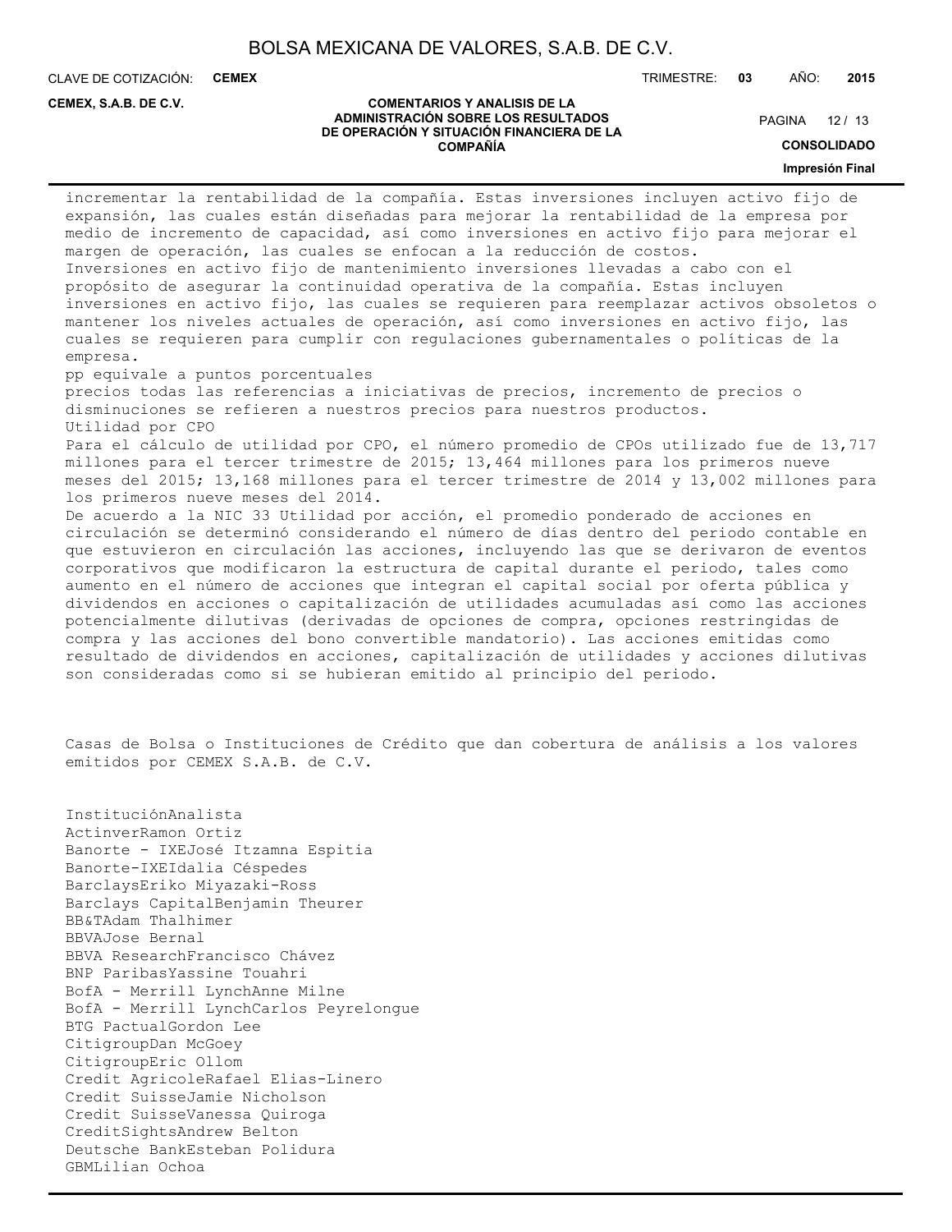CLAVE DE COTIZACIÓN: **CEMEX**

**CEMEX, S.A.B. DE C.V.**

TRIMESTRE: **03** AÑO: **2015**

#### **COMENTARIOS Y ANALISIS DE LA ADMINISTRACIÓN SOBRE LOS RESULTADOS DE OPERACIÓN Y SITUACIÓN FINANCIERA DE LA COMPAÑÍA**

PAGINA 12 / 13

**CONSOLIDADO**

**Impresión Final**

incrementar la rentabilidad de la compañía. Estas inversiones incluyen activo fijo de expansión, las cuales están diseñadas para mejorar la rentabilidad de la empresa por medio de incremento de capacidad, así como inversiones en activo fijo para mejorar el margen de operación, las cuales se enfocan a la reducción de costos. Inversiones en activo fijo de mantenimiento inversiones llevadas a cabo con el propósito de asegurar la continuidad operativa de la compañía. Estas incluyen inversiones en activo fijo, las cuales se requieren para reemplazar activos obsoletos o mantener los niveles actuales de operación, así como inversiones en activo fijo, las cuales se requieren para cumplir con regulaciones gubernamentales o políticas de la empresa. pp equivale a puntos porcentuales precios todas las referencias a iniciativas de precios, incremento de precios o disminuciones se refieren a nuestros precios para nuestros productos. Utilidad por CPO Para el cálculo de utilidad por CPO, el número promedio de CPOs utilizado fue de 13,717 millones para el tercer trimestre de 2015; 13,464 millones para los primeros nueve meses del 2015; 13,168 millones para el tercer trimestre de 2014 y 13,002 millones para los primeros nueve meses del 2014. De acuerdo a la NIC 33 Utilidad por acción, el promedio ponderado de acciones en circulación se determinó considerando el número de días dentro del periodo contable en que estuvieron en circulación las acciones, incluyendo las que se derivaron de eventos corporativos que modificaron la estructura de capital durante el periodo, tales como aumento en el número de acciones que integran el capital social por oferta pública y dividendos en acciones o capitalización de utilidades acumuladas así como las acciones potencialmente dilutivas (derivadas de opciones de compra, opciones restringidas de compra y las acciones del bono convertible mandatorio). Las acciones emitidas como resultado de dividendos en acciones, capitalización de utilidades y acciones dilutivas son consideradas como si se hubieran emitido al principio del periodo.

Casas de Bolsa o Instituciones de Crédito que dan cobertura de análisis a los valores emitidos por CEMEX S.A.B. de C.V.

InstituciónAnalista ActinverRamon Ortiz Banorte - IXEJosé Itzamna Espitia Banorte-IXEIdalia Céspedes BarclaysEriko Miyazaki-Ross Barclays CapitalBenjamin Theurer BB&TAdam Thalhimer BBVAJose Bernal BBVA ResearchFrancisco Chávez BNP ParibasYassine Touahri BofA - Merrill LynchAnne Milne BofA - Merrill LynchCarlos Peyrelongue BTG PactualGordon Lee CitigroupDan McGoey CitigroupEric Ollom Credit AgricoleRafael Elias-Linero Credit SuisseJamie Nicholson Credit SuisseVanessa Quiroga CreditSightsAndrew Belton Deutsche BankEsteban Polidura GBMLilian Ochoa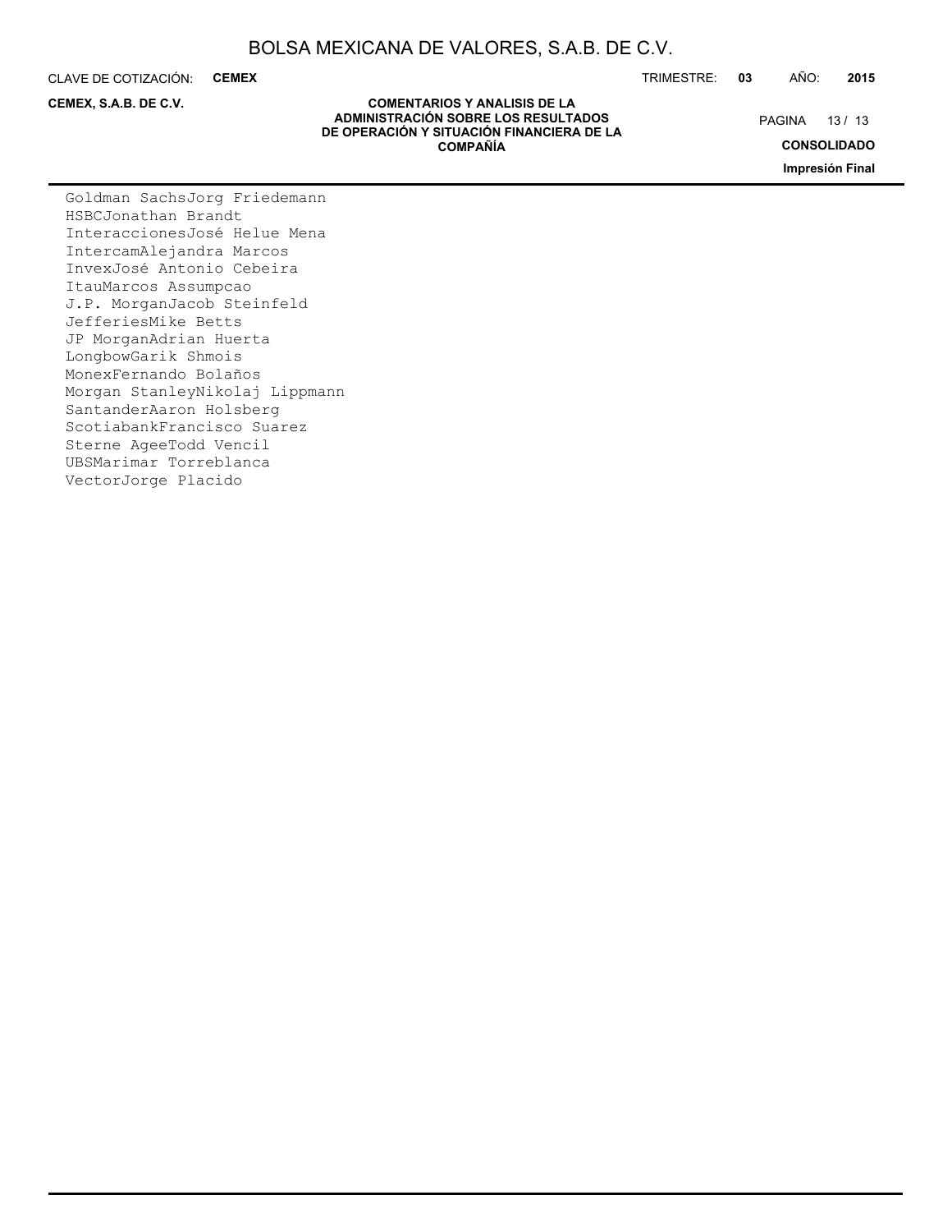CLAVE DE COTIZACIÓN: **CEMEX**

**CEMEX, S.A.B. DE C.V.**

#### **COMENTARIOS Y ANALISIS DE LA ADMINISTRACIÓN SOBRE LOS RESULTADOS DE OPERACIÓN Y SITUACIÓN FINANCIERA DE LA COMPAÑÍA**

TRIMESTRE: **03** AÑO: **2015**

PAGINA 13 / 13

**CONSOLIDADO**

**Impresión Final**

Goldman SachsJorg Friedemann HSBCJonathan Brandt InteraccionesJosé Helue Mena IntercamAlejandra Marcos InvexJosé Antonio Cebeira ItauMarcos Assumpcao J.P. MorganJacob Steinfeld JefferiesMike Betts JP MorganAdrian Huerta LongbowGarik Shmois MonexFernando Bolaños Morgan StanleyNikolaj Lippmann SantanderAaron Holsberg ScotiabankFrancisco Suarez Sterne AgeeTodd Vencil UBSMarimar Torreblanca VectorJorge Placido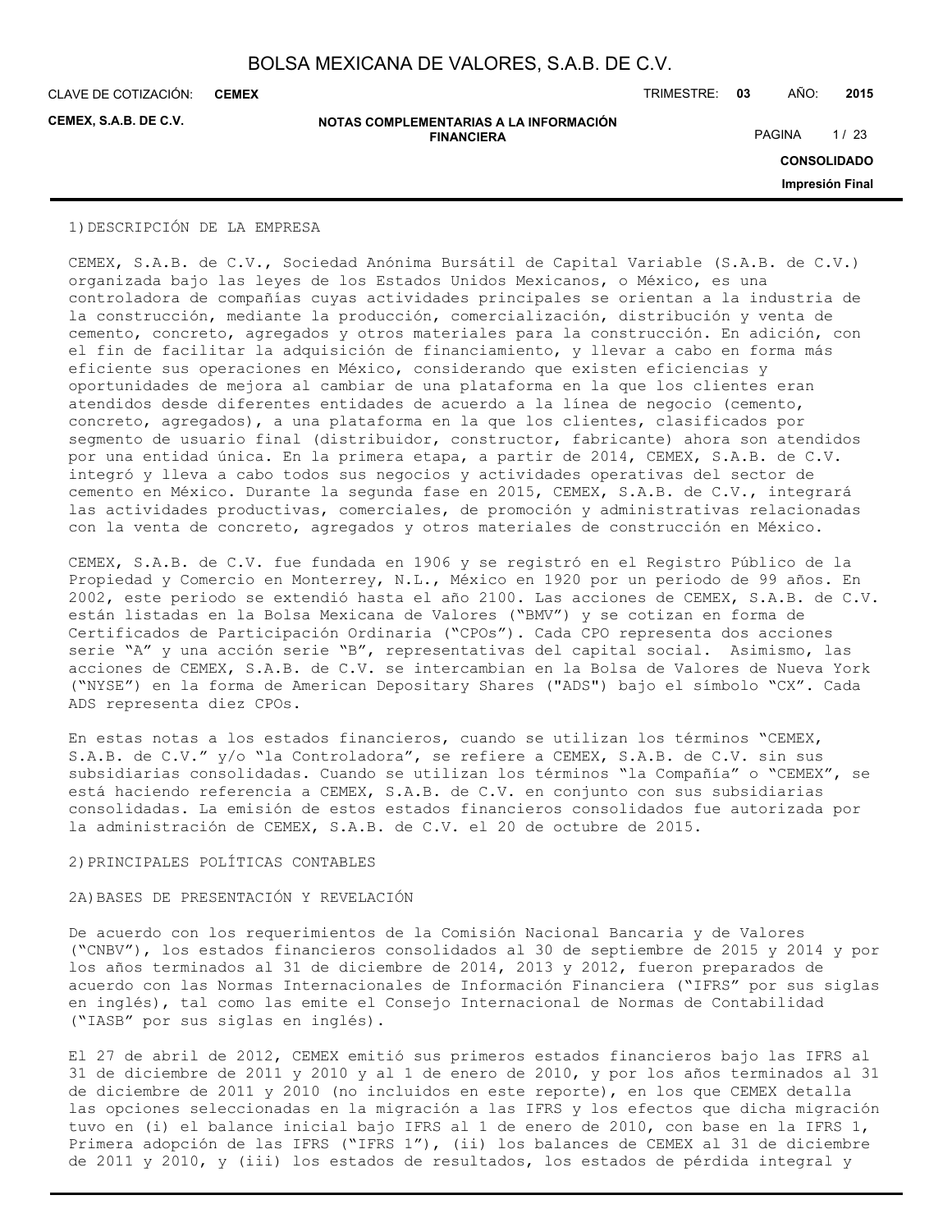**CEMEX**

**CEMEX, S.A.B. DE C.V.**

**NOTAS COMPLEMENTARIAS A LA INFORMACIÓN FINANCIERA**

CLAVE DE COTIZACIÓN: TRIMESTRE: **03** AÑO: **2015**

PAGINA 1/23

**CONSOLIDADO**

**Impresión Final**

#### 1)DESCRIPCIÓN DE LA EMPRESA

CEMEX, S.A.B. de C.V., Sociedad Anónima Bursátil de Capital Variable (S.A.B. de C.V.) organizada bajo las leyes de los Estados Unidos Mexicanos, o México, es una controladora de compañías cuyas actividades principales se orientan a la industria de la construcción, mediante la producción, comercialización, distribución y venta de cemento, concreto, agregados y otros materiales para la construcción. En adición, con el fin de facilitar la adquisición de financiamiento, y llevar a cabo en forma más eficiente sus operaciones en México, considerando que existen eficiencias y oportunidades de mejora al cambiar de una plataforma en la que los clientes eran atendidos desde diferentes entidades de acuerdo a la línea de negocio (cemento, concreto, agregados), a una plataforma en la que los clientes, clasificados por segmento de usuario final (distribuidor, constructor, fabricante) ahora son atendidos por una entidad única. En la primera etapa, a partir de 2014, CEMEX, S.A.B. de C.V. integró y lleva a cabo todos sus negocios y actividades operativas del sector de cemento en México. Durante la segunda fase en 2015, CEMEX, S.A.B. de C.V., integrará las actividades productivas, comerciales, de promoción y administrativas relacionadas con la venta de concreto, agregados y otros materiales de construcción en México.

CEMEX, S.A.B. de C.V. fue fundada en 1906 y se registró en el Registro Público de la Propiedad y Comercio en Monterrey, N.L., México en 1920 por un periodo de 99 años. En 2002, este periodo se extendió hasta el año 2100. Las acciones de CEMEX, S.A.B. de C.V. están listadas en la Bolsa Mexicana de Valores ("BMV") y se cotizan en forma de Certificados de Participación Ordinaria ("CPOs"). Cada CPO representa dos acciones serie "A" y una acción serie "B", representativas del capital social. Asimismo, las acciones de CEMEX, S.A.B. de C.V. se intercambian en la Bolsa de Valores de Nueva York ("NYSE") en la forma de American Depositary Shares ("ADS") bajo el símbolo "CX". Cada ADS representa diez CPOs.

En estas notas a los estados financieros, cuando se utilizan los términos "CEMEX, S.A.B. de C.V." y/o "la Controladora", se refiere a CEMEX, S.A.B. de C.V. sin sus subsidiarias consolidadas. Cuando se utilizan los términos "la Compañía" o "CEMEX", se está haciendo referencia a CEMEX, S.A.B. de C.V. en conjunto con sus subsidiarias consolidadas. La emisión de estos estados financieros consolidados fue autorizada por la administración de CEMEX, S.A.B. de C.V. el 20 de octubre de 2015.

#### 2)PRINCIPALES POLÍTICAS CONTABLES

#### 2A)BASES DE PRESENTACIÓN Y REVELACIÓN

De acuerdo con los requerimientos de la Comisión Nacional Bancaria y de Valores ("CNBV"), los estados financieros consolidados al 30 de septiembre de 2015 y 2014 y por los años terminados al 31 de diciembre de 2014, 2013 y 2012, fueron preparados de acuerdo con las Normas Internacionales de Información Financiera ("IFRS" por sus siglas en inglés), tal como las emite el Consejo Internacional de Normas de Contabilidad ("IASB" por sus siglas en inglés).

El 27 de abril de 2012, CEMEX emitió sus primeros estados financieros bajo las IFRS al 31 de diciembre de 2011 y 2010 y al 1 de enero de 2010, y por los años terminados al 31 de diciembre de 2011 y 2010 (no incluidos en este reporte), en los que CEMEX detalla las opciones seleccionadas en la migración a las IFRS y los efectos que dicha migración tuvo en (i) el balance inicial bajo IFRS al 1 de enero de 2010, con base en la IFRS 1, Primera adopción de las IFRS ("IFRS 1"), (ii) los balances de CEMEX al 31 de diciembre de 2011 y 2010, y (iii) los estados de resultados, los estados de pérdida integral y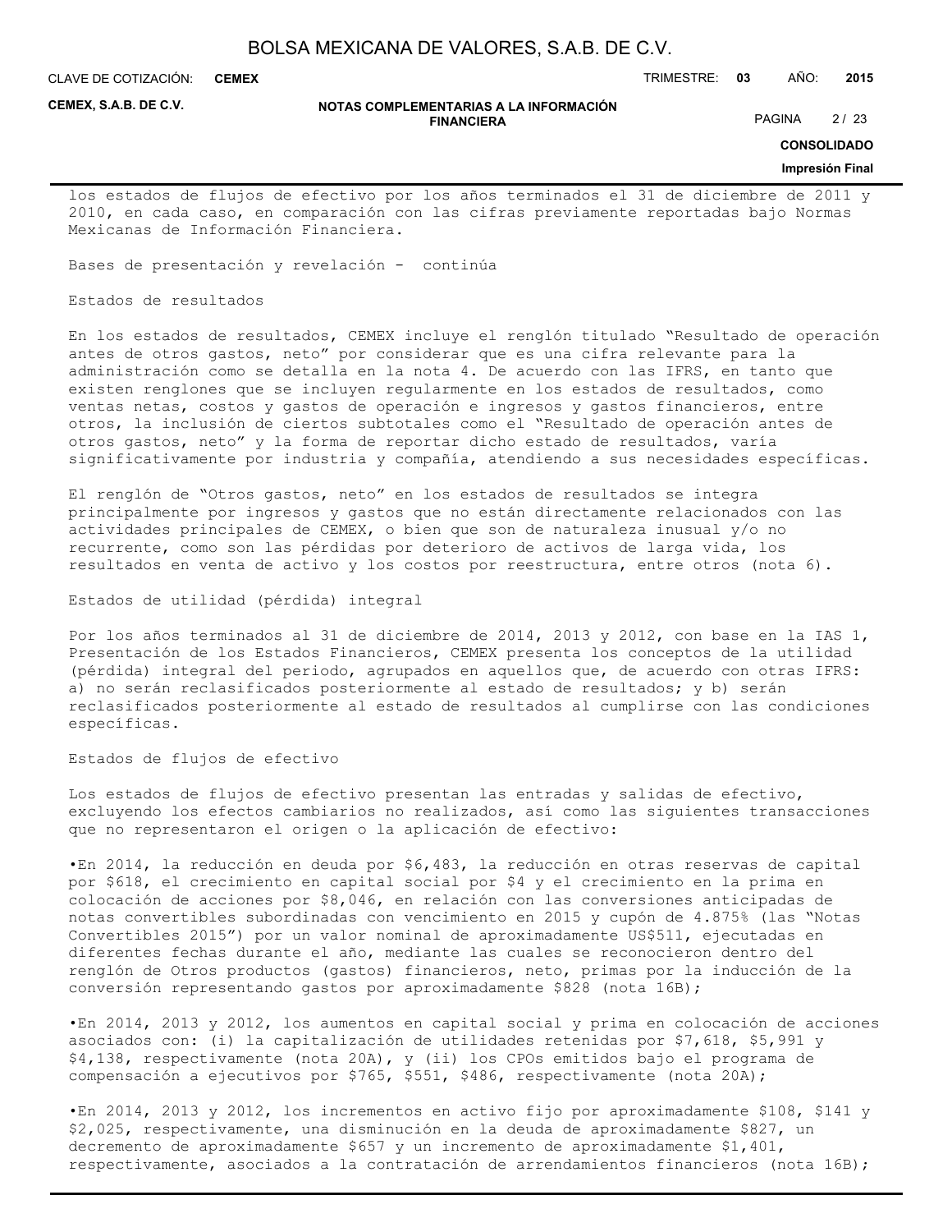**CEMEX**

CLAVE DE COTIZACIÓN: TRIMESTRE: **03** AÑO: **2015**

**CEMEX, S.A.B. DE C.V.**

#### **NOTAS COMPLEMENTARIAS A LA INFORMACIÓN FINANCIERA**

PAGINA 2/23

**CONSOLIDADO**

#### **Impresión Final**

los estados de flujos de efectivo por los años terminados el 31 de diciembre de 2011 y 2010, en cada caso, en comparación con las cifras previamente reportadas bajo Normas Mexicanas de Información Financiera.

Bases de presentación y revelación - continúa

Estados de resultados

En los estados de resultados, CEMEX incluye el renglón titulado "Resultado de operación antes de otros gastos, neto" por considerar que es una cifra relevante para la administración como se detalla en la nota 4. De acuerdo con las IFRS, en tanto que existen renglones que se incluyen regularmente en los estados de resultados, como ventas netas, costos y gastos de operación e ingresos y gastos financieros, entre otros, la inclusión de ciertos subtotales como el "Resultado de operación antes de otros gastos, neto" y la forma de reportar dicho estado de resultados, varía significativamente por industria y compañía, atendiendo a sus necesidades específicas.

El renglón de "Otros gastos, neto" en los estados de resultados se integra principalmente por ingresos y gastos que no están directamente relacionados con las actividades principales de CEMEX, o bien que son de naturaleza inusual y/o no recurrente, como son las pérdidas por deterioro de activos de larga vida, los resultados en venta de activo y los costos por reestructura, entre otros (nota 6).

Estados de utilidad (pérdida) integral

Por los años terminados al 31 de diciembre de 2014, 2013 y 2012, con base en la IAS 1, Presentación de los Estados Financieros, CEMEX presenta los conceptos de la utilidad (pérdida) integral del periodo, agrupados en aquellos que, de acuerdo con otras IFRS: a) no serán reclasificados posteriormente al estado de resultados; y b) serán reclasificados posteriormente al estado de resultados al cumplirse con las condiciones específicas.

Estados de flujos de efectivo

Los estados de flujos de efectivo presentan las entradas y salidas de efectivo, excluyendo los efectos cambiarios no realizados, así como las siguientes transacciones que no representaron el origen o la aplicación de efectivo:

•En 2014, la reducción en deuda por \$6,483, la reducción en otras reservas de capital por \$618, el crecimiento en capital social por \$4 y el crecimiento en la prima en colocación de acciones por \$8,046, en relación con las conversiones anticipadas de notas convertibles subordinadas con vencimiento en 2015 y cupón de 4.875% (las "Notas Convertibles 2015") por un valor nominal de aproximadamente US\$511, ejecutadas en diferentes fechas durante el año, mediante las cuales se reconocieron dentro del renglón de Otros productos (gastos) financieros, neto, primas por la inducción de la conversión representando gastos por aproximadamente \$828 (nota 16B);

•En 2014, 2013 y 2012, los aumentos en capital social y prima en colocación de acciones asociados con: (i) la capitalización de utilidades retenidas por \$7,618, \$5,991 y \$4,138, respectivamente (nota 20A), y (ii) los CPOs emitidos bajo el programa de compensación a ejecutivos por \$765, \$551, \$486, respectivamente (nota 20A);

•En 2014, 2013 y 2012, los incrementos en activo fijo por aproximadamente \$108, \$141 y \$2,025, respectivamente, una disminución en la deuda de aproximadamente \$827, un decremento de aproximadamente \$657 y un incremento de aproximadamente \$1,401, respectivamente, asociados a la contratación de arrendamientos financieros (nota 16B);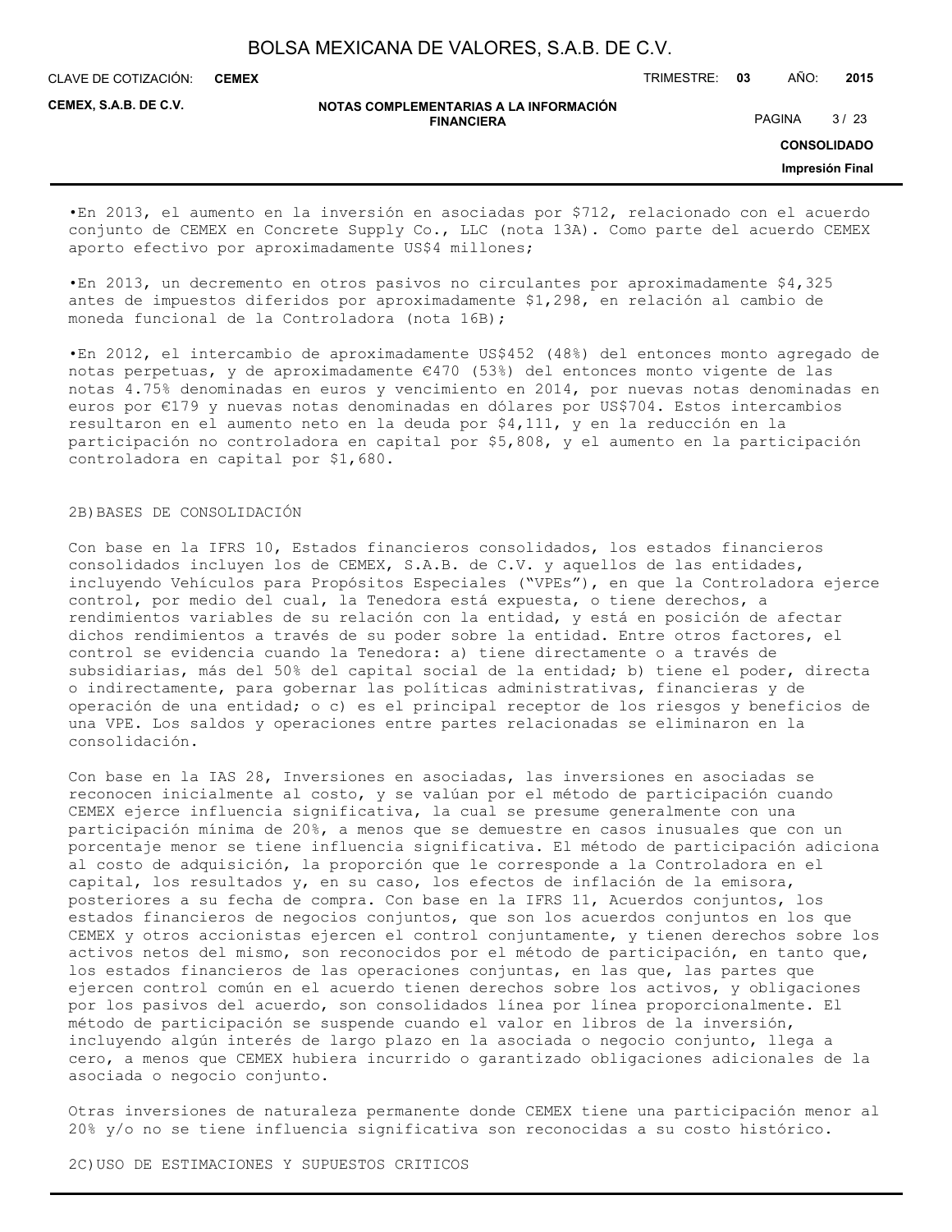**CEMEX**

CLAVE DE COTIZACIÓN: TRIMESTRE: **03** AÑO: **2015**

**CEMEX, S.A.B. DE C.V.**

**NOTAS COMPLEMENTARIAS A LA INFORMACIÓN FINANCIERA**

PAGINA 3/23

**CONSOLIDADO**

**Impresión Final**

•En 2013, el aumento en la inversión en asociadas por \$712, relacionado con el acuerdo conjunto de CEMEX en Concrete Supply Co., LLC (nota 13A). Como parte del acuerdo CEMEX aporto efectivo por aproximadamente US\$4 millones;

•En 2013, un decremento en otros pasivos no circulantes por aproximadamente \$4,325 antes de impuestos diferidos por aproximadamente \$1,298, en relación al cambio de moneda funcional de la Controladora (nota 16B);

•En 2012, el intercambio de aproximadamente US\$452 (48%) del entonces monto agregado de notas perpetuas, y de aproximadamente €470 (53%) del entonces monto vigente de las notas 4.75% denominadas en euros y vencimiento en 2014, por nuevas notas denominadas en euros por €179 y nuevas notas denominadas en dólares por US\$704. Estos intercambios resultaron en el aumento neto en la deuda por \$4,111, y en la reducción en la participación no controladora en capital por \$5,808, y el aumento en la participación controladora en capital por \$1,680.

#### 2B)BASES DE CONSOLIDACIÓN

Con base en la IFRS 10, Estados financieros consolidados, los estados financieros consolidados incluyen los de CEMEX, S.A.B. de C.V. y aquellos de las entidades, incluyendo Vehículos para Propósitos Especiales ("VPEs"), en que la Controladora ejerce control, por medio del cual, la Tenedora está expuesta, o tiene derechos, a rendimientos variables de su relación con la entidad, y está en posición de afectar dichos rendimientos a través de su poder sobre la entidad. Entre otros factores, el control se evidencia cuando la Tenedora: a) tiene directamente o a través de subsidiarias, más del 50% del capital social de la entidad; b) tiene el poder, directa o indirectamente, para gobernar las políticas administrativas, financieras y de operación de una entidad; o c) es el principal receptor de los riesgos y beneficios de una VPE. Los saldos y operaciones entre partes relacionadas se eliminaron en la consolidación.

Con base en la IAS 28, Inversiones en asociadas, las inversiones en asociadas se reconocen inicialmente al costo, y se valúan por el método de participación cuando CEMEX ejerce influencia significativa, la cual se presume generalmente con una participación mínima de 20%, a menos que se demuestre en casos inusuales que con un porcentaje menor se tiene influencia significativa. El método de participación adiciona al costo de adquisición, la proporción que le corresponde a la Controladora en el capital, los resultados y, en su caso, los efectos de inflación de la emisora, posteriores a su fecha de compra. Con base en la IFRS 11, Acuerdos conjuntos, los estados financieros de negocios conjuntos, que son los acuerdos conjuntos en los que CEMEX y otros accionistas ejercen el control conjuntamente, y tienen derechos sobre los activos netos del mismo, son reconocidos por el método de participación, en tanto que, los estados financieros de las operaciones conjuntas, en las que, las partes que ejercen control común en el acuerdo tienen derechos sobre los activos, y obligaciones por los pasivos del acuerdo, son consolidados línea por línea proporcionalmente. El método de participación se suspende cuando el valor en libros de la inversión, incluyendo algún interés de largo plazo en la asociada o negocio conjunto, llega a cero, a menos que CEMEX hubiera incurrido o garantizado obligaciones adicionales de la asociada o negocio conjunto.

Otras inversiones de naturaleza permanente donde CEMEX tiene una participación menor al 20% y/o no se tiene influencia significativa son reconocidas a su costo histórico.

2C)USO DE ESTIMACIONES Y SUPUESTOS CRITICOS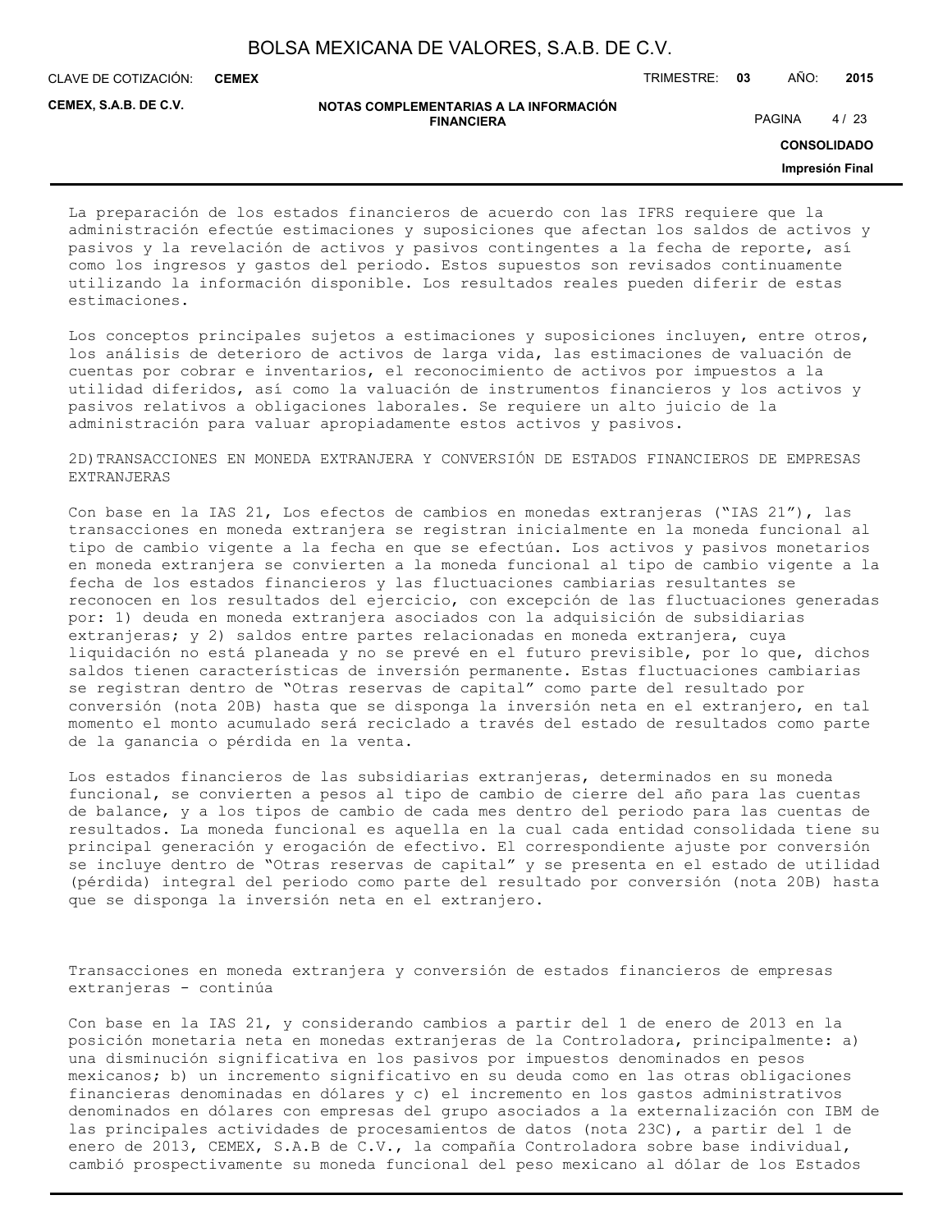**CEMEX**

CLAVE DE COTIZACIÓN: TRIMESTRE: **03** AÑO: **2015**

**CEMEX, S.A.B. DE C.V.**

#### **NOTAS COMPLEMENTARIAS A LA INFORMACIÓN FINANCIERA**

PAGINA 4/23

**CONSOLIDADO**

**Impresión Final**

La preparación de los estados financieros de acuerdo con las IFRS requiere que la administración efectúe estimaciones y suposiciones que afectan los saldos de activos y pasivos y la revelación de activos y pasivos contingentes a la fecha de reporte, así como los ingresos y gastos del periodo. Estos supuestos son revisados continuamente utilizando la información disponible. Los resultados reales pueden diferir de estas estimaciones.

Los conceptos principales sujetos a estimaciones y suposiciones incluyen, entre otros, los análisis de deterioro de activos de larga vida, las estimaciones de valuación de cuentas por cobrar e inventarios, el reconocimiento de activos por impuestos a la utilidad diferidos, así como la valuación de instrumentos financieros y los activos y pasivos relativos a obligaciones laborales. Se requiere un alto juicio de la administración para valuar apropiadamente estos activos y pasivos.

2D)TRANSACCIONES EN MONEDA EXTRANJERA Y CONVERSIÓN DE ESTADOS FINANCIEROS DE EMPRESAS EXTRANJERAS

Con base en la IAS 21, Los efectos de cambios en monedas extranjeras ("IAS 21"), las transacciones en moneda extranjera se registran inicialmente en la moneda funcional al tipo de cambio vigente a la fecha en que se efectúan. Los activos y pasivos monetarios en moneda extranjera se convierten a la moneda funcional al tipo de cambio vigente a la fecha de los estados financieros y las fluctuaciones cambiarias resultantes se reconocen en los resultados del ejercicio, con excepción de las fluctuaciones generadas por: 1) deuda en moneda extranjera asociados con la adquisición de subsidiarias extranjeras; y 2) saldos entre partes relacionadas en moneda extranjera, cuya liquidación no está planeada y no se prevé en el futuro previsible, por lo que, dichos saldos tienen características de inversión permanente. Estas fluctuaciones cambiarias se registran dentro de "Otras reservas de capital" como parte del resultado por conversión (nota 20B) hasta que se disponga la inversión neta en el extranjero, en tal momento el monto acumulado será reciclado a través del estado de resultados como parte de la ganancia o pérdida en la venta.

Los estados financieros de las subsidiarias extranjeras, determinados en su moneda funcional, se convierten a pesos al tipo de cambio de cierre del año para las cuentas de balance, y a los tipos de cambio de cada mes dentro del periodo para las cuentas de resultados. La moneda funcional es aquella en la cual cada entidad consolidada tiene su principal generación y erogación de efectivo. El correspondiente ajuste por conversión se incluye dentro de "Otras reservas de capital" y se presenta en el estado de utilidad (pérdida) integral del periodo como parte del resultado por conversión (nota 20B) hasta que se disponga la inversión neta en el extranjero.

Transacciones en moneda extranjera y conversión de estados financieros de empresas extranjeras - continúa

Con base en la IAS 21, y considerando cambios a partir del 1 de enero de 2013 en la posición monetaria neta en monedas extranjeras de la Controladora, principalmente: a) una disminución significativa en los pasivos por impuestos denominados en pesos mexicanos; b) un incremento significativo en su deuda como en las otras obligaciones financieras denominadas en dólares y c) el incremento en los gastos administrativos denominados en dólares con empresas del grupo asociados a la externalización con IBM de las principales actividades de procesamientos de datos (nota 23C), a partir del 1 de enero de 2013, CEMEX, S.A.B de C.V., la compañía Controladora sobre base individual, cambió prospectivamente su moneda funcional del peso mexicano al dólar de los Estados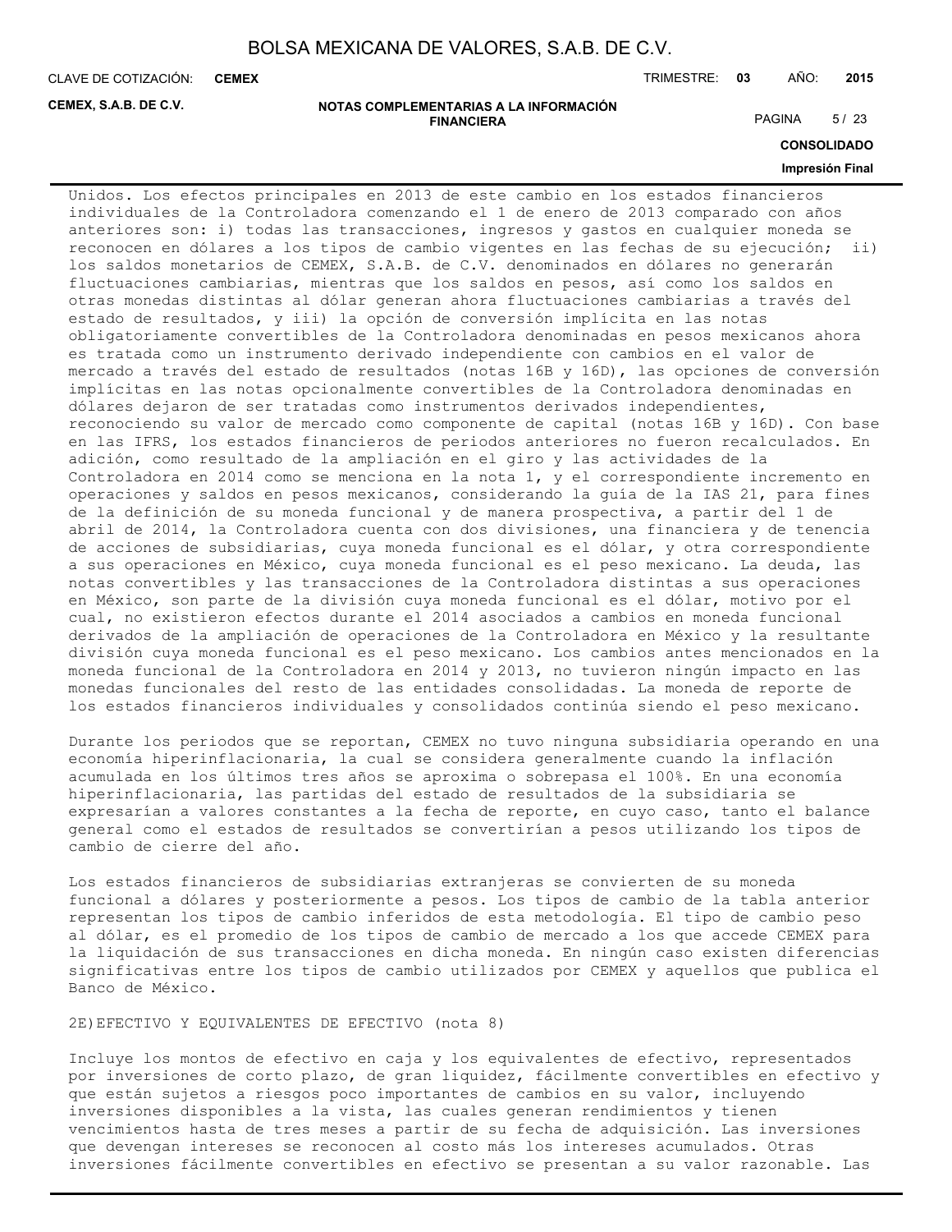**CEMEX**

CLAVE DE COTIZACIÓN: TRIMESTRE: **03** AÑO: **2015**

**CEMEX, S.A.B. DE C.V.**

#### **NOTAS COMPLEMENTARIAS A LA INFORMACIÓN FINANCIERA**

PAGINA 5/23

**CONSOLIDADO**

#### **Impresión Final**

Unidos. Los efectos principales en 2013 de este cambio en los estados financieros individuales de la Controladora comenzando el 1 de enero de 2013 comparado con años anteriores son: i) todas las transacciones, ingresos y gastos en cualquier moneda se reconocen en dólares a los tipos de cambio vigentes en las fechas de su ejecución; ii) los saldos monetarios de CEMEX, S.A.B. de C.V. denominados en dólares no generarán fluctuaciones cambiarias, mientras que los saldos en pesos, así como los saldos en otras monedas distintas al dólar generan ahora fluctuaciones cambiarias a través del estado de resultados, y iii) la opción de conversión implícita en las notas obligatoriamente convertibles de la Controladora denominadas en pesos mexicanos ahora es tratada como un instrumento derivado independiente con cambios en el valor de mercado a través del estado de resultados (notas 16B y 16D), las opciones de conversión implícitas en las notas opcionalmente convertibles de la Controladora denominadas en dólares dejaron de ser tratadas como instrumentos derivados independientes, reconociendo su valor de mercado como componente de capital (notas 16B y 16D). Con base en las IFRS, los estados financieros de periodos anteriores no fueron recalculados. En adición, como resultado de la ampliación en el giro y las actividades de la Controladora en 2014 como se menciona en la nota 1, y el correspondiente incremento en operaciones y saldos en pesos mexicanos, considerando la guía de la IAS 21, para fines de la definición de su moneda funcional y de manera prospectiva, a partir del 1 de abril de 2014, la Controladora cuenta con dos divisiones, una financiera y de tenencia de acciones de subsidiarias, cuya moneda funcional es el dólar, y otra correspondiente a sus operaciones en México, cuya moneda funcional es el peso mexicano. La deuda, las notas convertibles y las transacciones de la Controladora distintas a sus operaciones en México, son parte de la división cuya moneda funcional es el dólar, motivo por el cual, no existieron efectos durante el 2014 asociados a cambios en moneda funcional derivados de la ampliación de operaciones de la Controladora en México y la resultante división cuya moneda funcional es el peso mexicano. Los cambios antes mencionados en la moneda funcional de la Controladora en 2014 y 2013, no tuvieron ningún impacto en las monedas funcionales del resto de las entidades consolidadas. La moneda de reporte de los estados financieros individuales y consolidados continúa siendo el peso mexicano.

Durante los periodos que se reportan, CEMEX no tuvo ninguna subsidiaria operando en una economía hiperinflacionaria, la cual se considera generalmente cuando la inflación acumulada en los últimos tres años se aproxima o sobrepasa el 100%. En una economía hiperinflacionaria, las partidas del estado de resultados de la subsidiaria se expresarían a valores constantes a la fecha de reporte, en cuyo caso, tanto el balance general como el estados de resultados se convertirían a pesos utilizando los tipos de cambio de cierre del año.

Los estados financieros de subsidiarias extranjeras se convierten de su moneda funcional a dólares y posteriormente a pesos. Los tipos de cambio de la tabla anterior representan los tipos de cambio inferidos de esta metodología. El tipo de cambio peso al dólar, es el promedio de los tipos de cambio de mercado a los que accede CEMEX para la liquidación de sus transacciones en dicha moneda. En ningún caso existen diferencias significativas entre los tipos de cambio utilizados por CEMEX y aquellos que publica el Banco de México.

### 2E)EFECTIVO Y EQUIVALENTES DE EFECTIVO (nota 8)

Incluye los montos de efectivo en caja y los equivalentes de efectivo, representados por inversiones de corto plazo, de gran liquidez, fácilmente convertibles en efectivo y que están sujetos a riesgos poco importantes de cambios en su valor, incluyendo inversiones disponibles a la vista, las cuales generan rendimientos y tienen vencimientos hasta de tres meses a partir de su fecha de adquisición. Las inversiones que devengan intereses se reconocen al costo más los intereses acumulados. Otras inversiones fácilmente convertibles en efectivo se presentan a su valor razonable. Las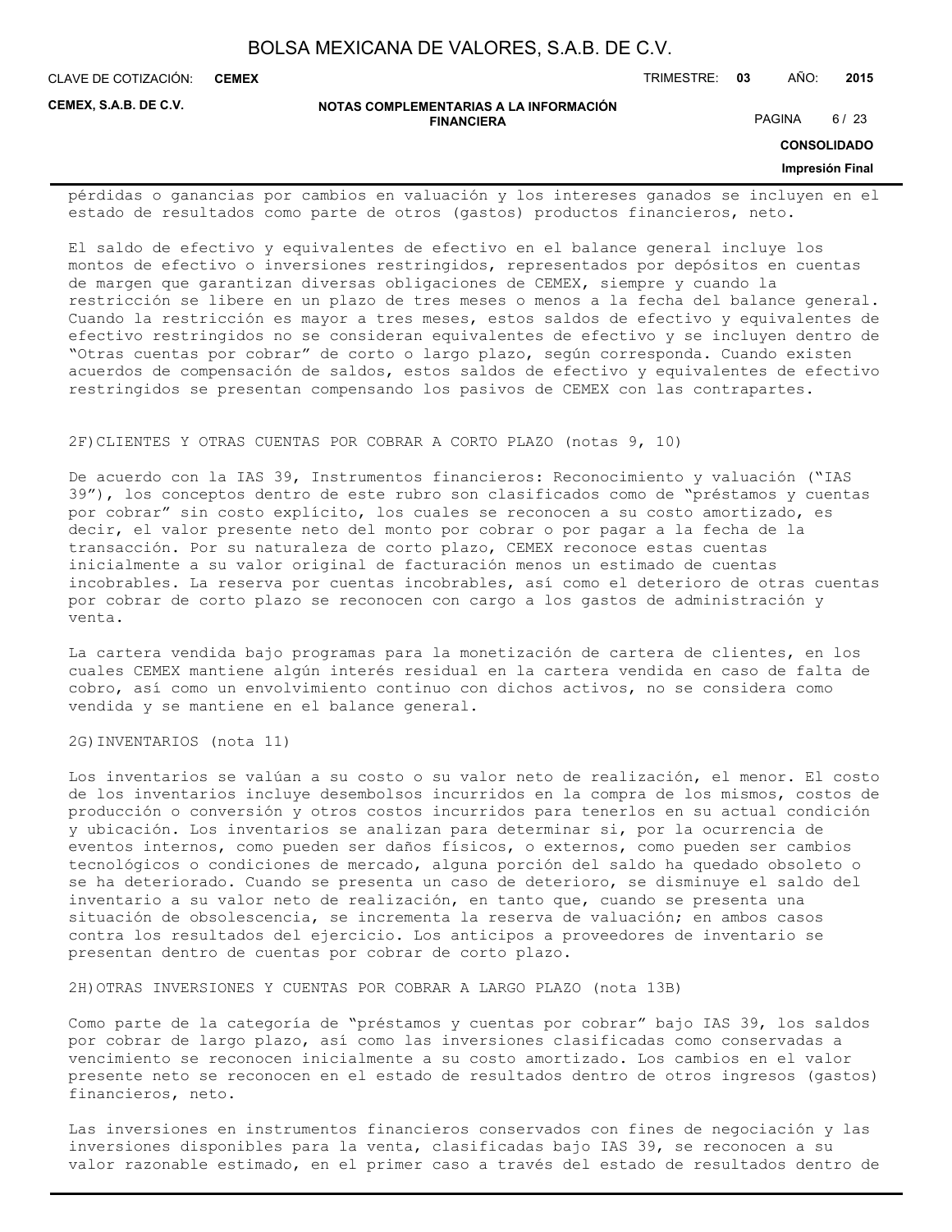**CEMEX**

CLAVE DE COTIZACIÓN: TRIMESTRE: **03** AÑO: **2015**

**CEMEX, S.A.B. DE C.V.**

**NOTAS COMPLEMENTARIAS A LA INFORMACIÓN FINANCIERA**

PAGINA 6/23

**CONSOLIDADO**

#### **Impresión Final**

pérdidas o ganancias por cambios en valuación y los intereses ganados se incluyen en el estado de resultados como parte de otros (gastos) productos financieros, neto.

El saldo de efectivo y equivalentes de efectivo en el balance general incluye los montos de efectivo o inversiones restringidos, representados por depósitos en cuentas de margen que garantizan diversas obligaciones de CEMEX, siempre y cuando la restricción se libere en un plazo de tres meses o menos a la fecha del balance general. Cuando la restricción es mayor a tres meses, estos saldos de efectivo y equivalentes de efectivo restringidos no se consideran equivalentes de efectivo y se incluyen dentro de "Otras cuentas por cobrar" de corto o largo plazo, según corresponda. Cuando existen acuerdos de compensación de saldos, estos saldos de efectivo y equivalentes de efectivo restringidos se presentan compensando los pasivos de CEMEX con las contrapartes.

#### 2F)CLIENTES Y OTRAS CUENTAS POR COBRAR A CORTO PLAZO (notas 9, 10)

De acuerdo con la IAS 39, Instrumentos financieros: Reconocimiento y valuación ("IAS 39"), los conceptos dentro de este rubro son clasificados como de "préstamos y cuentas por cobrar" sin costo explícito, los cuales se reconocen a su costo amortizado, es decir, el valor presente neto del monto por cobrar o por pagar a la fecha de la transacción. Por su naturaleza de corto plazo, CEMEX reconoce estas cuentas inicialmente a su valor original de facturación menos un estimado de cuentas incobrables. La reserva por cuentas incobrables, así como el deterioro de otras cuentas por cobrar de corto plazo se reconocen con cargo a los gastos de administración y venta.

La cartera vendida bajo programas para la monetización de cartera de clientes, en los cuales CEMEX mantiene algún interés residual en la cartera vendida en caso de falta de cobro, así como un envolvimiento continuo con dichos activos, no se considera como vendida y se mantiene en el balance general.

#### 2G)INVENTARIOS (nota 11)

Los inventarios se valúan a su costo o su valor neto de realización, el menor. El costo de los inventarios incluye desembolsos incurridos en la compra de los mismos, costos de producción o conversión y otros costos incurridos para tenerlos en su actual condición y ubicación. Los inventarios se analizan para determinar si, por la ocurrencia de eventos internos, como pueden ser daños físicos, o externos, como pueden ser cambios tecnológicos o condiciones de mercado, alguna porción del saldo ha quedado obsoleto o se ha deteriorado. Cuando se presenta un caso de deterioro, se disminuye el saldo del inventario a su valor neto de realización, en tanto que, cuando se presenta una situación de obsolescencia, se incrementa la reserva de valuación; en ambos casos contra los resultados del ejercicio. Los anticipos a proveedores de inventario se presentan dentro de cuentas por cobrar de corto plazo.

2H)OTRAS INVERSIONES Y CUENTAS POR COBRAR A LARGO PLAZO (nota 13B)

Como parte de la categoría de "préstamos y cuentas por cobrar" bajo IAS 39, los saldos por cobrar de largo plazo, así como las inversiones clasificadas como conservadas a vencimiento se reconocen inicialmente a su costo amortizado. Los cambios en el valor presente neto se reconocen en el estado de resultados dentro de otros ingresos (gastos) financieros, neto.

Las inversiones en instrumentos financieros conservados con fines de negociación y las inversiones disponibles para la venta, clasificadas bajo IAS 39, se reconocen a su valor razonable estimado, en el primer caso a través del estado de resultados dentro de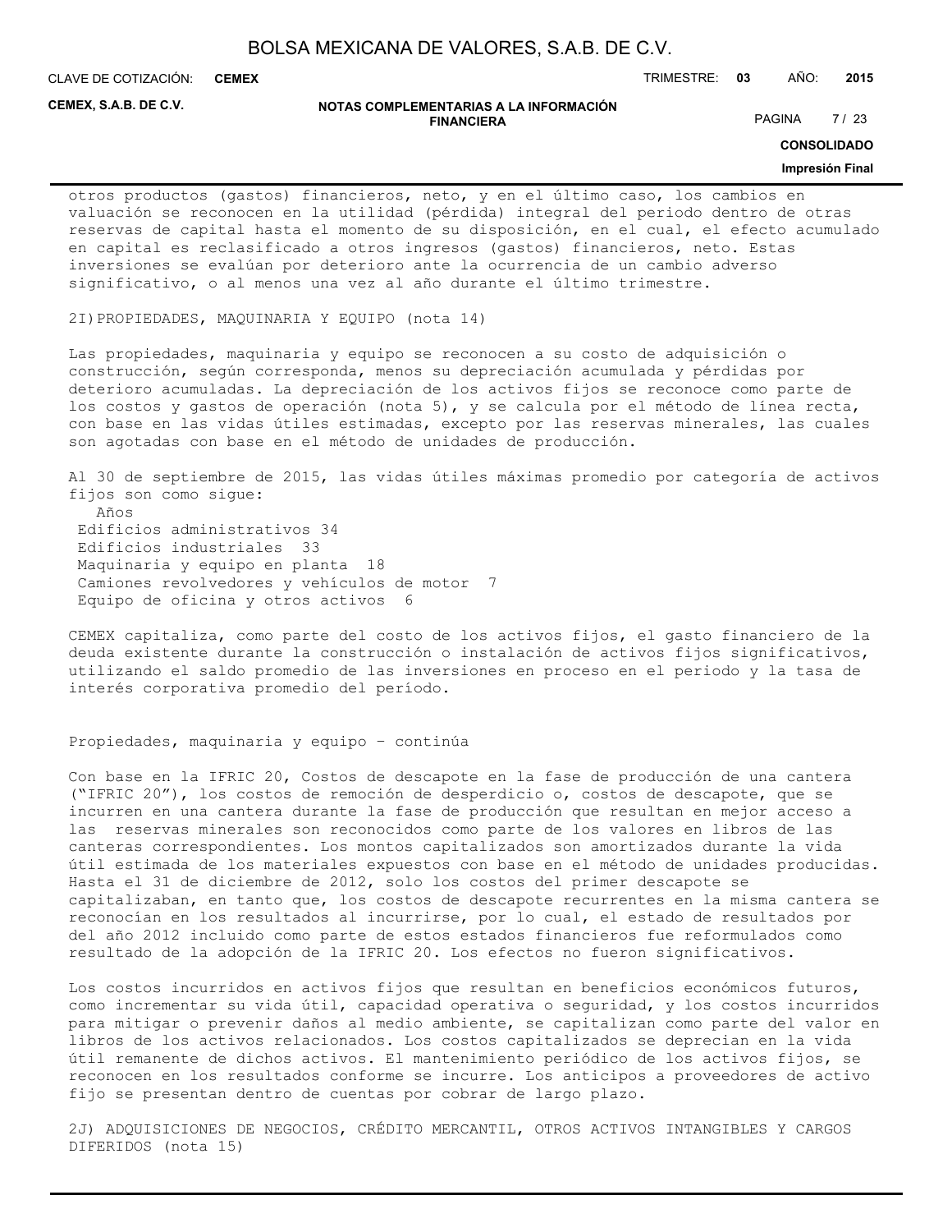**CEMEX**

CLAVE DE COTIZACIÓN: TRIMESTRE: **03** AÑO: **2015**

**CEMEX, S.A.B. DE C.V.**

#### **NOTAS COMPLEMENTARIAS A LA INFORMACIÓN FINANCIERA**

PAGINA 7/23

**CONSOLIDADO**

#### **Impresión Final**

otros productos (gastos) financieros, neto, y en el último caso, los cambios en valuación se reconocen en la utilidad (pérdida) integral del periodo dentro de otras reservas de capital hasta el momento de su disposición, en el cual, el efecto acumulado en capital es reclasificado a otros ingresos (gastos) financieros, neto. Estas inversiones se evalúan por deterioro ante la ocurrencia de un cambio adverso significativo, o al menos una vez al año durante el último trimestre.

2I)PROPIEDADES, MAQUINARIA Y EQUIPO (nota 14)

Las propiedades, maquinaria y equipo se reconocen a su costo de adquisición o construcción, según corresponda, menos su depreciación acumulada y pérdidas por deterioro acumuladas. La depreciación de los activos fijos se reconoce como parte de los costos y gastos de operación (nota 5), y se calcula por el método de línea recta, con base en las vidas útiles estimadas, excepto por las reservas minerales, las cuales son agotadas con base en el método de unidades de producción.

Al 30 de septiembre de 2015, las vidas útiles máximas promedio por categoría de activos fijos son como sigue: Años Edificios administrativos 34 Edificios industriales 33

 Maquinaria y equipo en planta 18 Camiones revolvedores y vehículos de motor 7 Equipo de oficina y otros activos 6

CEMEX capitaliza, como parte del costo de los activos fijos, el gasto financiero de la deuda existente durante la construcción o instalación de activos fijos significativos, utilizando el saldo promedio de las inversiones en proceso en el periodo y la tasa de interés corporativa promedio del período.

#### Propiedades, maquinaria y equipo – continúa

Con base en la IFRIC 20, Costos de descapote en la fase de producción de una cantera ("IFRIC 20"), los costos de remoción de desperdicio o, costos de descapote, que se incurren en una cantera durante la fase de producción que resultan en mejor acceso a las reservas minerales son reconocidos como parte de los valores en libros de las canteras correspondientes. Los montos capitalizados son amortizados durante la vida útil estimada de los materiales expuestos con base en el método de unidades producidas. Hasta el 31 de diciembre de 2012, solo los costos del primer descapote se capitalizaban, en tanto que, los costos de descapote recurrentes en la misma cantera se reconocían en los resultados al incurrirse, por lo cual, el estado de resultados por del año 2012 incluido como parte de estos estados financieros fue reformulados como resultado de la adopción de la IFRIC 20. Los efectos no fueron significativos.

Los costos incurridos en activos fijos que resultan en beneficios económicos futuros, como incrementar su vida útil, capacidad operativa o seguridad, y los costos incurridos para mitigar o prevenir daños al medio ambiente, se capitalizan como parte del valor en libros de los activos relacionados. Los costos capitalizados se deprecian en la vida útil remanente de dichos activos. El mantenimiento periódico de los activos fijos, se reconocen en los resultados conforme se incurre. Los anticipos a proveedores de activo fijo se presentan dentro de cuentas por cobrar de largo plazo.

2J) ADQUISICIONES DE NEGOCIOS, CRÉDITO MERCANTIL, OTROS ACTIVOS INTANGIBLES Y CARGOS DIFERIDOS (nota 15)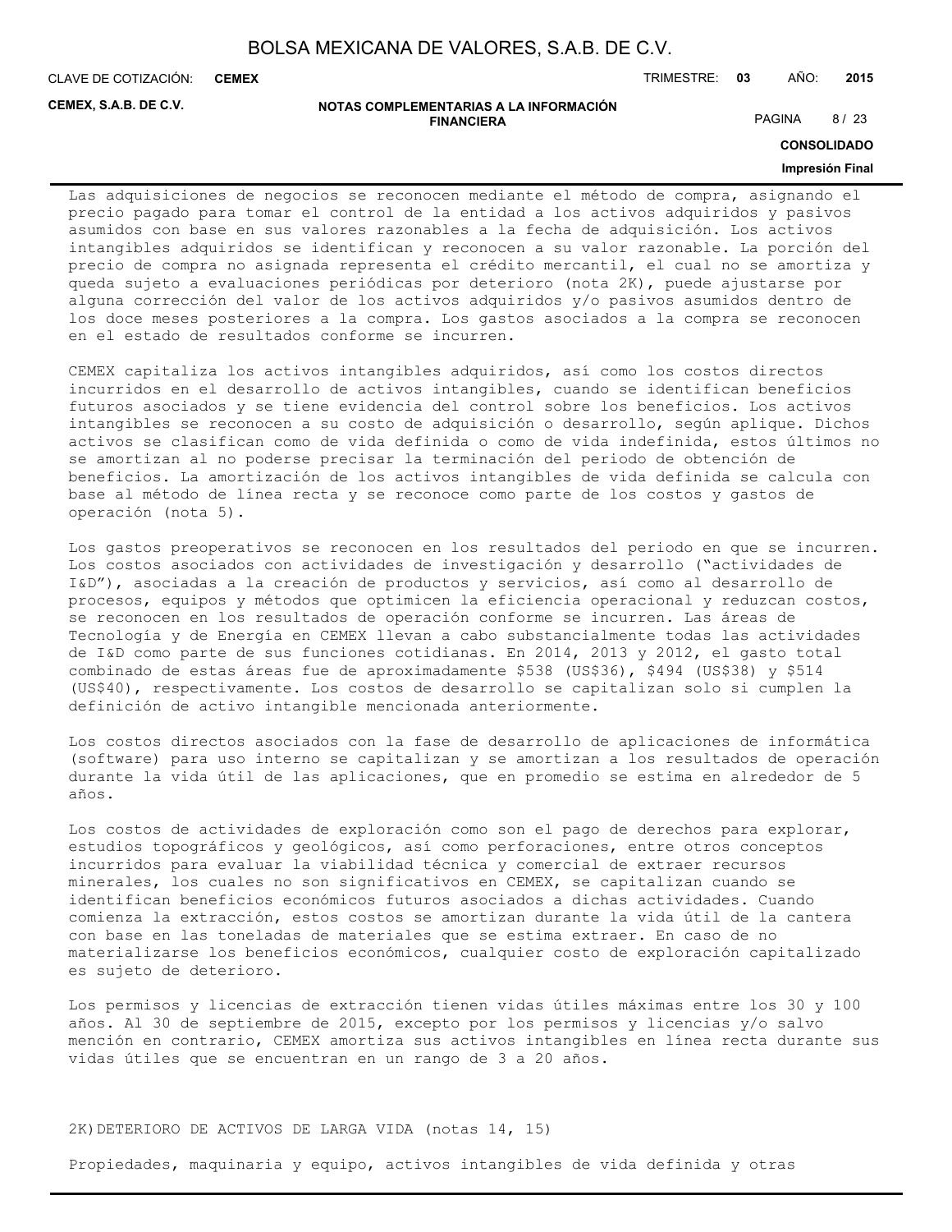**CEMEX**

CLAVE DE COTIZACIÓN: TRIMESTRE: **03** AÑO: **2015**

**CEMEX, S.A.B. DE C.V.**

#### **NOTAS COMPLEMENTARIAS A LA INFORMACIÓN FINANCIERA**

PAGINA 8/23

**CONSOLIDADO**

#### **Impresión Final**

Las adquisiciones de negocios se reconocen mediante el método de compra, asignando el precio pagado para tomar el control de la entidad a los activos adquiridos y pasivos asumidos con base en sus valores razonables a la fecha de adquisición. Los activos intangibles adquiridos se identifican y reconocen a su valor razonable. La porción del precio de compra no asignada representa el crédito mercantil, el cual no se amortiza y queda sujeto a evaluaciones periódicas por deterioro (nota 2K), puede ajustarse por alguna corrección del valor de los activos adquiridos y/o pasivos asumidos dentro de los doce meses posteriores a la compra. Los gastos asociados a la compra se reconocen en el estado de resultados conforme se incurren.

CEMEX capitaliza los activos intangibles adquiridos, así como los costos directos incurridos en el desarrollo de activos intangibles, cuando se identifican beneficios futuros asociados y se tiene evidencia del control sobre los beneficios. Los activos intangibles se reconocen a su costo de adquisición o desarrollo, según aplique. Dichos activos se clasifican como de vida definida o como de vida indefinida, estos últimos no se amortizan al no poderse precisar la terminación del periodo de obtención de beneficios. La amortización de los activos intangibles de vida definida se calcula con base al método de línea recta y se reconoce como parte de los costos y gastos de operación (nota 5).

Los gastos preoperativos se reconocen en los resultados del periodo en que se incurren. Los costos asociados con actividades de investigación y desarrollo ("actividades de I&D"), asociadas a la creación de productos y servicios, así como al desarrollo de procesos, equipos y métodos que optimicen la eficiencia operacional y reduzcan costos, se reconocen en los resultados de operación conforme se incurren. Las áreas de Tecnología y de Energía en CEMEX llevan a cabo substancialmente todas las actividades de I&D como parte de sus funciones cotidianas. En 2014, 2013 y 2012, el gasto total combinado de estas áreas fue de aproximadamente \$538 (US\$36), \$494 (US\$38) y \$514 (US\$40), respectivamente. Los costos de desarrollo se capitalizan solo si cumplen la definición de activo intangible mencionada anteriormente.

Los costos directos asociados con la fase de desarrollo de aplicaciones de informática (software) para uso interno se capitalizan y se amortizan a los resultados de operación durante la vida útil de las aplicaciones, que en promedio se estima en alrededor de 5 años.

Los costos de actividades de exploración como son el pago de derechos para explorar, estudios topográficos y geológicos, así como perforaciones, entre otros conceptos incurridos para evaluar la viabilidad técnica y comercial de extraer recursos minerales, los cuales no son significativos en CEMEX, se capitalizan cuando se identifican beneficios económicos futuros asociados a dichas actividades. Cuando comienza la extracción, estos costos se amortizan durante la vida útil de la cantera con base en las toneladas de materiales que se estima extraer. En caso de no materializarse los beneficios económicos, cualquier costo de exploración capitalizado es sujeto de deterioro.

Los permisos y licencias de extracción tienen vidas útiles máximas entre los 30 y 100 años. Al 30 de septiembre de 2015, excepto por los permisos y licencias y/o salvo mención en contrario, CEMEX amortiza sus activos intangibles en línea recta durante sus vidas útiles que se encuentran en un rango de 3 a 20 años.

#### 2K)DETERIORO DE ACTIVOS DE LARGA VIDA (notas 14, 15)

Propiedades, maquinaria y equipo, activos intangibles de vida definida y otras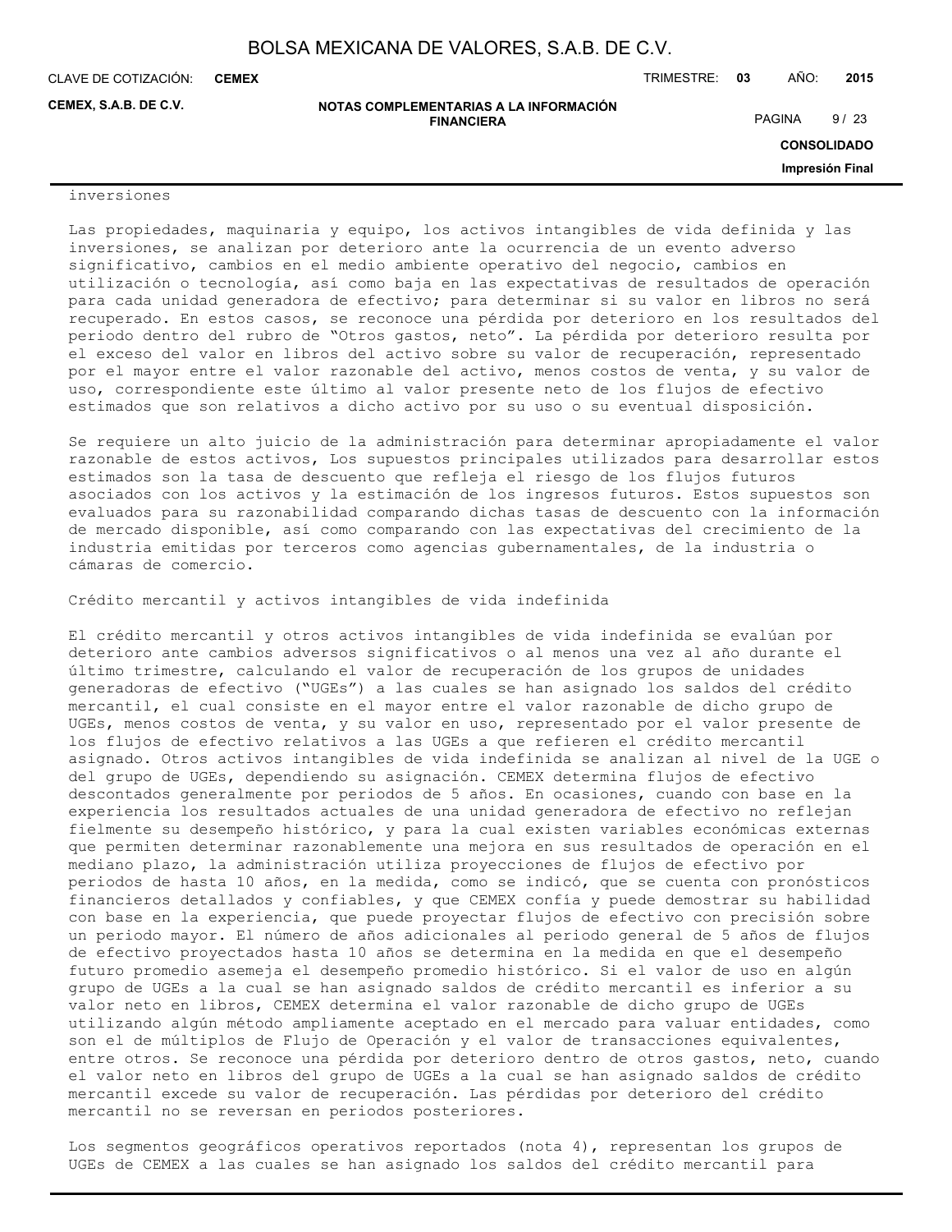CLAVE DE COTIZACIÓN: TRIMESTRE: **03** AÑO: **2015 CEMEX**

**CEMEX, S.A.B. DE C.V.**

**NOTAS COMPLEMENTARIAS A LA INFORMACIÓN FINANCIERA**

PAGINA 9/23

**CONSOLIDADO**

**Impresión Final**

#### inversiones

Las propiedades, maquinaria y equipo, los activos intangibles de vida definida y las inversiones, se analizan por deterioro ante la ocurrencia de un evento adverso significativo, cambios en el medio ambiente operativo del negocio, cambios en utilización o tecnología, así como baja en las expectativas de resultados de operación para cada unidad generadora de efectivo; para determinar si su valor en libros no será recuperado. En estos casos, se reconoce una pérdida por deterioro en los resultados del periodo dentro del rubro de "Otros gastos, neto". La pérdida por deterioro resulta por el exceso del valor en libros del activo sobre su valor de recuperación, representado por el mayor entre el valor razonable del activo, menos costos de venta, y su valor de uso, correspondiente este último al valor presente neto de los flujos de efectivo estimados que son relativos a dicho activo por su uso o su eventual disposición.

Se requiere un alto juicio de la administración para determinar apropiadamente el valor razonable de estos activos, Los supuestos principales utilizados para desarrollar estos estimados son la tasa de descuento que refleja el riesgo de los flujos futuros asociados con los activos y la estimación de los ingresos futuros. Estos supuestos son evaluados para su razonabilidad comparando dichas tasas de descuento con la información de mercado disponible, así como comparando con las expectativas del crecimiento de la industria emitidas por terceros como agencias gubernamentales, de la industria o cámaras de comercio.

Crédito mercantil y activos intangibles de vida indefinida

El crédito mercantil y otros activos intangibles de vida indefinida se evalúan por deterioro ante cambios adversos significativos o al menos una vez al año durante el último trimestre, calculando el valor de recuperación de los grupos de unidades generadoras de efectivo ("UGEs") a las cuales se han asignado los saldos del crédito mercantil, el cual consiste en el mayor entre el valor razonable de dicho grupo de UGEs, menos costos de venta, y su valor en uso, representado por el valor presente de los flujos de efectivo relativos a las UGEs a que refieren el crédito mercantil asignado. Otros activos intangibles de vida indefinida se analizan al nivel de la UGE o del grupo de UGEs, dependiendo su asignación. CEMEX determina flujos de efectivo descontados generalmente por periodos de 5 años. En ocasiones, cuando con base en la experiencia los resultados actuales de una unidad generadora de efectivo no reflejan fielmente su desempeño histórico, y para la cual existen variables económicas externas que permiten determinar razonablemente una mejora en sus resultados de operación en el mediano plazo, la administración utiliza proyecciones de flujos de efectivo por periodos de hasta 10 años, en la medida, como se indicó, que se cuenta con pronósticos financieros detallados y confiables, y que CEMEX confía y puede demostrar su habilidad con base en la experiencia, que puede proyectar flujos de efectivo con precisión sobre un periodo mayor. El número de años adicionales al periodo general de 5 años de flujos de efectivo proyectados hasta 10 años se determina en la medida en que el desempeño futuro promedio asemeja el desempeño promedio histórico. Si el valor de uso en algún grupo de UGEs a la cual se han asignado saldos de crédito mercantil es inferior a su valor neto en libros, CEMEX determina el valor razonable de dicho grupo de UGEs utilizando algún método ampliamente aceptado en el mercado para valuar entidades, como son el de múltiplos de Flujo de Operación y el valor de transacciones equivalentes, entre otros. Se reconoce una pérdida por deterioro dentro de otros gastos, neto, cuando el valor neto en libros del grupo de UGEs a la cual se han asignado saldos de crédito mercantil excede su valor de recuperación. Las pérdidas por deterioro del crédito mercantil no se reversan en periodos posteriores.

Los segmentos geográficos operativos reportados (nota 4), representan los grupos de UGEs de CEMEX a las cuales se han asignado los saldos del crédito mercantil para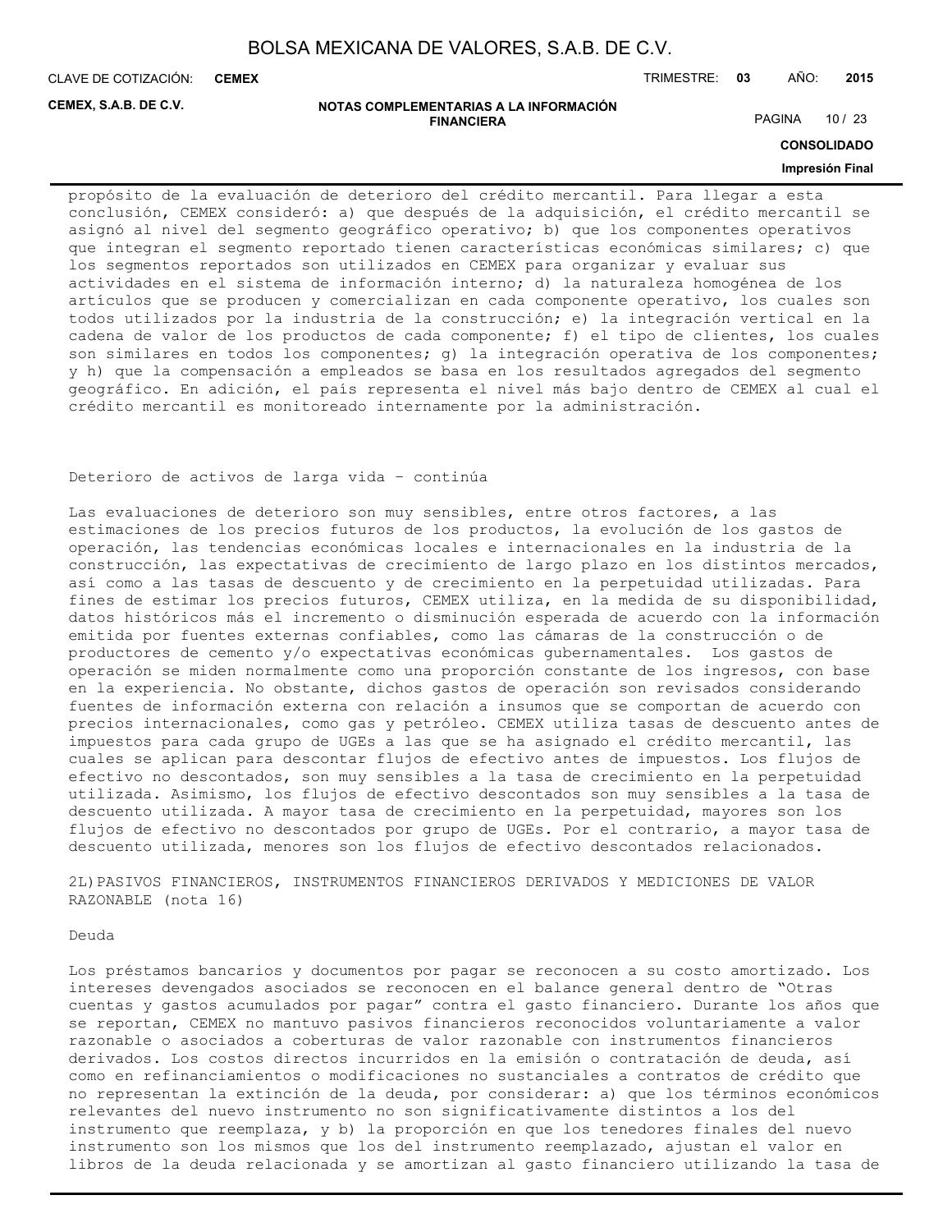**CEMEX**

CLAVE DE COTIZACIÓN: TRIMESTRE: **03** AÑO: **2015**

**CEMEX, S.A.B. DE C.V.**

#### **NOTAS COMPLEMENTARIAS A LA INFORMACIÓN FINANCIERA**

PAGINA 10 / 23

**CONSOLIDADO**

#### **Impresión Final**

propósito de la evaluación de deterioro del crédito mercantil. Para llegar a esta conclusión, CEMEX consideró: a) que después de la adquisición, el crédito mercantil se asignó al nivel del segmento geográfico operativo; b) que los componentes operativos que integran el segmento reportado tienen características económicas similares; c) que los segmentos reportados son utilizados en CEMEX para organizar y evaluar sus actividades en el sistema de información interno; d) la naturaleza homogénea de los artículos que se producen y comercializan en cada componente operativo, los cuales son todos utilizados por la industria de la construcción; e) la integración vertical en la cadena de valor de los productos de cada componente; f) el tipo de clientes, los cuales son similares en todos los componentes; g) la integración operativa de los componentes; y h) que la compensación a empleados se basa en los resultados agregados del segmento geográfico. En adición, el país representa el nivel más bajo dentro de CEMEX al cual el crédito mercantil es monitoreado internamente por la administración.

#### Deterioro de activos de larga vida – continúa

Las evaluaciones de deterioro son muy sensibles, entre otros factores, a las estimaciones de los precios futuros de los productos, la evolución de los gastos de operación, las tendencias económicas locales e internacionales en la industria de la construcción, las expectativas de crecimiento de largo plazo en los distintos mercados, así como a las tasas de descuento y de crecimiento en la perpetuidad utilizadas. Para fines de estimar los precios futuros, CEMEX utiliza, en la medida de su disponibilidad, datos históricos más el incremento o disminución esperada de acuerdo con la información emitida por fuentes externas confiables, como las cámaras de la construcción o de productores de cemento y/o expectativas económicas gubernamentales. Los gastos de operación se miden normalmente como una proporción constante de los ingresos, con base en la experiencia. No obstante, dichos gastos de operación son revisados considerando fuentes de información externa con relación a insumos que se comportan de acuerdo con precios internacionales, como gas y petróleo. CEMEX utiliza tasas de descuento antes de impuestos para cada grupo de UGEs a las que se ha asignado el crédito mercantil, las cuales se aplican para descontar flujos de efectivo antes de impuestos. Los flujos de efectivo no descontados, son muy sensibles a la tasa de crecimiento en la perpetuidad utilizada. Asimismo, los flujos de efectivo descontados son muy sensibles a la tasa de descuento utilizada. A mayor tasa de crecimiento en la perpetuidad, mayores son los flujos de efectivo no descontados por grupo de UGEs. Por el contrario, a mayor tasa de descuento utilizada, menores son los flujos de efectivo descontados relacionados.

2L)PASIVOS FINANCIEROS, INSTRUMENTOS FINANCIEROS DERIVADOS Y MEDICIONES DE VALOR RAZONABLE (nota 16)

#### Deuda

Los préstamos bancarios y documentos por pagar se reconocen a su costo amortizado. Los intereses devengados asociados se reconocen en el balance general dentro de "Otras cuentas y gastos acumulados por pagar" contra el gasto financiero. Durante los años que se reportan, CEMEX no mantuvo pasivos financieros reconocidos voluntariamente a valor razonable o asociados a coberturas de valor razonable con instrumentos financieros derivados. Los costos directos incurridos en la emisión o contratación de deuda, así como en refinanciamientos o modificaciones no sustanciales a contratos de crédito que no representan la extinción de la deuda, por considerar: a) que los términos económicos relevantes del nuevo instrumento no son significativamente distintos a los del instrumento que reemplaza, y b) la proporción en que los tenedores finales del nuevo instrumento son los mismos que los del instrumento reemplazado, ajustan el valor en libros de la deuda relacionada y se amortizan al gasto financiero utilizando la tasa de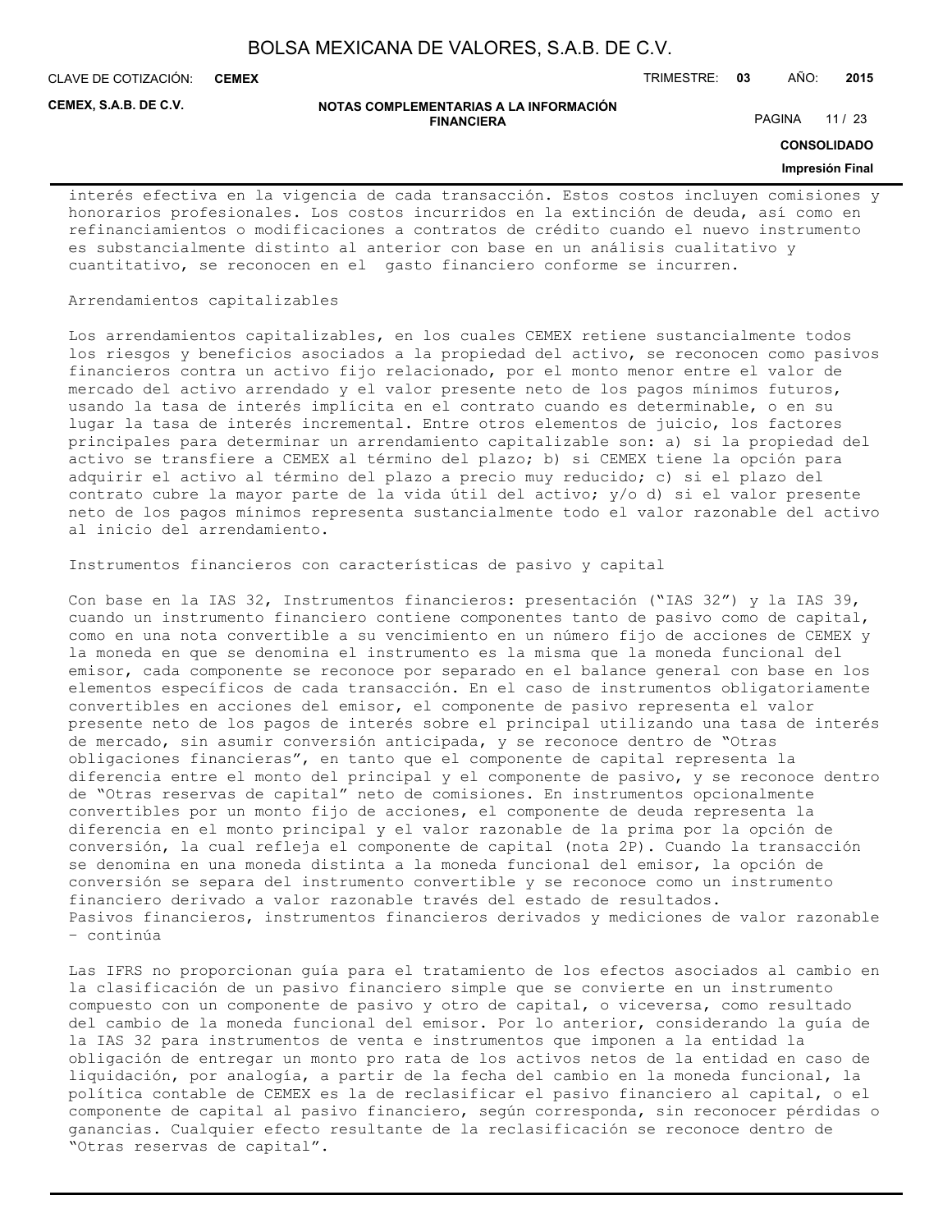**CEMEX**

CLAVE DE COTIZACIÓN: TRIMESTRE: **03** AÑO: **2015**

**CEMEX, S.A.B. DE C.V.**

#### **NOTAS COMPLEMENTARIAS A LA INFORMACIÓN FINANCIERA**

PAGINA 11 / 23

**CONSOLIDADO**

#### **Impresión Final**

interés efectiva en la vigencia de cada transacción. Estos costos incluyen comisiones y honorarios profesionales. Los costos incurridos en la extinción de deuda, así como en refinanciamientos o modificaciones a contratos de crédito cuando el nuevo instrumento es substancialmente distinto al anterior con base en un análisis cualitativo y cuantitativo, se reconocen en el gasto financiero conforme se incurren.

#### Arrendamientos capitalizables

Los arrendamientos capitalizables, en los cuales CEMEX retiene sustancialmente todos los riesgos y beneficios asociados a la propiedad del activo, se reconocen como pasivos financieros contra un activo fijo relacionado, por el monto menor entre el valor de mercado del activo arrendado y el valor presente neto de los pagos mínimos futuros, usando la tasa de interés implícita en el contrato cuando es determinable, o en su lugar la tasa de interés incremental. Entre otros elementos de juicio, los factores principales para determinar un arrendamiento capitalizable son: a) si la propiedad del activo se transfiere a CEMEX al término del plazo; b) si CEMEX tiene la opción para adquirir el activo al término del plazo a precio muy reducido; c) si el plazo del contrato cubre la mayor parte de la vida útil del activo; y/o d) si el valor presente neto de los pagos mínimos representa sustancialmente todo el valor razonable del activo al inicio del arrendamiento.

Instrumentos financieros con características de pasivo y capital

Con base en la IAS 32, Instrumentos financieros: presentación ("IAS 32") y la IAS 39, cuando un instrumento financiero contiene componentes tanto de pasivo como de capital, como en una nota convertible a su vencimiento en un número fijo de acciones de CEMEX y la moneda en que se denomina el instrumento es la misma que la moneda funcional del emisor, cada componente se reconoce por separado en el balance general con base en los elementos específicos de cada transacción. En el caso de instrumentos obligatoriamente convertibles en acciones del emisor, el componente de pasivo representa el valor presente neto de los pagos de interés sobre el principal utilizando una tasa de interés de mercado, sin asumir conversión anticipada, y se reconoce dentro de "Otras obligaciones financieras", en tanto que el componente de capital representa la diferencia entre el monto del principal y el componente de pasivo, y se reconoce dentro de "Otras reservas de capital" neto de comisiones. En instrumentos opcionalmente convertibles por un monto fijo de acciones, el componente de deuda representa la diferencia en el monto principal y el valor razonable de la prima por la opción de conversión, la cual refleja el componente de capital (nota 2P). Cuando la transacción se denomina en una moneda distinta a la moneda funcional del emisor, la opción de conversión se separa del instrumento convertible y se reconoce como un instrumento financiero derivado a valor razonable través del estado de resultados. Pasivos financieros, instrumentos financieros derivados y mediciones de valor razonable – continúa

Las IFRS no proporcionan guía para el tratamiento de los efectos asociados al cambio en la clasificación de un pasivo financiero simple que se convierte en un instrumento compuesto con un componente de pasivo y otro de capital, o viceversa, como resultado del cambio de la moneda funcional del emisor. Por lo anterior, considerando la guía de la IAS 32 para instrumentos de venta e instrumentos que imponen a la entidad la obligación de entregar un monto pro rata de los activos netos de la entidad en caso de liquidación, por analogía, a partir de la fecha del cambio en la moneda funcional, la política contable de CEMEX es la de reclasificar el pasivo financiero al capital, o el componente de capital al pasivo financiero, según corresponda, sin reconocer pérdidas o ganancias. Cualquier efecto resultante de la reclasificación se reconoce dentro de "Otras reservas de capital".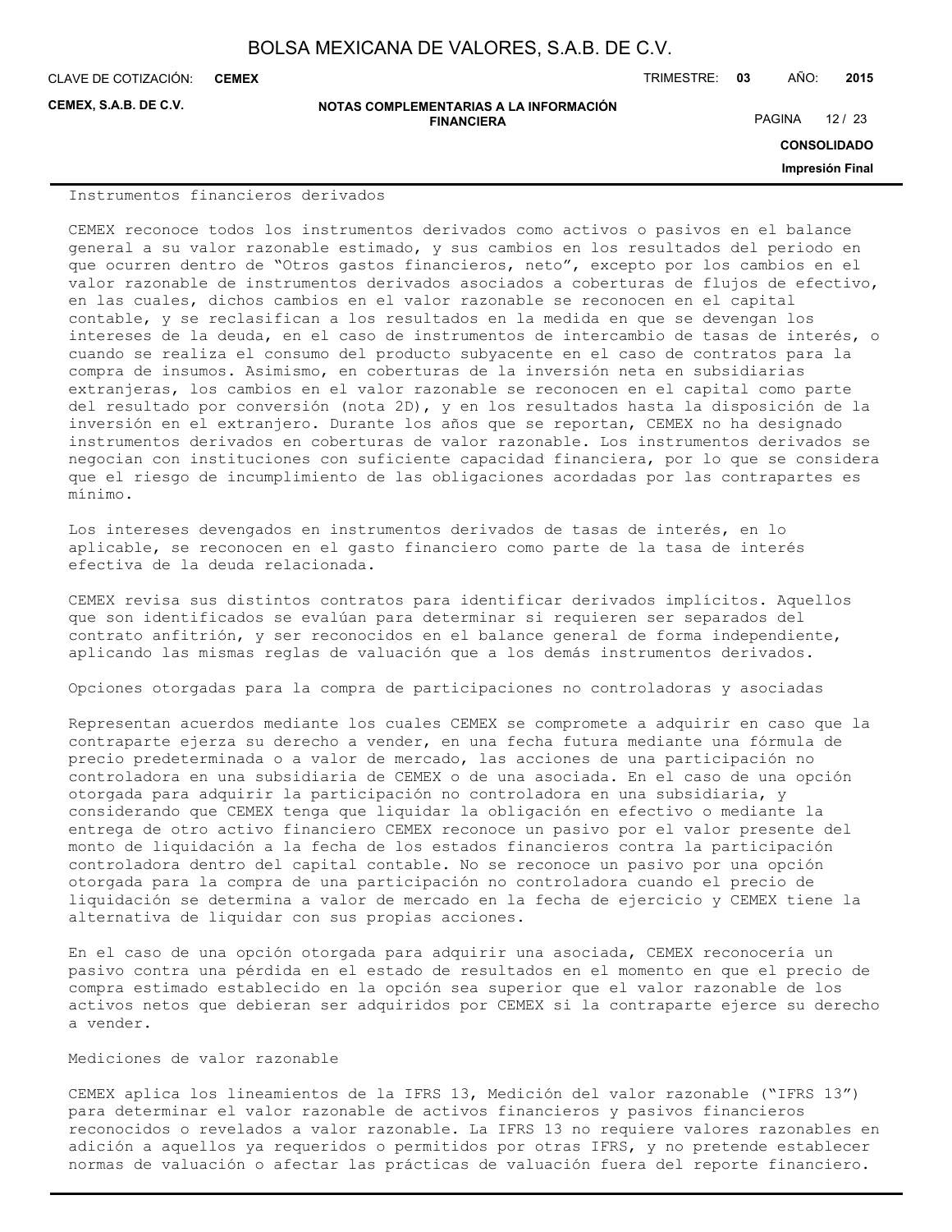CLAVE DE COTIZACIÓN: TRIMESTRE: **03** AÑO: **2015 CEMEX**

**CEMEX, S.A.B. DE C.V.**

**NOTAS COMPLEMENTARIAS A LA INFORMACIÓN FINANCIERA**

PAGINA 12 / 23

**CONSOLIDADO**

**Impresión Final**

#### Instrumentos financieros derivados

CEMEX reconoce todos los instrumentos derivados como activos o pasivos en el balance general a su valor razonable estimado, y sus cambios en los resultados del periodo en que ocurren dentro de "Otros gastos financieros, neto", excepto por los cambios en el valor razonable de instrumentos derivados asociados a coberturas de flujos de efectivo, en las cuales, dichos cambios en el valor razonable se reconocen en el capital contable, y se reclasifican a los resultados en la medida en que se devengan los intereses de la deuda, en el caso de instrumentos de intercambio de tasas de interés, o cuando se realiza el consumo del producto subyacente en el caso de contratos para la compra de insumos. Asimismo, en coberturas de la inversión neta en subsidiarias extranjeras, los cambios en el valor razonable se reconocen en el capital como parte del resultado por conversión (nota 2D), y en los resultados hasta la disposición de la inversión en el extranjero. Durante los años que se reportan, CEMEX no ha designado instrumentos derivados en coberturas de valor razonable. Los instrumentos derivados se negocian con instituciones con suficiente capacidad financiera, por lo que se considera que el riesgo de incumplimiento de las obligaciones acordadas por las contrapartes es mínimo.

Los intereses devengados en instrumentos derivados de tasas de interés, en lo aplicable, se reconocen en el gasto financiero como parte de la tasa de interés efectiva de la deuda relacionada.

CEMEX revisa sus distintos contratos para identificar derivados implícitos. Aquellos que son identificados se evalúan para determinar si requieren ser separados del contrato anfitrión, y ser reconocidos en el balance general de forma independiente, aplicando las mismas reglas de valuación que a los demás instrumentos derivados.

Opciones otorgadas para la compra de participaciones no controladoras y asociadas

Representan acuerdos mediante los cuales CEMEX se compromete a adquirir en caso que la contraparte ejerza su derecho a vender, en una fecha futura mediante una fórmula de precio predeterminada o a valor de mercado, las acciones de una participación no controladora en una subsidiaria de CEMEX o de una asociada. En el caso de una opción otorgada para adquirir la participación no controladora en una subsidiaria, y considerando que CEMEX tenga que liquidar la obligación en efectivo o mediante la entrega de otro activo financiero CEMEX reconoce un pasivo por el valor presente del monto de liquidación a la fecha de los estados financieros contra la participación controladora dentro del capital contable. No se reconoce un pasivo por una opción otorgada para la compra de una participación no controladora cuando el precio de liquidación se determina a valor de mercado en la fecha de ejercicio y CEMEX tiene la alternativa de liquidar con sus propias acciones.

En el caso de una opción otorgada para adquirir una asociada, CEMEX reconocería un pasivo contra una pérdida en el estado de resultados en el momento en que el precio de compra estimado establecido en la opción sea superior que el valor razonable de los activos netos que debieran ser adquiridos por CEMEX si la contraparte ejerce su derecho a vender.

#### Mediciones de valor razonable

CEMEX aplica los lineamientos de la IFRS 13, Medición del valor razonable ("IFRS 13") para determinar el valor razonable de activos financieros y pasivos financieros reconocidos o revelados a valor razonable. La IFRS 13 no requiere valores razonables en adición a aquellos ya requeridos o permitidos por otras IFRS, y no pretende establecer normas de valuación o afectar las prácticas de valuación fuera del reporte financiero.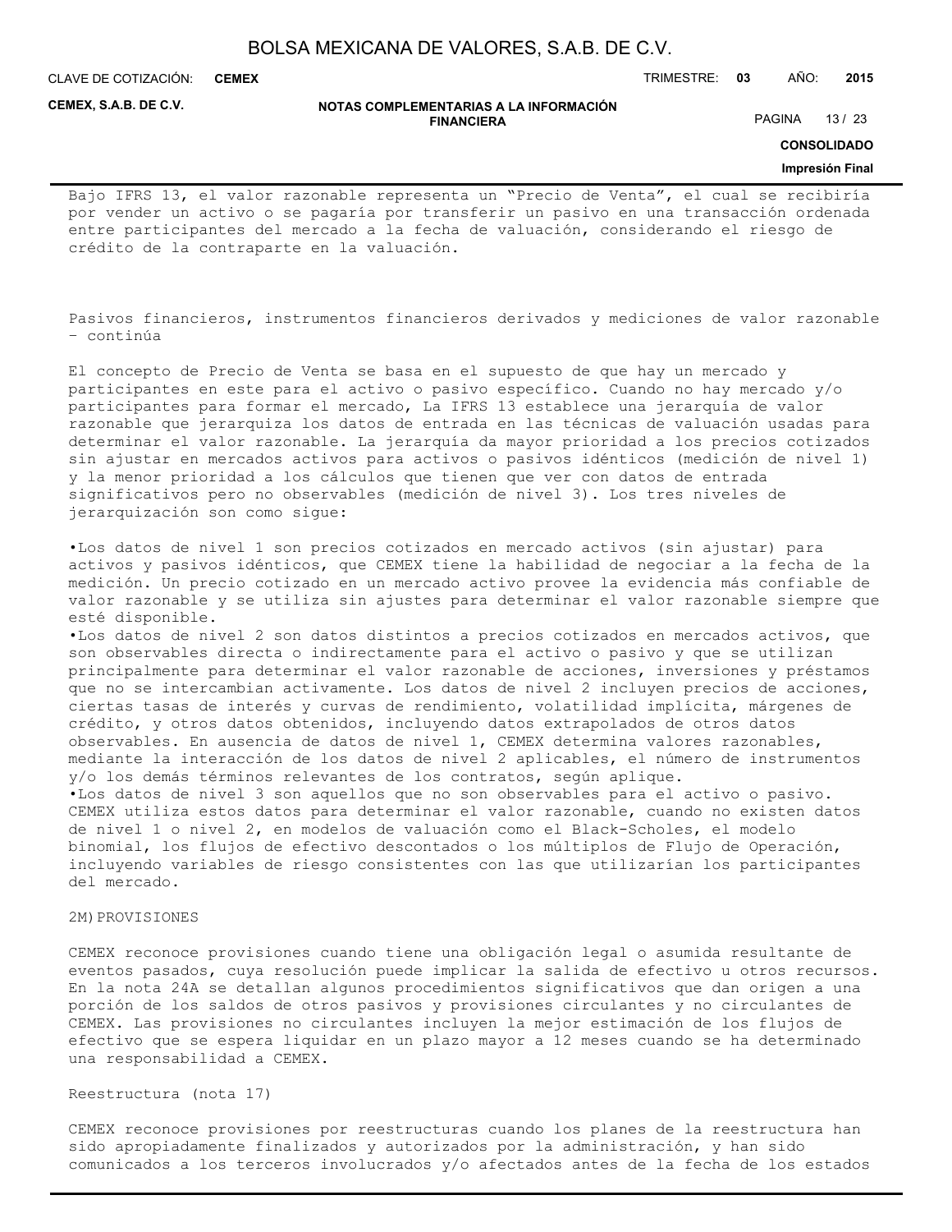**CEMEX**

CLAVE DE COTIZACIÓN: TRIMESTRE: **03** AÑO: **2015**

**CEMEX, S.A.B. DE C.V.**

#### **NOTAS COMPLEMENTARIAS A LA INFORMACIÓN FINANCIERA**

PAGINA 13 / 23

**CONSOLIDADO**

#### **Impresión Final**

Bajo IFRS 13, el valor razonable representa un "Precio de Venta", el cual se recibiría por vender un activo o se pagaría por transferir un pasivo en una transacción ordenada entre participantes del mercado a la fecha de valuación, considerando el riesgo de crédito de la contraparte en la valuación.

Pasivos financieros, instrumentos financieros derivados y mediciones de valor razonable – continúa

El concepto de Precio de Venta se basa en el supuesto de que hay un mercado y participantes en este para el activo o pasivo específico. Cuando no hay mercado y/o participantes para formar el mercado, La IFRS 13 establece una jerarquía de valor razonable que jerarquiza los datos de entrada en las técnicas de valuación usadas para determinar el valor razonable. La jerarquía da mayor prioridad a los precios cotizados sin ajustar en mercados activos para activos o pasivos idénticos (medición de nivel 1) y la menor prioridad a los cálculos que tienen que ver con datos de entrada significativos pero no observables (medición de nivel 3). Los tres niveles de jerarquización son como sigue:

•Los datos de nivel 1 son precios cotizados en mercado activos (sin ajustar) para activos y pasivos idénticos, que CEMEX tiene la habilidad de negociar a la fecha de la medición. Un precio cotizado en un mercado activo provee la evidencia más confiable de valor razonable y se utiliza sin ajustes para determinar el valor razonable siempre que esté disponible.

•Los datos de nivel 2 son datos distintos a precios cotizados en mercados activos, que son observables directa o indirectamente para el activo o pasivo y que se utilizan principalmente para determinar el valor razonable de acciones, inversiones y préstamos que no se intercambian activamente. Los datos de nivel 2 incluyen precios de acciones, ciertas tasas de interés y curvas de rendimiento, volatilidad implícita, márgenes de crédito, y otros datos obtenidos, incluyendo datos extrapolados de otros datos observables. En ausencia de datos de nivel 1, CEMEX determina valores razonables, mediante la interacción de los datos de nivel 2 aplicables, el número de instrumentos y/o los demás términos relevantes de los contratos, según aplique. •Los datos de nivel 3 son aquellos que no son observables para el activo o pasivo.

CEMEX utiliza estos datos para determinar el valor razonable, cuando no existen datos de nivel 1 o nivel 2, en modelos de valuación como el Black-Scholes, el modelo binomial, los flujos de efectivo descontados o los múltiplos de Flujo de Operación, incluyendo variables de riesgo consistentes con las que utilizarían los participantes del mercado.

#### 2M) PROVISIONES

CEMEX reconoce provisiones cuando tiene una obligación legal o asumida resultante de eventos pasados, cuya resolución puede implicar la salida de efectivo u otros recursos. En la nota 24A se detallan algunos procedimientos significativos que dan origen a una porción de los saldos de otros pasivos y provisiones circulantes y no circulantes de CEMEX. Las provisiones no circulantes incluyen la mejor estimación de los flujos de efectivo que se espera liquidar en un plazo mayor a 12 meses cuando se ha determinado una responsabilidad a CEMEX.

#### Reestructura (nota 17)

CEMEX reconoce provisiones por reestructuras cuando los planes de la reestructura han sido apropiadamente finalizados y autorizados por la administración, y han sido comunicados a los terceros involucrados y/o afectados antes de la fecha de los estados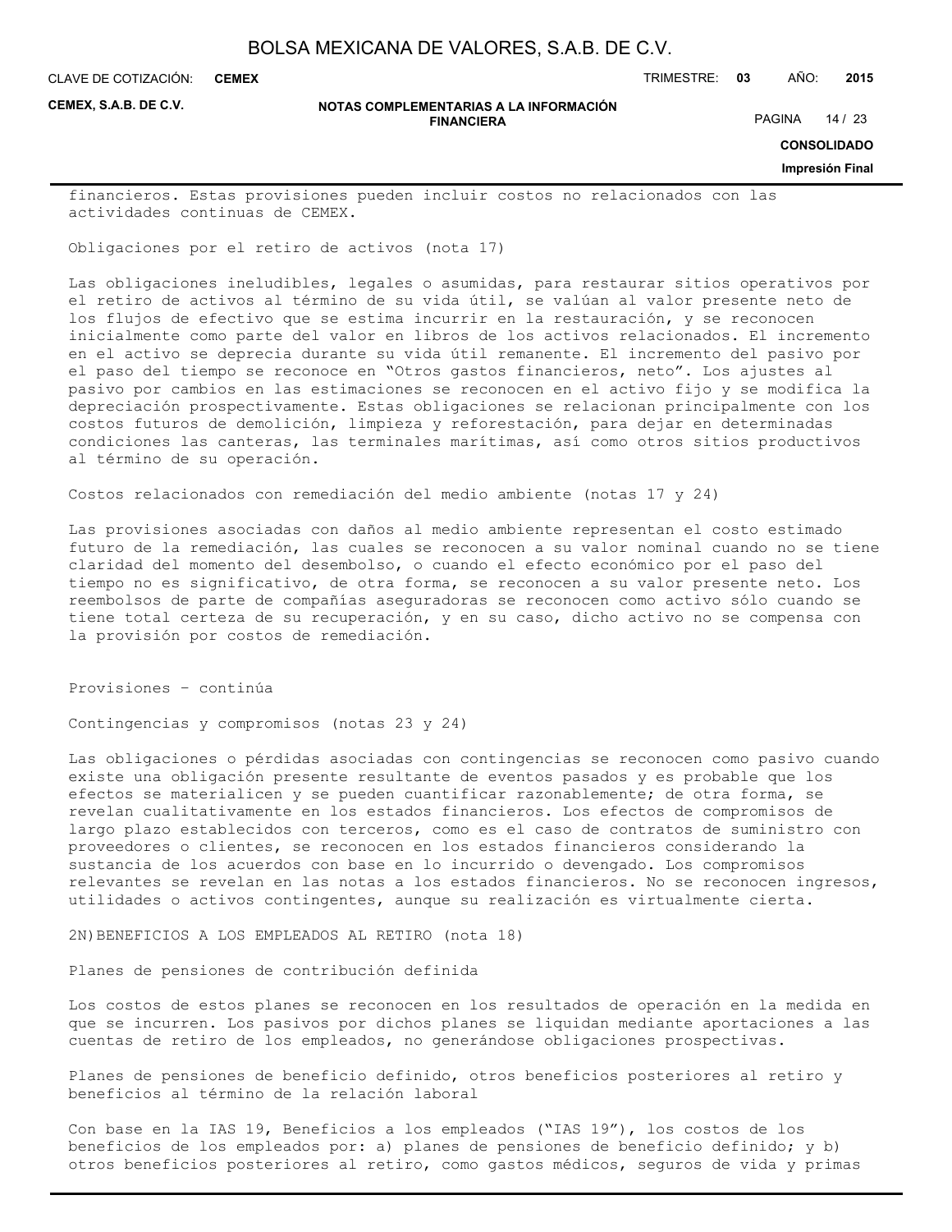**CEMEX**

CLAVE DE COTIZACIÓN: TRIMESTRE: **03** AÑO: **2015**

**CEMEX, S.A.B. DE C.V.**

#### **NOTAS COMPLEMENTARIAS A LA INFORMACIÓN FINANCIERA**

PAGINA 14 / 23

**CONSOLIDADO**

**Impresión Final**

financieros. Estas provisiones pueden incluir costos no relacionados con las actividades continuas de CEMEX.

Obligaciones por el retiro de activos (nota 17)

Las obligaciones ineludibles, legales o asumidas, para restaurar sitios operativos por el retiro de activos al término de su vida útil, se valúan al valor presente neto de los flujos de efectivo que se estima incurrir en la restauración, y se reconocen inicialmente como parte del valor en libros de los activos relacionados. El incremento en el activo se deprecia durante su vida útil remanente. El incremento del pasivo por el paso del tiempo se reconoce en "Otros gastos financieros, neto". Los ajustes al pasivo por cambios en las estimaciones se reconocen en el activo fijo y se modifica la depreciación prospectivamente. Estas obligaciones se relacionan principalmente con los costos futuros de demolición, limpieza y reforestación, para dejar en determinadas condiciones las canteras, las terminales marítimas, así como otros sitios productivos al término de su operación.

Costos relacionados con remediación del medio ambiente (notas 17 y 24)

Las provisiones asociadas con daños al medio ambiente representan el costo estimado futuro de la remediación, las cuales se reconocen a su valor nominal cuando no se tiene claridad del momento del desembolso, o cuando el efecto económico por el paso del tiempo no es significativo, de otra forma, se reconocen a su valor presente neto. Los reembolsos de parte de compañías aseguradoras se reconocen como activo sólo cuando se tiene total certeza de su recuperación, y en su caso, dicho activo no se compensa con la provisión por costos de remediación.

Provisiones – continúa

Contingencias y compromisos (notas 23 y 24)

Las obligaciones o pérdidas asociadas con contingencias se reconocen como pasivo cuando existe una obligación presente resultante de eventos pasados y es probable que los efectos se materialicen y se pueden cuantificar razonablemente; de otra forma, se revelan cualitativamente en los estados financieros. Los efectos de compromisos de largo plazo establecidos con terceros, como es el caso de contratos de suministro con proveedores o clientes, se reconocen en los estados financieros considerando la sustancia de los acuerdos con base en lo incurrido o devengado. Los compromisos relevantes se revelan en las notas a los estados financieros. No se reconocen ingresos, utilidades o activos contingentes, aunque su realización es virtualmente cierta.

2N)BENEFICIOS A LOS EMPLEADOS AL RETIRO (nota 18)

Planes de pensiones de contribución definida

Los costos de estos planes se reconocen en los resultados de operación en la medida en que se incurren. Los pasivos por dichos planes se liquidan mediante aportaciones a las cuentas de retiro de los empleados, no generándose obligaciones prospectivas.

Planes de pensiones de beneficio definido, otros beneficios posteriores al retiro y beneficios al término de la relación laboral

Con base en la IAS 19, Beneficios a los empleados ("IAS 19"), los costos de los beneficios de los empleados por: a) planes de pensiones de beneficio definido; y b) otros beneficios posteriores al retiro, como gastos médicos, seguros de vida y primas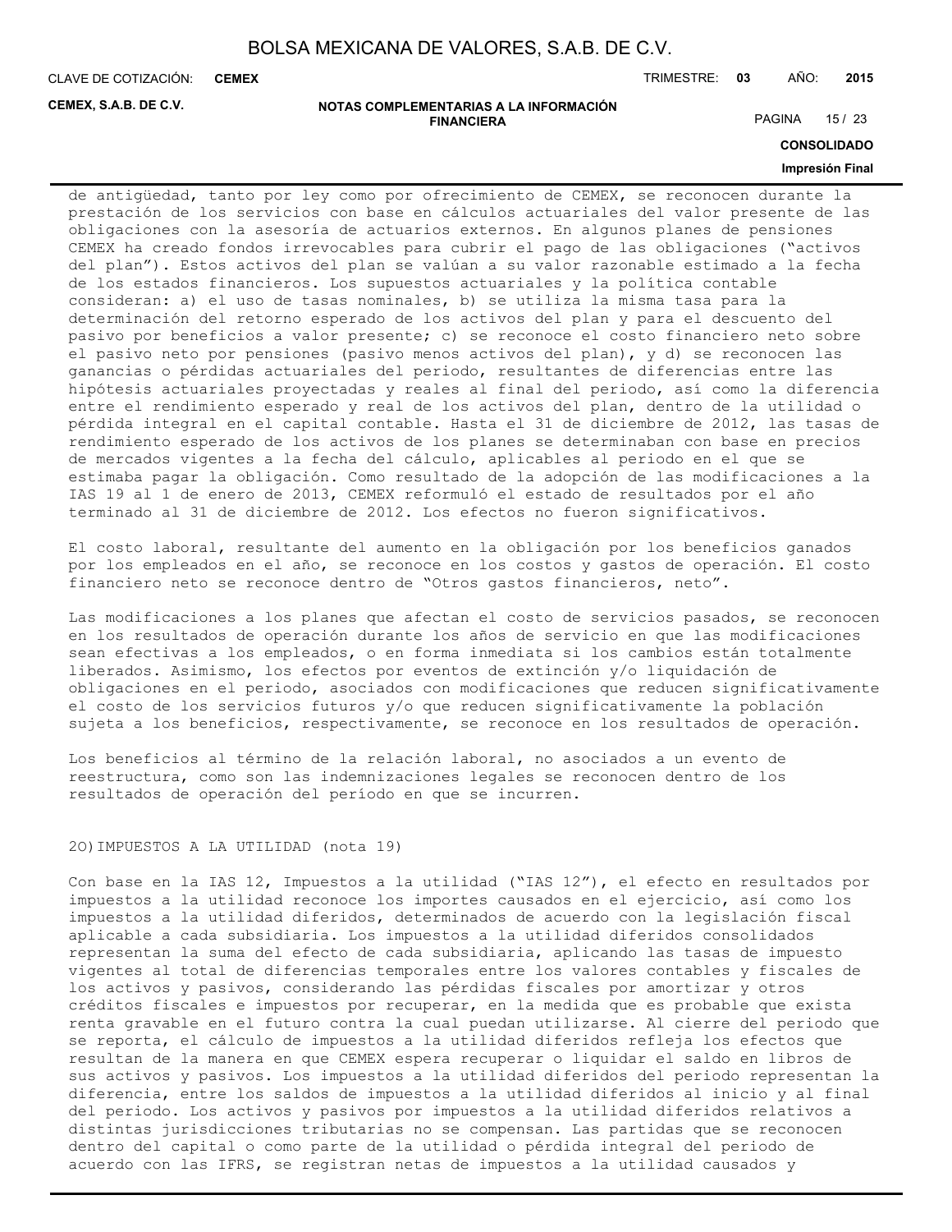**CEMEX**

CLAVE DE COTIZACIÓN: TRIMESTRE: **03** AÑO: **2015**

**CEMEX, S.A.B. DE C.V.**

#### **NOTAS COMPLEMENTARIAS A LA INFORMACIÓN FINANCIERA**

PAGINA 15 / 23

**CONSOLIDADO**

#### **Impresión Final**

de antigüedad, tanto por ley como por ofrecimiento de CEMEX, se reconocen durante la prestación de los servicios con base en cálculos actuariales del valor presente de las obligaciones con la asesoría de actuarios externos. En algunos planes de pensiones CEMEX ha creado fondos irrevocables para cubrir el pago de las obligaciones ("activos del plan"). Estos activos del plan se valúan a su valor razonable estimado a la fecha de los estados financieros. Los supuestos actuariales y la política contable consideran: a) el uso de tasas nominales, b) se utiliza la misma tasa para la determinación del retorno esperado de los activos del plan y para el descuento del pasivo por beneficios a valor presente; c) se reconoce el costo financiero neto sobre el pasivo neto por pensiones (pasivo menos activos del plan), y d) se reconocen las ganancias o pérdidas actuariales del periodo, resultantes de diferencias entre las hipótesis actuariales proyectadas y reales al final del periodo, así como la diferencia entre el rendimiento esperado y real de los activos del plan, dentro de la utilidad o pérdida integral en el capital contable. Hasta el 31 de diciembre de 2012, las tasas de rendimiento esperado de los activos de los planes se determinaban con base en precios de mercados vigentes a la fecha del cálculo, aplicables al periodo en el que se estimaba pagar la obligación. Como resultado de la adopción de las modificaciones a la IAS 19 al 1 de enero de 2013, CEMEX reformuló el estado de resultados por el año terminado al 31 de diciembre de 2012. Los efectos no fueron significativos.

El costo laboral, resultante del aumento en la obligación por los beneficios ganados por los empleados en el año, se reconoce en los costos y gastos de operación. El costo financiero neto se reconoce dentro de "Otros gastos financieros, neto".

Las modificaciones a los planes que afectan el costo de servicios pasados, se reconocen en los resultados de operación durante los años de servicio en que las modificaciones sean efectivas a los empleados, o en forma inmediata si los cambios están totalmente liberados. Asimismo, los efectos por eventos de extinción y/o liquidación de obligaciones en el periodo, asociados con modificaciones que reducen significativamente el costo de los servicios futuros y/o que reducen significativamente la población sujeta a los beneficios, respectivamente, se reconoce en los resultados de operación.

Los beneficios al término de la relación laboral, no asociados a un evento de reestructura, como son las indemnizaciones legales se reconocen dentro de los resultados de operación del período en que se incurren.

#### 2O)IMPUESTOS A LA UTILIDAD (nota 19)

Con base en la IAS 12, Impuestos a la utilidad ("IAS 12"), el efecto en resultados por impuestos a la utilidad reconoce los importes causados en el ejercicio, así como los impuestos a la utilidad diferidos, determinados de acuerdo con la legislación fiscal aplicable a cada subsidiaria. Los impuestos a la utilidad diferidos consolidados representan la suma del efecto de cada subsidiaria, aplicando las tasas de impuesto vigentes al total de diferencias temporales entre los valores contables y fiscales de los activos y pasivos, considerando las pérdidas fiscales por amortizar y otros créditos fiscales e impuestos por recuperar, en la medida que es probable que exista renta gravable en el futuro contra la cual puedan utilizarse. Al cierre del periodo que se reporta, el cálculo de impuestos a la utilidad diferidos refleja los efectos que resultan de la manera en que CEMEX espera recuperar o liquidar el saldo en libros de sus activos y pasivos. Los impuestos a la utilidad diferidos del periodo representan la diferencia, entre los saldos de impuestos a la utilidad diferidos al inicio y al final del periodo. Los activos y pasivos por impuestos a la utilidad diferidos relativos a distintas jurisdicciones tributarias no se compensan. Las partidas que se reconocen dentro del capital o como parte de la utilidad o pérdida integral del periodo de acuerdo con las IFRS, se registran netas de impuestos a la utilidad causados y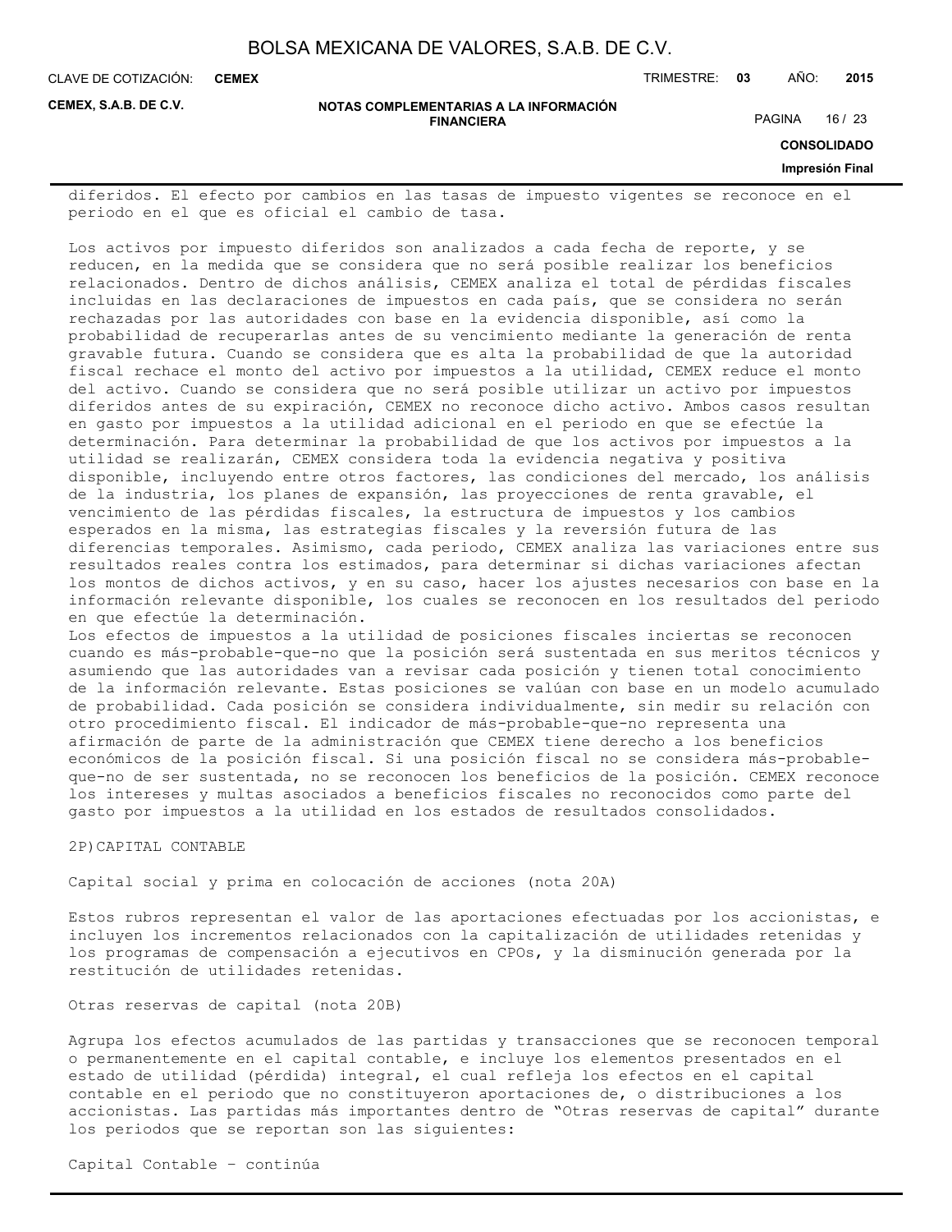**CEMEX**

CLAVE DE COTIZACIÓN: TRIMESTRE: **03** AÑO: **2015**

**CEMEX, S.A.B. DE C.V.**

#### **NOTAS COMPLEMENTARIAS A LA INFORMACIÓN FINANCIERA**

PAGINA 16 / 23

**CONSOLIDADO**

#### **Impresión Final**

diferidos. El efecto por cambios en las tasas de impuesto vigentes se reconoce en el periodo en el que es oficial el cambio de tasa.

Los activos por impuesto diferidos son analizados a cada fecha de reporte, y se reducen, en la medida que se considera que no será posible realizar los beneficios relacionados. Dentro de dichos análisis, CEMEX analiza el total de pérdidas fiscales incluidas en las declaraciones de impuestos en cada país, que se considera no serán rechazadas por las autoridades con base en la evidencia disponible, así como la probabilidad de recuperarlas antes de su vencimiento mediante la generación de renta gravable futura. Cuando se considera que es alta la probabilidad de que la autoridad fiscal rechace el monto del activo por impuestos a la utilidad, CEMEX reduce el monto del activo. Cuando se considera que no será posible utilizar un activo por impuestos diferidos antes de su expiración, CEMEX no reconoce dicho activo. Ambos casos resultan en gasto por impuestos a la utilidad adicional en el periodo en que se efectúe la determinación. Para determinar la probabilidad de que los activos por impuestos a la utilidad se realizarán, CEMEX considera toda la evidencia negativa y positiva disponible, incluyendo entre otros factores, las condiciones del mercado, los análisis de la industria, los planes de expansión, las proyecciones de renta gravable, el vencimiento de las pérdidas fiscales, la estructura de impuestos y los cambios esperados en la misma, las estrategias fiscales y la reversión futura de las diferencias temporales. Asimismo, cada periodo, CEMEX analiza las variaciones entre sus resultados reales contra los estimados, para determinar si dichas variaciones afectan los montos de dichos activos, y en su caso, hacer los ajustes necesarios con base en la información relevante disponible, los cuales se reconocen en los resultados del periodo en que efectúe la determinación.

Los efectos de impuestos a la utilidad de posiciones fiscales inciertas se reconocen cuando es más-probable-que-no que la posición será sustentada en sus meritos técnicos y asumiendo que las autoridades van a revisar cada posición y tienen total conocimiento de la información relevante. Estas posiciones se valúan con base en un modelo acumulado de probabilidad. Cada posición se considera individualmente, sin medir su relación con otro procedimiento fiscal. El indicador de más-probable-que-no representa una afirmación de parte de la administración que CEMEX tiene derecho a los beneficios económicos de la posición fiscal. Si una posición fiscal no se considera más-probableque-no de ser sustentada, no se reconocen los beneficios de la posición. CEMEX reconoce los intereses y multas asociados a beneficios fiscales no reconocidos como parte del gasto por impuestos a la utilidad en los estados de resultados consolidados.

#### 2P)CAPITAL CONTABLE

Capital social y prima en colocación de acciones (nota 20A)

Estos rubros representan el valor de las aportaciones efectuadas por los accionistas, e incluyen los incrementos relacionados con la capitalización de utilidades retenidas y los programas de compensación a ejecutivos en CPOs, y la disminución generada por la restitución de utilidades retenidas.

Otras reservas de capital (nota 20B)

Agrupa los efectos acumulados de las partidas y transacciones que se reconocen temporal o permanentemente en el capital contable, e incluye los elementos presentados en el estado de utilidad (pérdida) integral, el cual refleja los efectos en el capital contable en el periodo que no constituyeron aportaciones de, o distribuciones a los accionistas. Las partidas más importantes dentro de "Otras reservas de capital" durante los periodos que se reportan son las siguientes:

Capital Contable – continúa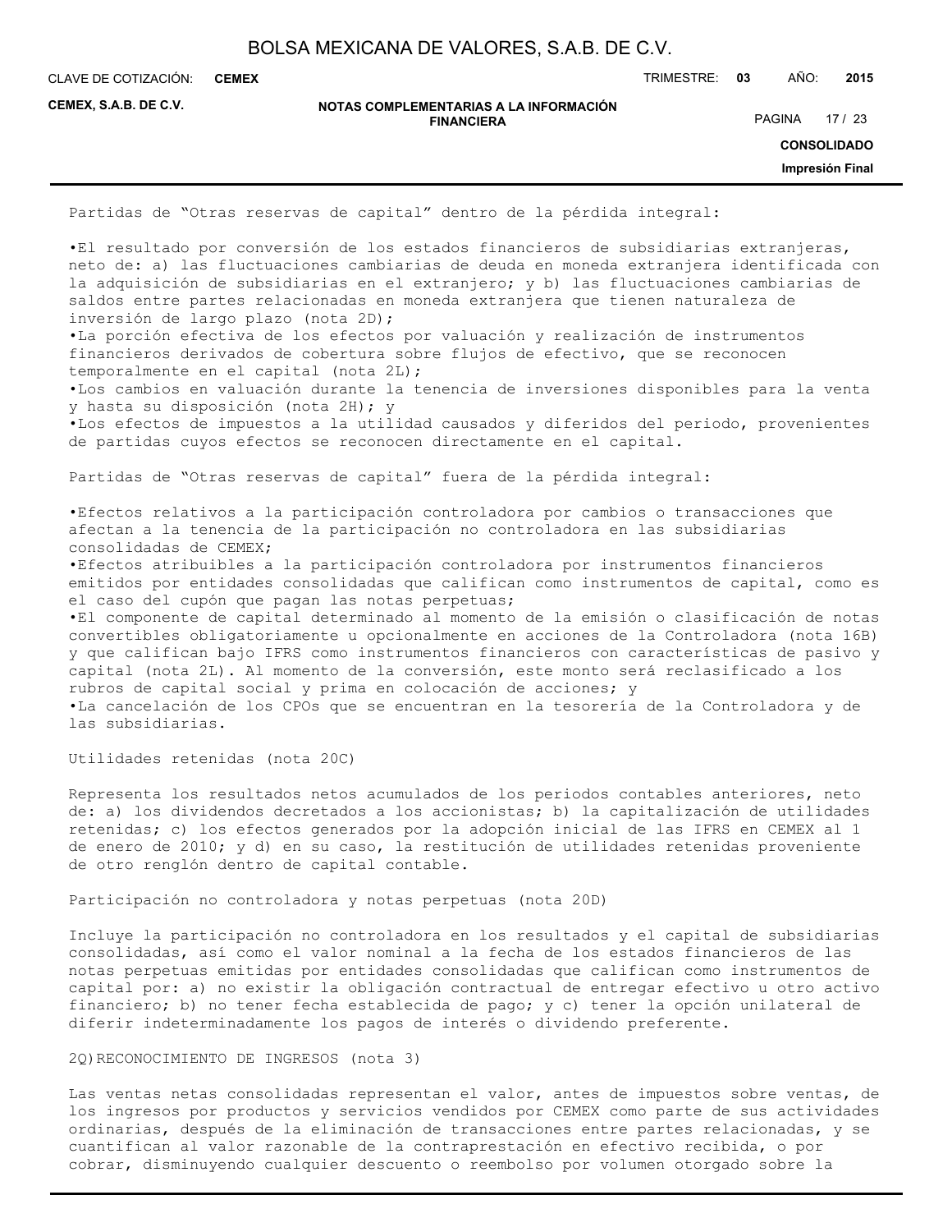**CEMEX**

CLAVE DE COTIZACIÓN: TRIMESTRE: **03** AÑO: **2015**

**CEMEX, S.A.B. DE C.V.**

**NOTAS COMPLEMENTARIAS A LA INFORMACIÓN FINANCIERA**

PAGINA 17 / 23

**CONSOLIDADO**

**Impresión Final**

Partidas de "Otras reservas de capital" dentro de la pérdida integral:

•El resultado por conversión de los estados financieros de subsidiarias extranjeras, neto de: a) las fluctuaciones cambiarias de deuda en moneda extranjera identificada con la adquisición de subsidiarias en el extranjero; y b) las fluctuaciones cambiarias de saldos entre partes relacionadas en moneda extranjera que tienen naturaleza de inversión de largo plazo (nota 2D);

•La porción efectiva de los efectos por valuación y realización de instrumentos financieros derivados de cobertura sobre flujos de efectivo, que se reconocen temporalmente en el capital (nota 2L);

•Los cambios en valuación durante la tenencia de inversiones disponibles para la venta y hasta su disposición (nota 2H); y

•Los efectos de impuestos a la utilidad causados y diferidos del periodo, provenientes de partidas cuyos efectos se reconocen directamente en el capital.

Partidas de "Otras reservas de capital" fuera de la pérdida integral:

•Efectos relativos a la participación controladora por cambios o transacciones que afectan a la tenencia de la participación no controladora en las subsidiarias consolidadas de CEMEX;

•Efectos atribuibles a la participación controladora por instrumentos financieros emitidos por entidades consolidadas que califican como instrumentos de capital, como es el caso del cupón que pagan las notas perpetuas;

•El componente de capital determinado al momento de la emisión o clasificación de notas convertibles obligatoriamente u opcionalmente en acciones de la Controladora (nota 16B) y que califican bajo IFRS como instrumentos financieros con características de pasivo y capital (nota 2L). Al momento de la conversión, este monto será reclasificado a los rubros de capital social y prima en colocación de acciones; y •La cancelación de los CPOs que se encuentran en la tesorería de la Controladora y de

las subsidiarias.

Utilidades retenidas (nota 20C)

Representa los resultados netos acumulados de los periodos contables anteriores, neto de: a) los dividendos decretados a los accionistas; b) la capitalización de utilidades retenidas; c) los efectos generados por la adopción inicial de las IFRS en CEMEX al 1 de enero de 2010; y d) en su caso, la restitución de utilidades retenidas proveniente de otro renglón dentro de capital contable.

Participación no controladora y notas perpetuas (nota 20D)

Incluye la participación no controladora en los resultados y el capital de subsidiarias consolidadas, así como el valor nominal a la fecha de los estados financieros de las notas perpetuas emitidas por entidades consolidadas que califican como instrumentos de capital por: a) no existir la obligación contractual de entregar efectivo u otro activo financiero; b) no tener fecha establecida de pago; y c) tener la opción unilateral de diferir indeterminadamente los pagos de interés o dividendo preferente.

2Q)RECONOCIMIENTO DE INGRESOS (nota 3)

Las ventas netas consolidadas representan el valor, antes de impuestos sobre ventas, de los ingresos por productos y servicios vendidos por CEMEX como parte de sus actividades ordinarias, después de la eliminación de transacciones entre partes relacionadas, y se cuantifican al valor razonable de la contraprestación en efectivo recibida, o por cobrar, disminuyendo cualquier descuento o reembolso por volumen otorgado sobre la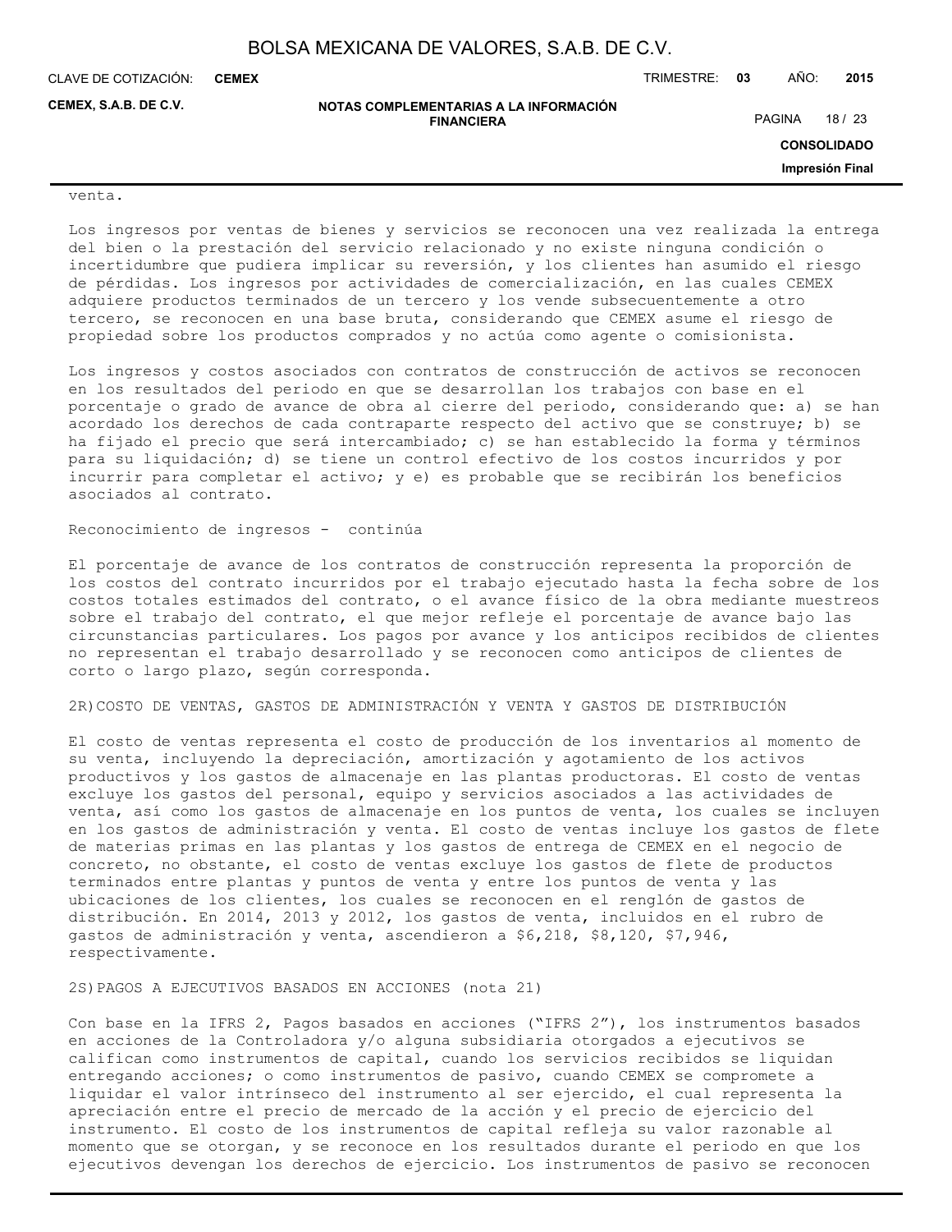**FINANCIERA**

CLAVE DE COTIZACIÓN: TRIMESTRE: **03** AÑO: **2015 CEMEX**

**CEMEX, S.A.B. DE C.V.**

**NOTAS COMPLEMENTARIAS A LA INFORMACIÓN**

PAGINA 18 / 23

**CONSOLIDADO**

**Impresión Final**

#### venta.

Los ingresos por ventas de bienes y servicios se reconocen una vez realizada la entrega del bien o la prestación del servicio relacionado y no existe ninguna condición o incertidumbre que pudiera implicar su reversión, y los clientes han asumido el riesgo de pérdidas. Los ingresos por actividades de comercialización, en las cuales CEMEX adquiere productos terminados de un tercero y los vende subsecuentemente a otro tercero, se reconocen en una base bruta, considerando que CEMEX asume el riesgo de propiedad sobre los productos comprados y no actúa como agente o comisionista.

Los ingresos y costos asociados con contratos de construcción de activos se reconocen en los resultados del periodo en que se desarrollan los trabajos con base en el porcentaje o grado de avance de obra al cierre del periodo, considerando que: a) se han acordado los derechos de cada contraparte respecto del activo que se construye; b) se ha fijado el precio que será intercambiado; c) se han establecido la forma y términos para su liquidación; d) se tiene un control efectivo de los costos incurridos y por incurrir para completar el activo; y e) es probable que se recibirán los beneficios asociados al contrato.

#### Reconocimiento de ingresos - continúa

El porcentaje de avance de los contratos de construcción representa la proporción de los costos del contrato incurridos por el trabajo ejecutado hasta la fecha sobre de los costos totales estimados del contrato, o el avance físico de la obra mediante muestreos sobre el trabajo del contrato, el que mejor refleje el porcentaje de avance bajo las circunstancias particulares. Los pagos por avance y los anticipos recibidos de clientes no representan el trabajo desarrollado y se reconocen como anticipos de clientes de corto o largo plazo, según corresponda.

## 2R)COSTO DE VENTAS, GASTOS DE ADMINISTRACIÓN Y VENTA Y GASTOS DE DISTRIBUCIÓN

El costo de ventas representa el costo de producción de los inventarios al momento de su venta, incluyendo la depreciación, amortización y agotamiento de los activos productivos y los gastos de almacenaje en las plantas productoras. El costo de ventas excluye los gastos del personal, equipo y servicios asociados a las actividades de venta, así como los gastos de almacenaje en los puntos de venta, los cuales se incluyen en los gastos de administración y venta. El costo de ventas incluye los gastos de flete de materias primas en las plantas y los gastos de entrega de CEMEX en el negocio de concreto, no obstante, el costo de ventas excluye los gastos de flete de productos terminados entre plantas y puntos de venta y entre los puntos de venta y las ubicaciones de los clientes, los cuales se reconocen en el renglón de gastos de distribución. En 2014, 2013 y 2012, los gastos de venta, incluidos en el rubro de gastos de administración y venta, ascendieron a \$6,218, \$8,120, \$7,946, respectivamente.

#### 2S)PAGOS A EJECUTIVOS BASADOS EN ACCIONES (nota 21)

Con base en la IFRS 2, Pagos basados en acciones ("IFRS 2"), los instrumentos basados en acciones de la Controladora y/o alguna subsidiaria otorgados a ejecutivos se califican como instrumentos de capital, cuando los servicios recibidos se liquidan entregando acciones; o como instrumentos de pasivo, cuando CEMEX se compromete a liquidar el valor intrínseco del instrumento al ser ejercido, el cual representa la apreciación entre el precio de mercado de la acción y el precio de ejercicio del instrumento. El costo de los instrumentos de capital refleja su valor razonable al momento que se otorgan, y se reconoce en los resultados durante el periodo en que los ejecutivos devengan los derechos de ejercicio. Los instrumentos de pasivo se reconocen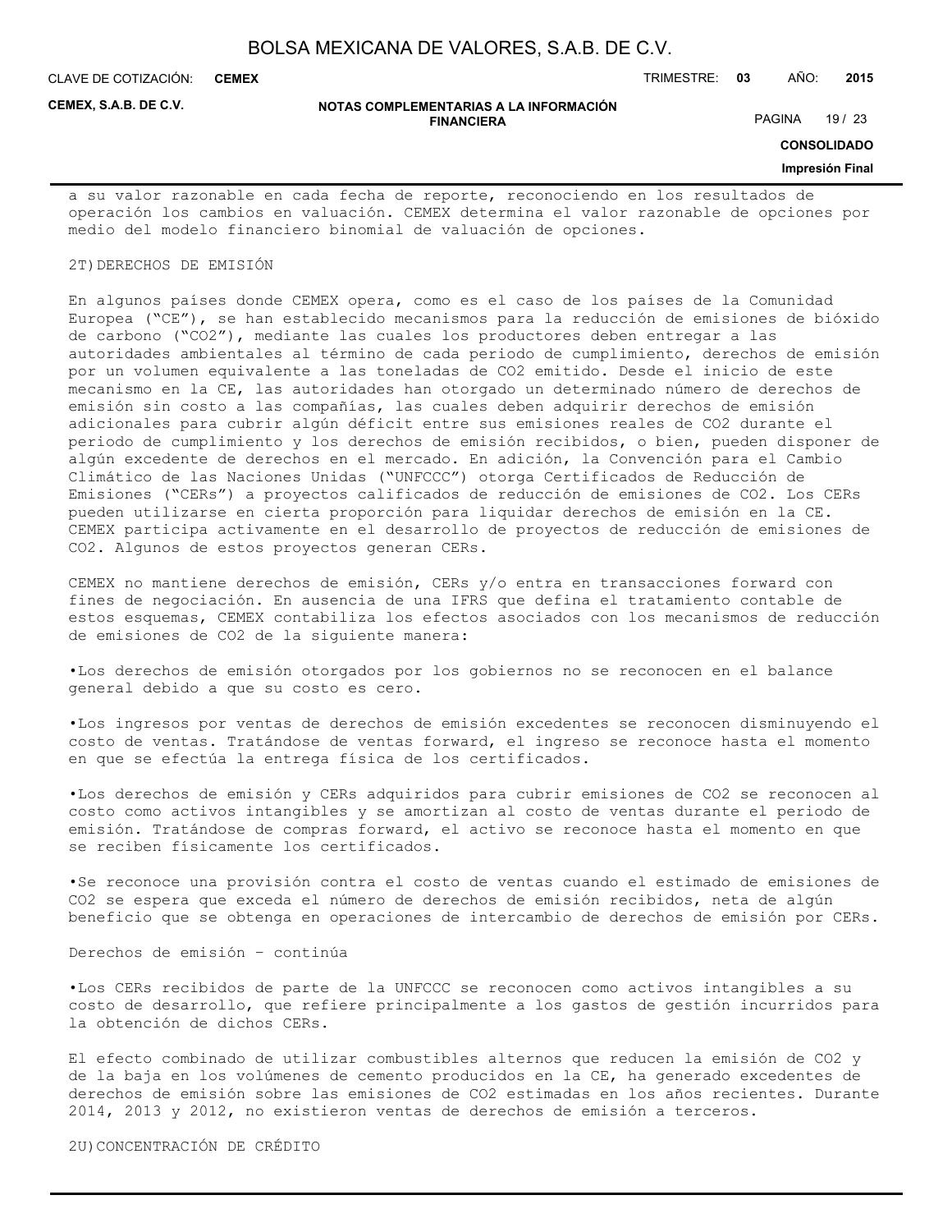**CEMEX**

CLAVE DE COTIZACIÓN: TRIMESTRE: **03** AÑO: **2015**

**CEMEX, S.A.B. DE C.V.**

#### **NOTAS COMPLEMENTARIAS A LA INFORMACIÓN FINANCIERA**

PAGINA 19 / 23

**CONSOLIDADO**

#### **Impresión Final**

a su valor razonable en cada fecha de reporte, reconociendo en los resultados de operación los cambios en valuación. CEMEX determina el valor razonable de opciones por medio del modelo financiero binomial de valuación de opciones.

#### 2T)DERECHOS DE EMISIÓN

En algunos países donde CEMEX opera, como es el caso de los países de la Comunidad Europea ("CE"), se han establecido mecanismos para la reducción de emisiones de bióxido de carbono ("CO2"), mediante las cuales los productores deben entregar a las autoridades ambientales al término de cada periodo de cumplimiento, derechos de emisión por un volumen equivalente a las toneladas de CO2 emitido. Desde el inicio de este mecanismo en la CE, las autoridades han otorgado un determinado número de derechos de emisión sin costo a las compañías, las cuales deben adquirir derechos de emisión adicionales para cubrir algún déficit entre sus emisiones reales de CO2 durante el periodo de cumplimiento y los derechos de emisión recibidos, o bien, pueden disponer de algún excedente de derechos en el mercado. En adición, la Convención para el Cambio Climático de las Naciones Unidas ("UNFCCC") otorga Certificados de Reducción de Emisiones ("CERs") a proyectos calificados de reducción de emisiones de CO2. Los CERs pueden utilizarse en cierta proporción para liquidar derechos de emisión en la CE. CEMEX participa activamente en el desarrollo de proyectos de reducción de emisiones de CO2. Algunos de estos proyectos generan CERs.

CEMEX no mantiene derechos de emisión, CERs y/o entra en transacciones forward con fines de negociación. En ausencia de una IFRS que defina el tratamiento contable de estos esquemas, CEMEX contabiliza los efectos asociados con los mecanismos de reducción de emisiones de CO2 de la siguiente manera:

•Los derechos de emisión otorgados por los gobiernos no se reconocen en el balance general debido a que su costo es cero.

•Los ingresos por ventas de derechos de emisión excedentes se reconocen disminuyendo el costo de ventas. Tratándose de ventas forward, el ingreso se reconoce hasta el momento en que se efectúa la entrega física de los certificados.

•Los derechos de emisión y CERs adquiridos para cubrir emisiones de CO2 se reconocen al costo como activos intangibles y se amortizan al costo de ventas durante el periodo de emisión. Tratándose de compras forward, el activo se reconoce hasta el momento en que se reciben físicamente los certificados.

•Se reconoce una provisión contra el costo de ventas cuando el estimado de emisiones de CO2 se espera que exceda el número de derechos de emisión recibidos, neta de algún beneficio que se obtenga en operaciones de intercambio de derechos de emisión por CERs.

Derechos de emisión – continúa

•Los CERs recibidos de parte de la UNFCCC se reconocen como activos intangibles a su costo de desarrollo, que refiere principalmente a los gastos de gestión incurridos para la obtención de dichos CERs.

El efecto combinado de utilizar combustibles alternos que reducen la emisión de CO2 y de la baja en los volúmenes de cemento producidos en la CE, ha generado excedentes de derechos de emisión sobre las emisiones de CO2 estimadas en los años recientes. Durante 2014, 2013 y 2012, no existieron ventas de derechos de emisión a terceros.

2U)CONCENTRACIÓN DE CRÉDITO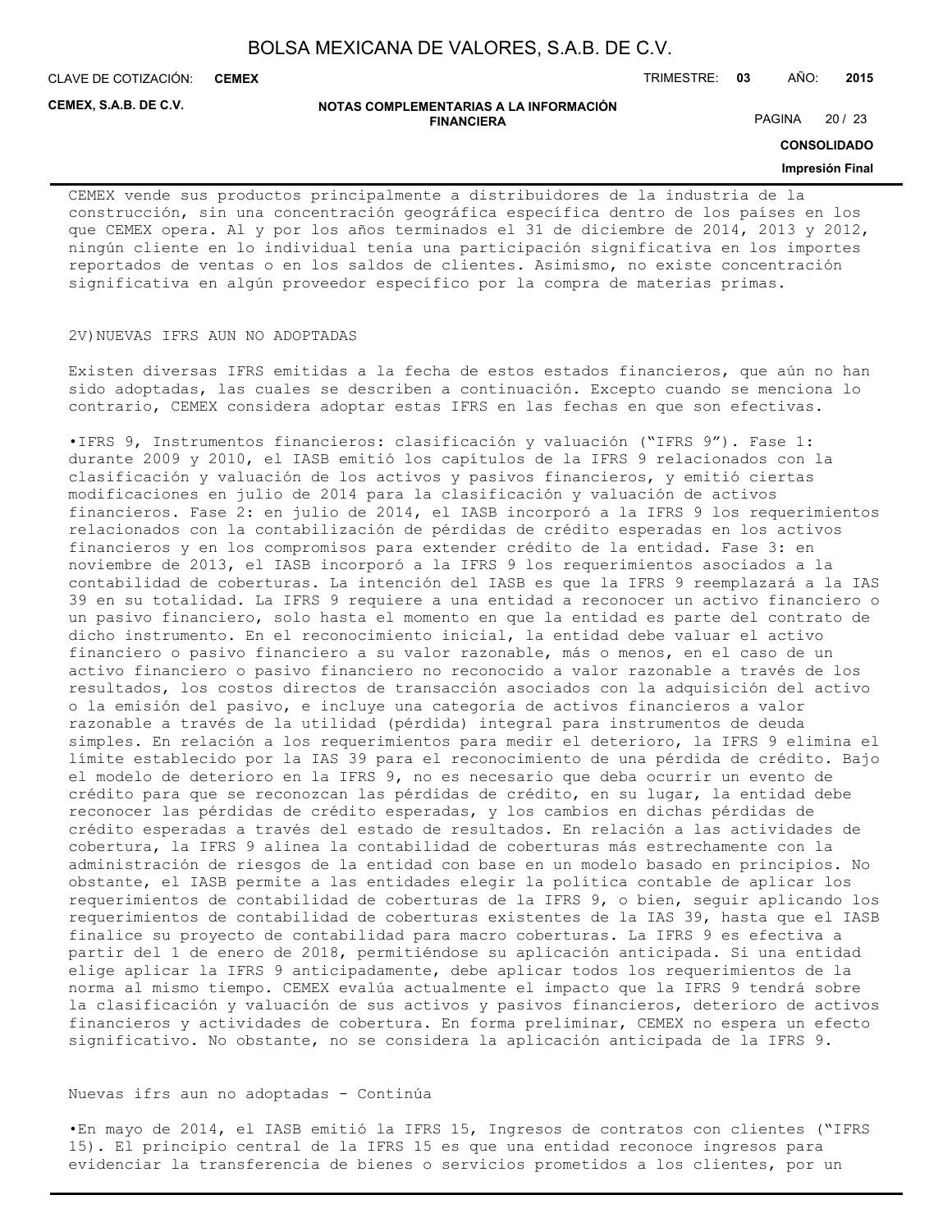**CEMEX**

CLAVE DE COTIZACIÓN: TRIMESTRE: **03** AÑO: **2015**

**CEMEX, S.A.B. DE C.V.**

#### **NOTAS COMPLEMENTARIAS A LA INFORMACIÓN FINANCIERA**

PAGINA 20 / 23

**CONSOLIDADO**

#### **Impresión Final**

CEMEX vende sus productos principalmente a distribuidores de la industria de la construcción, sin una concentración geográfica específica dentro de los países en los que CEMEX opera. Al y por los años terminados el 31 de diciembre de 2014, 2013 y 2012, ningún cliente en lo individual tenía una participación significativa en los importes reportados de ventas o en los saldos de clientes. Asimismo, no existe concentración significativa en algún proveedor específico por la compra de materias primas.

#### 2V)NUEVAS IFRS AUN NO ADOPTADAS

Existen diversas IFRS emitidas a la fecha de estos estados financieros, que aún no han sido adoptadas, las cuales se describen a continuación. Excepto cuando se menciona lo contrario, CEMEX considera adoptar estas IFRS en las fechas en que son efectivas.

•IFRS 9, Instrumentos financieros: clasificación y valuación ("IFRS 9"). Fase 1: durante 2009 y 2010, el IASB emitió los capítulos de la IFRS 9 relacionados con la clasificación y valuación de los activos y pasivos financieros, y emitió ciertas modificaciones en julio de 2014 para la clasificación y valuación de activos financieros. Fase 2: en julio de 2014, el IASB incorporó a la IFRS 9 los requerimientos relacionados con la contabilización de pérdidas de crédito esperadas en los activos financieros y en los compromisos para extender crédito de la entidad. Fase 3: en noviembre de 2013, el IASB incorporó a la IFRS 9 los requerimientos asociados a la contabilidad de coberturas. La intención del IASB es que la IFRS 9 reemplazará a la IAS 39 en su totalidad. La IFRS 9 requiere a una entidad a reconocer un activo financiero o un pasivo financiero, solo hasta el momento en que la entidad es parte del contrato de dicho instrumento. En el reconocimiento inicial, la entidad debe valuar el activo financiero o pasivo financiero a su valor razonable, más o menos, en el caso de un activo financiero o pasivo financiero no reconocido a valor razonable a través de los resultados, los costos directos de transacción asociados con la adquisición del activo o la emisión del pasivo, e incluye una categoría de activos financieros a valor razonable a través de la utilidad (pérdida) integral para instrumentos de deuda simples. En relación a los requerimientos para medir el deterioro, la IFRS 9 elimina el límite establecido por la IAS 39 para el reconocimiento de una pérdida de crédito. Bajo el modelo de deterioro en la IFRS 9, no es necesario que deba ocurrir un evento de crédito para que se reconozcan las pérdidas de crédito, en su lugar, la entidad debe reconocer las pérdidas de crédito esperadas, y los cambios en dichas pérdidas de crédito esperadas a través del estado de resultados. En relación a las actividades de cobertura, la IFRS 9 alinea la contabilidad de coberturas más estrechamente con la administración de riesgos de la entidad con base en un modelo basado en principios. No obstante, el IASB permite a las entidades elegir la política contable de aplicar los requerimientos de contabilidad de coberturas de la IFRS 9, o bien, seguir aplicando los requerimientos de contabilidad de coberturas existentes de la IAS 39, hasta que el IASB finalice su proyecto de contabilidad para macro coberturas. La IFRS 9 es efectiva a partir del 1 de enero de 2018, permitiéndose su aplicación anticipada. Si una entidad elige aplicar la IFRS 9 anticipadamente, debe aplicar todos los requerimientos de la norma al mismo tiempo. CEMEX evalúa actualmente el impacto que la IFRS 9 tendrá sobre la clasificación y valuación de sus activos y pasivos financieros, deterioro de activos financieros y actividades de cobertura. En forma preliminar, CEMEX no espera un efecto significativo. No obstante, no se considera la aplicación anticipada de la IFRS 9.

#### Nuevas ifrs aun no adoptadas - Continúa

•En mayo de 2014, el IASB emitió la IFRS 15, Ingresos de contratos con clientes ("IFRS 15). El principio central de la IFRS 15 es que una entidad reconoce ingresos para evidenciar la transferencia de bienes o servicios prometidos a los clientes, por un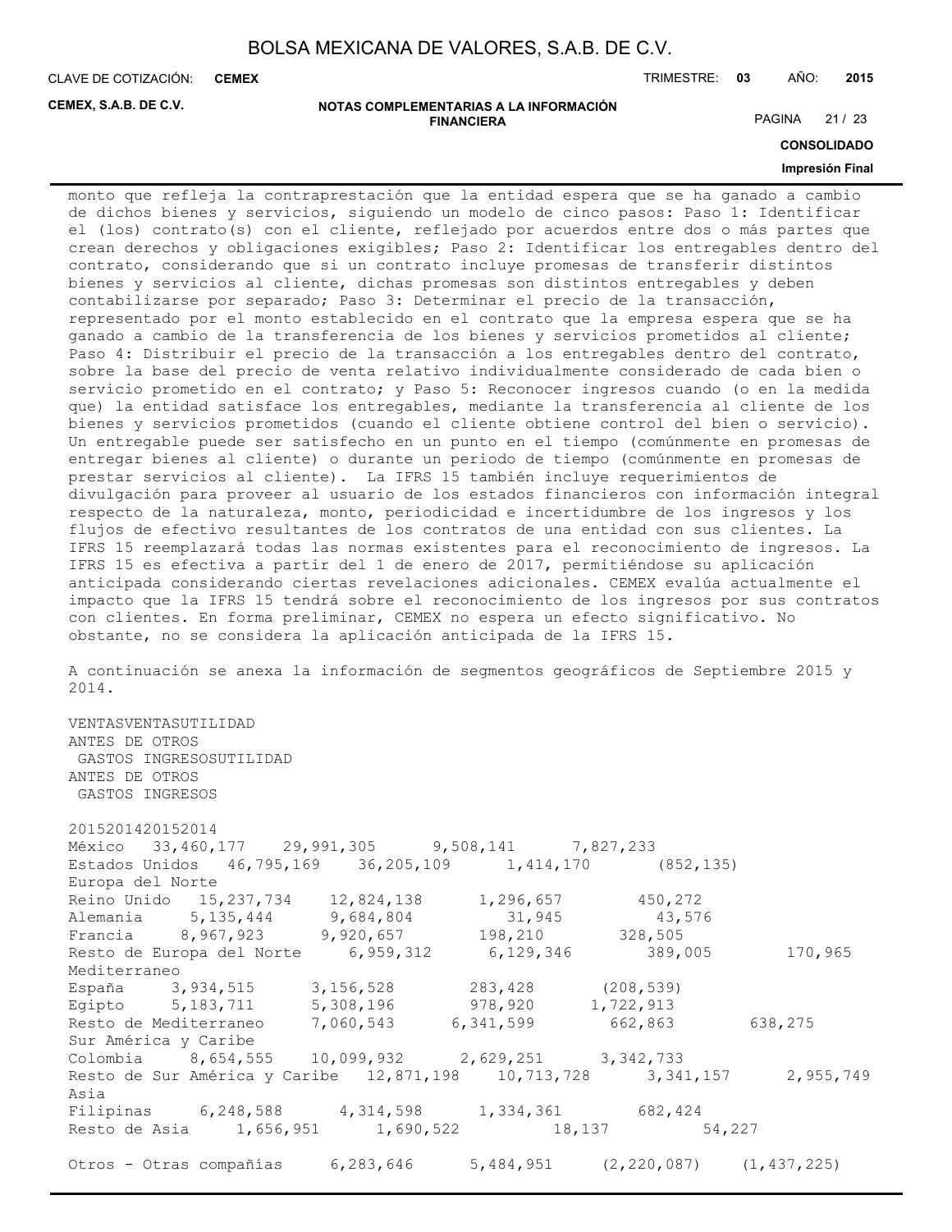**CEMEX**

CLAVE DE COTIZACIÓN: TRIMESTRE: **03** AÑO: **2015**

**CEMEX, S.A.B. DE C.V.**

#### **NOTAS COMPLEMENTARIAS A LA INFORMACIÓN FINANCIERA**

PAGINA 21 / 23

**CONSOLIDADO**

#### **Impresión Final**

monto que refleja la contraprestación que la entidad espera que se ha ganado a cambio de dichos bienes y servicios, siguiendo un modelo de cinco pasos: Paso 1: Identificar el (los) contrato(s) con el cliente, reflejado por acuerdos entre dos o más partes que crean derechos y obligaciones exigibles; Paso 2: Identificar los entregables dentro del contrato, considerando que si un contrato incluye promesas de transferir distintos bienes y servicios al cliente, dichas promesas son distintos entregables y deben contabilizarse por separado; Paso 3: Determinar el precio de la transacción, representado por el monto establecido en el contrato que la empresa espera que se ha ganado a cambio de la transferencia de los bienes y servicios prometidos al cliente; Paso 4: Distribuir el precio de la transacción a los entregables dentro del contrato, sobre la base del precio de venta relativo individualmente considerado de cada bien o servicio prometido en el contrato; y Paso 5: Reconocer ingresos cuando (o en la medida que) la entidad satisface los entregables, mediante la transferencia al cliente de los bienes y servicios prometidos (cuando el cliente obtiene control del bien o servicio). Un entregable puede ser satisfecho en un punto en el tiempo (comúnmente en promesas de entregar bienes al cliente) o durante un periodo de tiempo (comúnmente en promesas de prestar servicios al cliente). La IFRS 15 también incluye requerimientos de divulgación para proveer al usuario de los estados financieros con información integral respecto de la naturaleza, monto, periodicidad e incertidumbre de los ingresos y los flujos de efectivo resultantes de los contratos de una entidad con sus clientes. La IFRS 15 reemplazará todas las normas existentes para el reconocimiento de ingresos. La IFRS 15 es efectiva a partir del 1 de enero de 2017, permitiéndose su aplicación anticipada considerando ciertas revelaciones adicionales. CEMEX evalúa actualmente el impacto que la IFRS 15 tendrá sobre el reconocimiento de los ingresos por sus contratos con clientes. En forma preliminar, CEMEX no espera un efecto significativo. No obstante, no se considera la aplicación anticipada de la IFRS 15.

A continuación se anexa la información de segmentos geográficos de Septiembre 2015 y 2014.

VENTASVENTASUTILIDAD ANTES DE OTROS GASTOS INGRESOSUTILIDAD ANTES DE OTROS GASTOS INGRESOS 2015201420152014 México 33,460,177 29,991,305 9,508,141 7,827,233 Estados Unidos 46,795,169 36,205,109 1,414,170 (852,135) Europa del Norte Reino Unido 15,237,734 12,824,138 1,296,657 450,272<br>Alemania 5,135,444 9,684,804 31,945 43.57 Alemania 5,135,444 9,684,804 31,945 43,576 Francia 8,967,923 9,920,657 198,210 328,505 Resto de Europa del Norte 6,959,312 6,129,346 389,005 170,965 Mediterraneo España 3,934,515 3,156,528 283,428 (208,539) Egipto 5,183,711 5,308,196 978,920 1,722,913 Resto de Mediterraneo 7,060,543 6,341,599 662,863 638,275 Sur América y Caribe Colombia 8,654,555 10,099,932 2,629,251 3,342,733 Resto de Sur América y Caribe 12,871,198 10,713,728 3,341,157 2,955,749 Asia Filipinas 6,248,588 4,314,598 1,334,361 682,424 Resto de Asia 1,656,951 1,690,522 18,137 54,227 Otros - Otras compañías 6,283,646 5,484,951 (2,220,087) (1,437,225)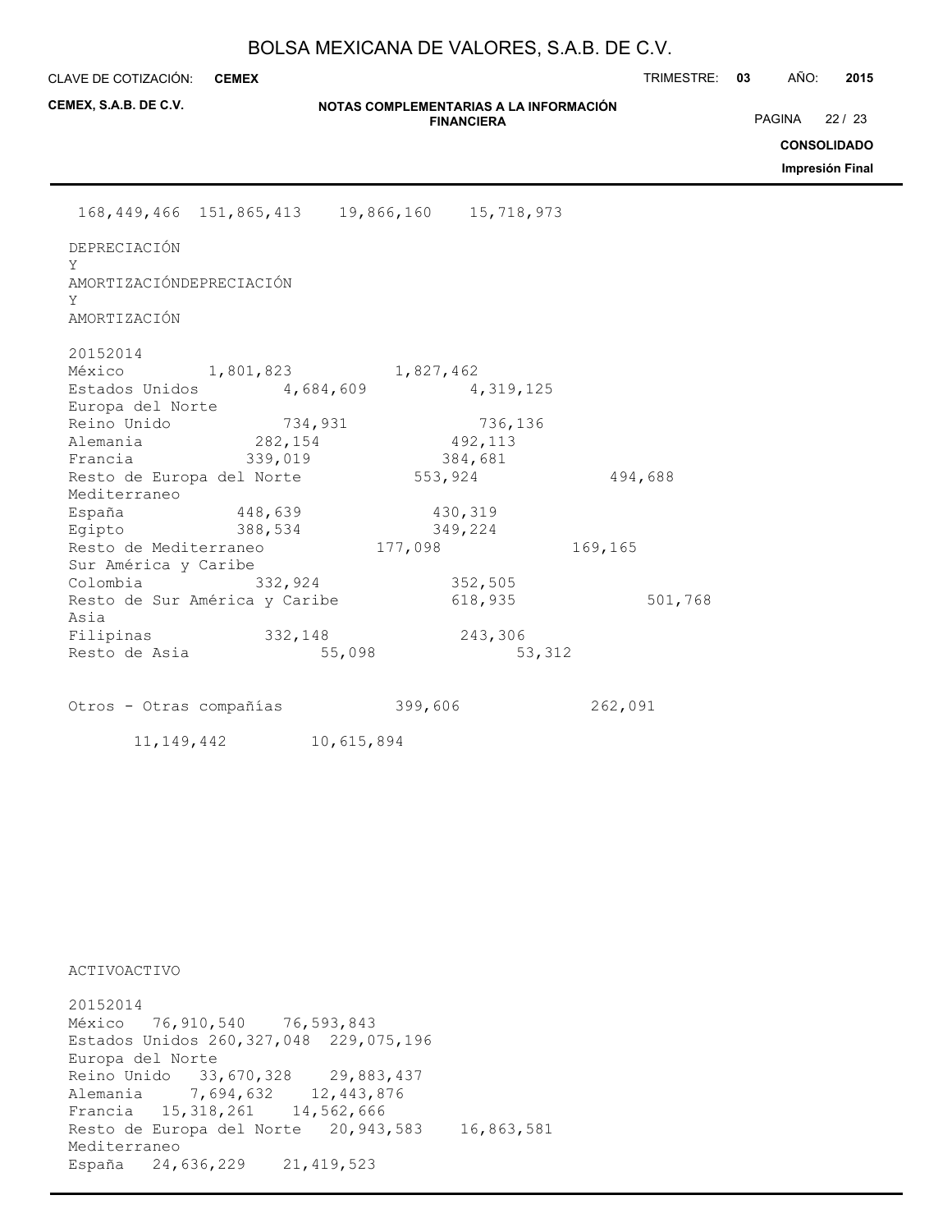**CEMEX**

CLAVE DE COTIZACIÓN: TRIMESTRE: **03** AÑO: **2015**

**CONSOLIDADO Impresión Final**

PAGINA 22 / 23

| CEMEX, S.A.B. DE C.V.                                 |                    | NOTAS COMPLEMENTARIAS A LA INFORMACIÓN | <b>FINANCIERA</b>             |         |
|-------------------------------------------------------|--------------------|----------------------------------------|-------------------------------|---------|
|                                                       |                    |                                        |                               |         |
| 168, 449, 466 151, 865, 413 19, 866, 160 15, 718, 973 |                    |                                        |                               |         |
| DEPRECIACIÓN<br>Y                                     |                    |                                        |                               |         |
| AMORTIZACIÓNDEPRECIACIÓN<br>Y<br>AMORTIZACIÓN         |                    |                                        |                               |         |
| 20152014<br>México 1,801,823                          |                    | 1,827,462                              |                               |         |
| Estados Unidos<br>Europa del Norte                    | 4,684,609          |                                        | 4,319,125                     |         |
| Europa<br>Reino Unido<br>282,154<br>Francia           | 734,931<br>339,019 |                                        | 736,136<br>492,113<br>384,681 |         |
| Resto de Europa del Norte<br>Mediterraneo             |                    | 553,924                                |                               | 494,688 |
| España 148,639<br>Egipto                              | 388,534            |                                        | 430,319<br>349,224            |         |
| Resto de Mediterraneo<br>Sur América y Caribe         |                    | 177,098                                |                               | 169,165 |
| Colombia<br>Resto de Sur América y Caribe<br>Asia     | 332,924            |                                        | 352,505<br>618,935            | 501,768 |
| Filipinas 332,148<br>Resto de Asia                    |                    | 55,098                                 | 243,306<br>53,312             |         |
| Otros - Otras compañías                               |                    | 399,606                                |                               | 262,091 |
| 11, 149, 442                                          |                    | 10,615,894                             |                               |         |

ACTIVOACTIVO

20152014 México 76,910,540 76,593,843 Estados Unidos 260,327,048 229,075,196 Europa del Norte Reino Unido 33,670,328 29,883,437 Alemania 7,694,632 12,443,876 Francia 15,318,261 14,562,666 Resto de Europa del Norte 20,943,583 16,863,581 Mediterraneo España 24,636,229 21,419,523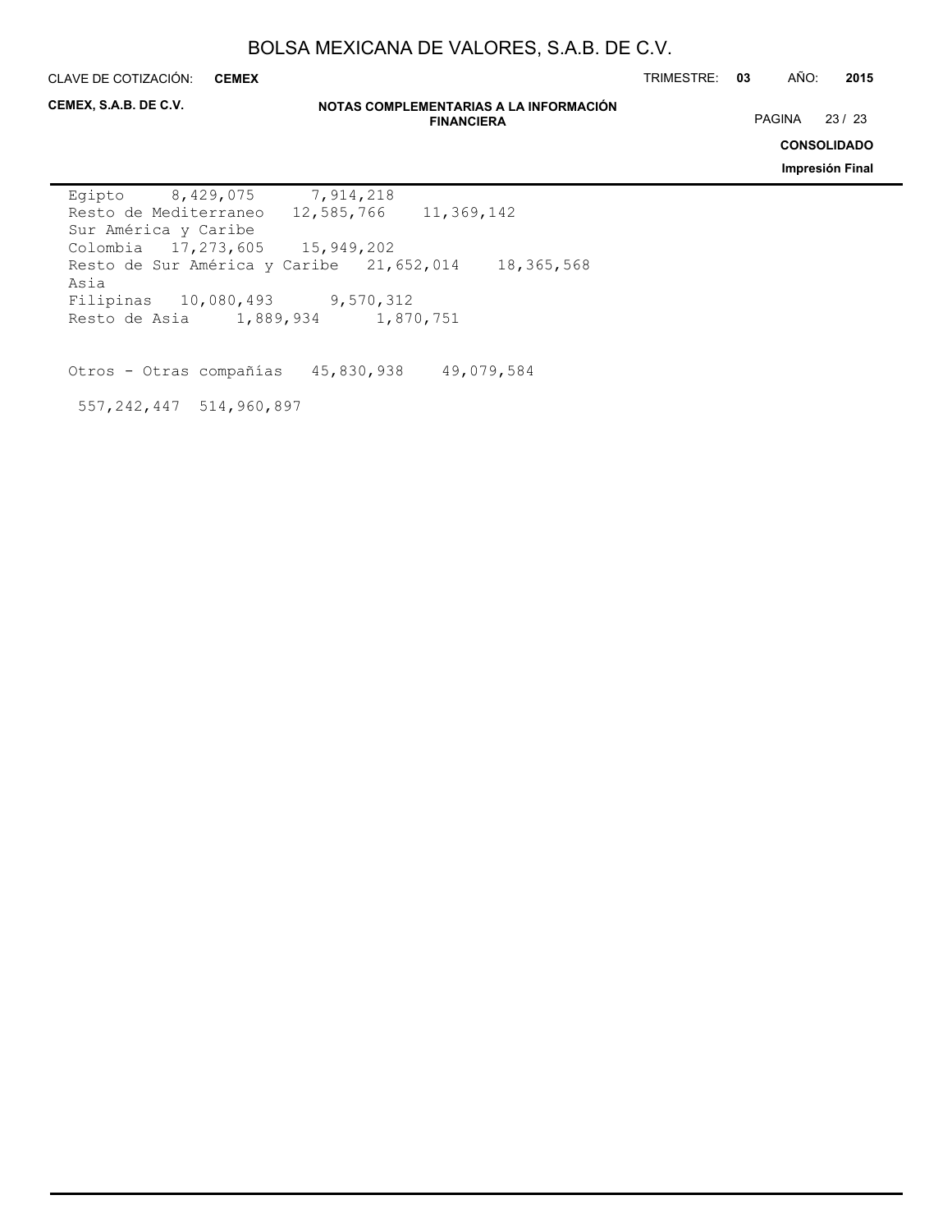**CEMEX**

CLAVE DE COTIZACIÓN: TRIMESTRE: **03** AÑO: **2015**

**CEMEX, S.A.B. DE C.V.**

#### **NOTAS COMPLEMENTARIAS A LA INFORMACIÓN FINANCIERA**

PAGINA 23 / 23

**CONSOLIDADO**

**Impresión Final**

Egipto 8,429,075 7,914,218 Resto de Mediterraneo 12,585,766 11,369,142 Sur América y Caribe Colombia 17,273,605 15,949,202 Resto de Sur América y Caribe 21,652,014 18,365,568 Asia Filipinas 10,080,493 9,570,312 Resto de Asia 1,889,934 1,870,751

Otros - Otras compañías 45,830,938 49,079,584

557,242,447 514,960,897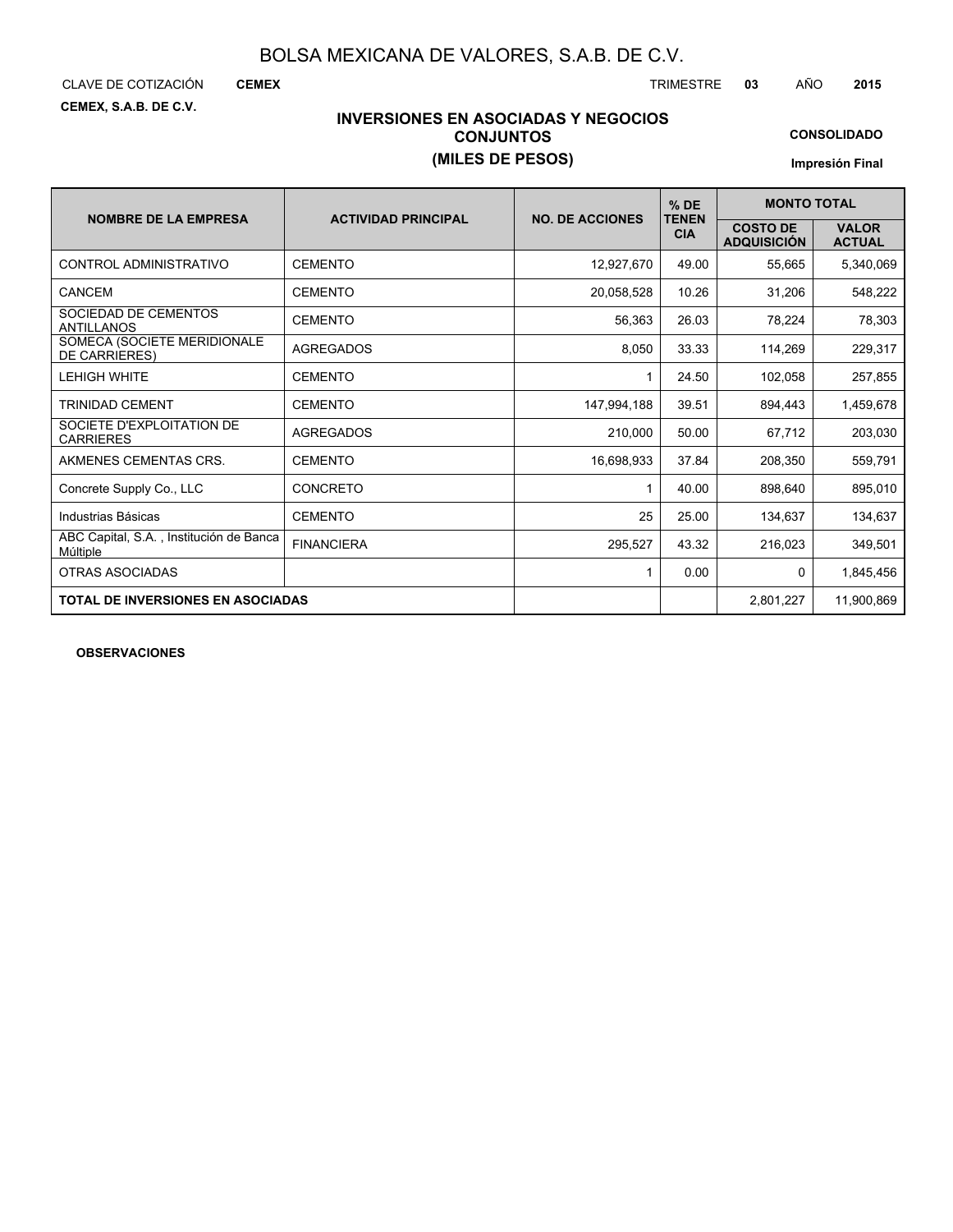CLAVE DE COTIZACIÓN TRIMESTRE **03** AÑO **2015**

**CEMEX**

**CEMEX, S.A.B. DE C.V.**

# **INVERSIONES EN ASOCIADAS Y NEGOCIOS CONJUNTOS (MILES DE PESOS)**

**CONSOLIDADO**

**Impresión Final**

| <b>NOMBRE DE LA EMPRESA</b>                         | <b>ACTIVIDAD PRINCIPAL</b> | <b>NO. DE ACCIONES</b> | $%$ DE<br><b>TENEN</b> |                                       | <b>MONTO TOTAL</b>            |  |  |  |
|-----------------------------------------------------|----------------------------|------------------------|------------------------|---------------------------------------|-------------------------------|--|--|--|
|                                                     |                            |                        | <b>CIA</b>             | <b>COSTO DE</b><br><b>ADQUISICIÓN</b> | <b>VALOR</b><br><b>ACTUAL</b> |  |  |  |
| CONTROL ADMINISTRATIVO                              | <b>CEMENTO</b>             | 12,927,670             | 49.00                  | 55,665                                | 5,340,069                     |  |  |  |
| CANCEM                                              | <b>CEMENTO</b>             | 20,058,528             | 10.26                  | 31,206                                | 548,222                       |  |  |  |
| SOCIEDAD DE CEMENTOS<br><b>ANTILLANOS</b>           | <b>CEMENTO</b>             | 56,363                 | 26.03                  | 78,224                                | 78,303                        |  |  |  |
| SOMECA (SOCIETE MERIDIONALE<br><b>DE CARRIERES)</b> | <b>AGREGADOS</b>           | 8,050                  | 33.33                  | 114.269                               | 229,317                       |  |  |  |
| <b>LEHIGH WHITE</b>                                 | <b>CEMENTO</b>             | 1                      | 24.50                  | 102,058                               | 257,855                       |  |  |  |
| <b>TRINIDAD CEMENT</b>                              | <b>CEMENTO</b>             | 147,994,188            | 39.51                  | 894,443                               | 1,459,678                     |  |  |  |
| SOCIETE D'EXPLOITATION DE<br><b>CARRIERES</b>       | <b>AGREGADOS</b>           | 210.000                | 50.00                  | 67,712                                | 203,030                       |  |  |  |
| AKMENES CEMENTAS CRS.                               | <b>CEMENTO</b>             | 16,698,933             | 37.84                  | 208,350                               | 559,791                       |  |  |  |
| Concrete Supply Co., LLC                            | CONCRETO                   |                        | 40.00                  | 898,640                               | 895,010                       |  |  |  |
| Industrias Básicas                                  | <b>CEMENTO</b>             | 25                     | 25.00                  | 134,637                               | 134,637                       |  |  |  |
| ABC Capital, S.A., Institución de Banca<br>Múltiple | <b>FINANCIERA</b>          | 295,527                | 43.32                  | 216,023                               | 349,501                       |  |  |  |
| <b>OTRAS ASOCIADAS</b>                              |                            | 1                      | 0.00                   | 0                                     | 1,845,456                     |  |  |  |
| <b>TOTAL DE INVERSIONES EN ASOCIADAS</b>            |                            |                        |                        | 2,801,227                             | 11,900,869                    |  |  |  |

**OBSERVACIONES**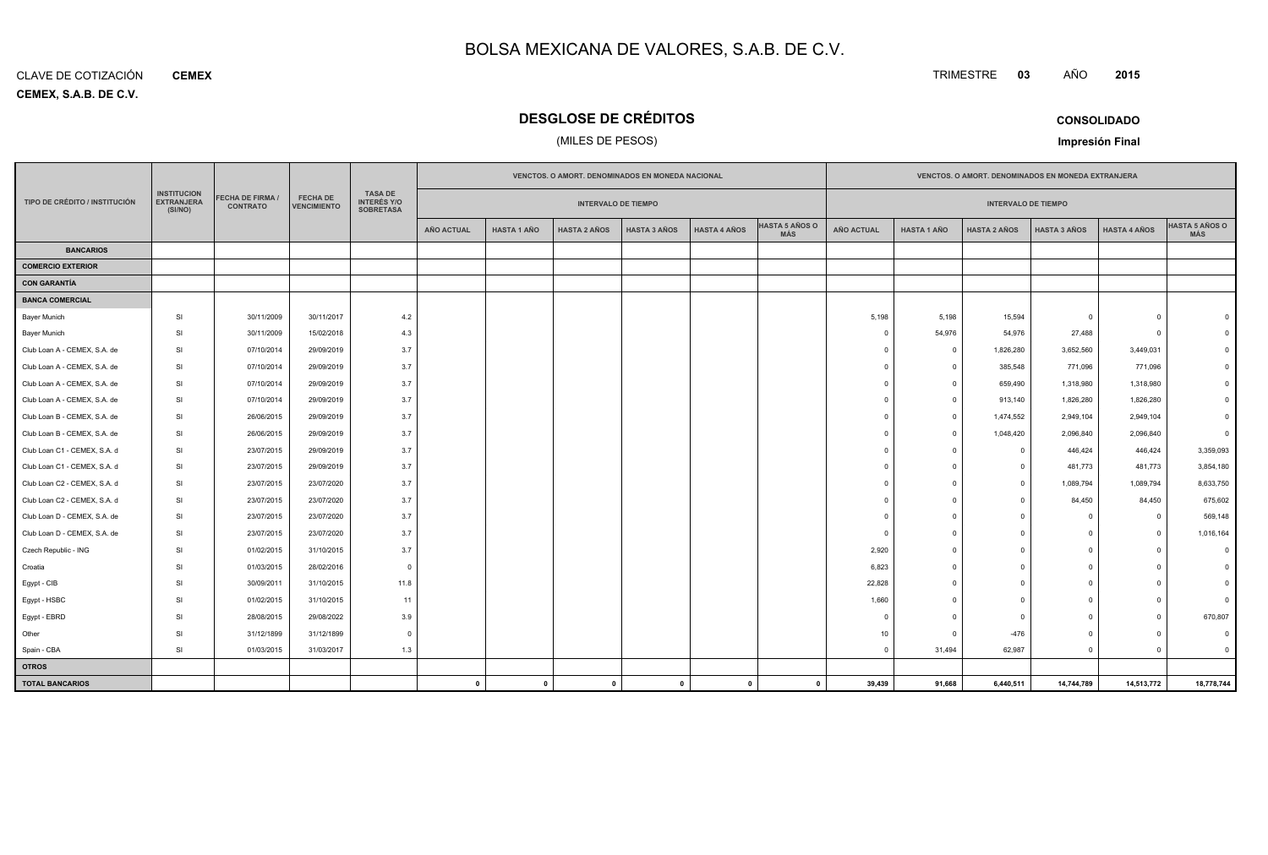**CEMEX, S.A.B. DE C.V.** CLAVE DE COTIZACIÓN**CEMEX**

# **DESGLOSE DE CRÉDITOS**

# (MILES DE PESOS)

| <b>CONSOLIDADO</b> |  |
|--------------------|--|
|                    |  |

TRIMESTRE **<sup>03</sup>** AÑO

**Impresión Final**

|                               |                                                    |                                           |                                       |                                                          |                   | VENCTOS. O AMORT. DENOMINADOS EN MONEDA NACIONAL |                     |                     |                     |                              |                | VENCTOS. O AMORT. DENOMINADOS EN MONEDA EXTRANJERA |                            |                     |                     |                                     |  |  |
|-------------------------------|----------------------------------------------------|-------------------------------------------|---------------------------------------|----------------------------------------------------------|-------------------|--------------------------------------------------|---------------------|---------------------|---------------------|------------------------------|----------------|----------------------------------------------------|----------------------------|---------------------|---------------------|-------------------------------------|--|--|
| TIPO DE CRÉDITO / INSTITUCIÓN | <b>INSTITUCION</b><br><b>EXTRANJERA</b><br>(SI/NO) | <b>ECHA DE FIRMA /</b><br><b>CONTRATO</b> | <b>FECHA DE</b><br><b>VENCIMIENTO</b> | <b>TASA DE</b><br><b>INTERÉS Y/O</b><br><b>SOBRETASA</b> |                   | <b>INTERVALO DE TIEMPO</b>                       |                     |                     |                     |                              |                |                                                    | <b>INTERVALO DE TIEMPO</b> |                     |                     |                                     |  |  |
|                               |                                                    |                                           |                                       |                                                          | <b>AÑO ACTUAL</b> | <b>HASTA 1 AÑO</b>                               | <b>HASTA 2 AÑOS</b> | <b>HASTA 3 AÑOS</b> | <b>HASTA 4 AÑOS</b> | <b>HASTA 5 AÑOS O</b><br>MÁS | AÑO ACTUAL     | <b>HASTA 1 AÑO</b>                                 | <b>HASTA 2 AÑOS</b>        | <b>HASTA 3 AÑOS</b> | <b>HASTA 4 AÑOS</b> | <b>HASTA 5 AÑOS O</b><br><b>MÁS</b> |  |  |
| <b>BANCARIOS</b>              |                                                    |                                           |                                       |                                                          |                   |                                                  |                     |                     |                     |                              |                |                                                    |                            |                     |                     |                                     |  |  |
| <b>COMERCIO EXTERIOR</b>      |                                                    |                                           |                                       |                                                          |                   |                                                  |                     |                     |                     |                              |                |                                                    |                            |                     |                     |                                     |  |  |
| <b>CON GARANTÍA</b>           |                                                    |                                           |                                       |                                                          |                   |                                                  |                     |                     |                     |                              |                |                                                    |                            |                     |                     |                                     |  |  |
| <b>BANCA COMERCIAL</b>        |                                                    |                                           |                                       |                                                          |                   |                                                  |                     |                     |                     |                              |                |                                                    |                            |                     |                     |                                     |  |  |
| <b>Bayer Munich</b>           | <b>SI</b>                                          | 30/11/2009                                | 30/11/2017                            | 4.2                                                      |                   |                                                  |                     |                     |                     |                              | 5,198          | 5,198                                              | 15,594                     | $^{\circ}$          | $\Omega$            |                                     |  |  |
| <b>Bayer Munich</b>           | SI                                                 | 30/11/2009                                | 15/02/2018                            | 4.3                                                      |                   |                                                  |                     |                     |                     |                              | $\overline{0}$ | 54,976                                             | 54,976                     | 27,488              | $\overline{0}$      |                                     |  |  |
| Club Loan A - CEMEX, S.A. de  | <b>SI</b>                                          | 07/10/2014                                | 29/09/2019                            | 3.7                                                      |                   |                                                  |                     |                     |                     |                              | $\Omega$       | $\overline{0}$                                     | 1,826,280                  | 3,652,560           | 3,449,031           |                                     |  |  |
| Club Loan A - CEMEX, S.A. de  | <b>SI</b>                                          | 07/10/2014                                | 29/09/2019                            | 3.7                                                      |                   |                                                  |                     |                     |                     |                              | $\Omega$       | $\Omega$                                           | 385,548                    | 771,096             | 771,096             |                                     |  |  |
| Club Loan A - CEMEX, S.A. de  | <b>SI</b>                                          | 07/10/2014                                | 29/09/2019                            | 3.7                                                      |                   |                                                  |                     |                     |                     |                              | $\Omega$       | $\overline{0}$                                     | 659,490                    | 1,318,980           | 1,318,980           |                                     |  |  |
| Club Loan A - CEMEX, S.A. de  | <b>SI</b>                                          | 07/10/2014                                | 29/09/2019                            | 3.7                                                      |                   |                                                  |                     |                     |                     |                              | $\Omega$       | $\Omega$                                           | 913,140                    | 1,826,280           | 1,826,280           |                                     |  |  |
| Club Loan B - CEMEX, S.A. de  | <b>SI</b>                                          | 26/06/2015                                | 29/09/2019                            | 3.7                                                      |                   |                                                  |                     |                     |                     |                              | $\Omega$       | $^{\circ}$                                         | 1,474,552                  | 2,949,104           | 2,949,104           |                                     |  |  |
| Club Loan B - CEMEX, S.A. de  | <b>SI</b>                                          | 26/06/2015                                | 29/09/2019                            | 3.7                                                      |                   |                                                  |                     |                     |                     |                              | $\Omega$       | $\Omega$                                           | 1,048,420                  | 2,096,840           | 2,096,840           |                                     |  |  |
| Club Loan C1 - CEMEX, S.A. d  | <b>SI</b>                                          | 23/07/2015                                | 29/09/2019                            | 3.7                                                      |                   |                                                  |                     |                     |                     |                              | $\Omega$       | $\Omega$                                           | $\Omega$                   | 446,424             | 446,424             | 3,359,093                           |  |  |
| Club Loan C1 - CEMEX, S.A. d  | <b>SI</b>                                          | 23/07/2015                                | 29/09/2019                            | 3.7                                                      |                   |                                                  |                     |                     |                     |                              | $\Omega$       | $\Omega$                                           | $\Omega$                   | 481,773             | 481,773             | 3,854,180                           |  |  |
| Club Loan C2 - CEMEX, S.A. d  | <b>SI</b>                                          | 23/07/2015                                | 23/07/2020                            | 3.7                                                      |                   |                                                  |                     |                     |                     |                              | $\Omega$       | $\Omega$                                           | $\Omega$                   | 1,089,794           | 1,089,794           | 8,633,750                           |  |  |
| Club Loan C2 - CEMEX, S.A. d  | SI                                                 | 23/07/2015                                | 23/07/2020                            | 3.7                                                      |                   |                                                  |                     |                     |                     |                              | $\Omega$       | $\Omega$                                           | $\Omega$                   | 84,450              | 84,450              | 675,602                             |  |  |
| Club Loan D - CEMEX, S.A. de  | <b>SI</b>                                          | 23/07/2015                                | 23/07/2020                            | 3.7                                                      |                   |                                                  |                     |                     |                     |                              | $\Omega$       | $\Omega$                                           | $\Omega$                   | $\Omega$            | $\Omega$            | 569,148                             |  |  |
| Club Loan D - CEMEX, S.A. de  | SI                                                 | 23/07/2015                                | 23/07/2020                            | 3.7                                                      |                   |                                                  |                     |                     |                     |                              | $\Omega$       | $\Omega$                                           | $\Omega$                   | $\Omega$            | $\Omega$            | 1,016,164                           |  |  |
| Czech Republic - ING          | <b>SI</b>                                          | 01/02/2015                                | 31/10/2015                            | 3.7                                                      |                   |                                                  |                     |                     |                     |                              | 2,920          | $\overline{0}$                                     | $\Omega$                   | $\circ$             | $\Omega$            |                                     |  |  |
| Croatia                       | SI                                                 | 01/03/2015                                | 28/02/2016                            | $\Omega$                                                 |                   |                                                  |                     |                     |                     |                              | 6,823          | $\Omega$                                           | $\Omega$                   | $^{\circ}$          | $\Omega$            |                                     |  |  |
| Egypt - CIB                   | SI                                                 | 30/09/2011                                | 31/10/2015                            | 11.8                                                     |                   |                                                  |                     |                     |                     |                              | 22,828         | $\Omega$                                           |                            | $\Omega$            | $\Omega$            |                                     |  |  |
| Egypt - HSBC                  | SI                                                 | 01/02/2015                                | 31/10/2015                            | 11                                                       |                   |                                                  |                     |                     |                     |                              | 1,660          | $\Omega$                                           | $\Omega$                   | $\Omega$            | $\Omega$            |                                     |  |  |
| Egypt - EBRD                  | <b>SI</b>                                          | 28/08/2015                                | 29/08/2022                            | 3.9                                                      |                   |                                                  |                     |                     |                     |                              | $\Omega$       | $\Omega$                                           | $\Omega$                   | $\Omega$            | $\Omega$            | 670,807                             |  |  |
| Other                         | SI                                                 | 31/12/1899                                | 31/12/1899                            | $\overline{0}$                                           |                   |                                                  |                     |                     |                     |                              | 10             | $\Omega$                                           | $-476$                     | $\mathbf 0$         | $\Omega$            |                                     |  |  |
| Spain - CBA                   | SI                                                 | 01/03/2015                                | 31/03/2017                            | 1.3                                                      |                   |                                                  |                     |                     |                     |                              | $\mathbf 0$    | 31,494                                             | 62,987                     | $\mathbf 0$         | $\Omega$            |                                     |  |  |
| <b>OTROS</b>                  |                                                    |                                           |                                       |                                                          |                   |                                                  |                     |                     |                     |                              |                |                                                    |                            |                     |                     |                                     |  |  |
| <b>TOTAL BANCARIOS</b>        |                                                    |                                           |                                       |                                                          | $\mathbf{0}$      | $\mathbf 0$                                      | $\mathbf{0}$        | $\Omega$            | $\mathbf{0}$        | $\mathbf{0}$                 | 39,439         | 91,668                                             | 6,440,511                  | 14,744,789          | 14,513,772          | 18,778,744                          |  |  |

**CONSOLIDADO**

**<sup>2015</sup>**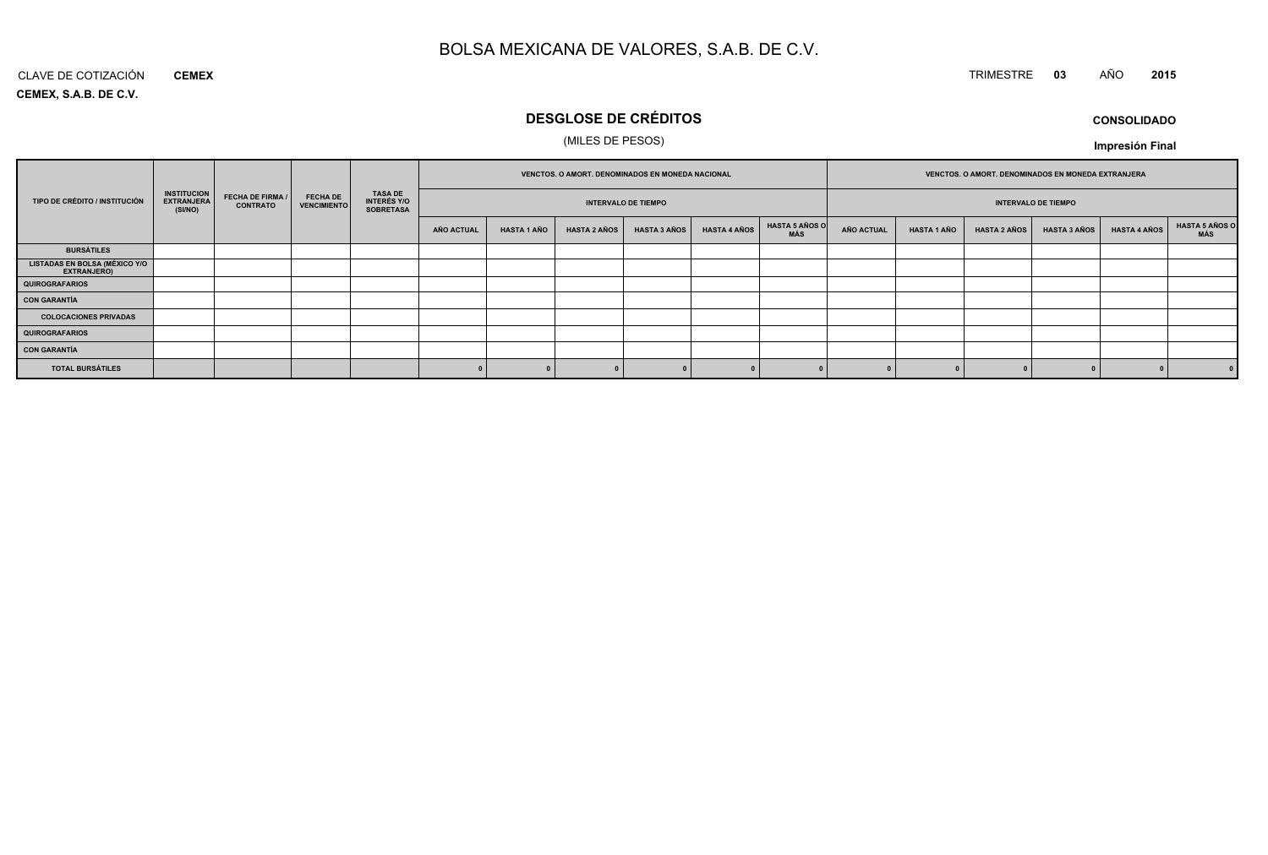# TRIMESTRE **<sup>03</sup>** AÑO **<sup>2015</sup>**

**CEMEX, S.A.B. DE C.V.**CLAVE DE COTIZACIÓN**CEMEX**

# **DESGLOSE DE CRÉDITOS**

# (MILES DE PESOS)

**CONSOLIDADOImpresión Final**

|                                                     |                                                    |                                            |                                       |                                                          | VENCTOS. O AMORT. DENOMINADOS EN MONEDA NACIONAL |                            |                     |                     |                     | VENCTOS. O AMORT. DENOMINADOS EN MONEDA EXTRANJERA |                            |                    |                     |                     |                     |                       |
|-----------------------------------------------------|----------------------------------------------------|--------------------------------------------|---------------------------------------|----------------------------------------------------------|--------------------------------------------------|----------------------------|---------------------|---------------------|---------------------|----------------------------------------------------|----------------------------|--------------------|---------------------|---------------------|---------------------|-----------------------|
| TIPO DE CRÉDITO / INSTITUCIÓN                       | <b>INSTITUCION</b><br><b>EXTRANJERA</b><br>(SI/NO) | <b>FECHA DE FIRMA /</b><br><b>CONTRATO</b> | <b>FECHA DE</b><br><b>VENCIMIENTO</b> | <b>TASA DE</b><br><b>INTERÉS Y/O</b><br><b>SOBRETASA</b> |                                                  | <b>INTERVALO DE TIEMPO</b> |                     |                     |                     |                                                    | <b>INTERVALO DE TIEMPO</b> |                    |                     |                     |                     |                       |
|                                                     |                                                    |                                            |                                       |                                                          | <b>AÑO ACTUAL</b>                                | <b>HASTA 1 AÑO</b>         | <b>HASTA 2 AÑOS</b> | <b>HASTA 3 AÑOS</b> | <b>HASTA 4 AÑOS</b> | <b>HASTA 5 AÑOS O</b><br>MÁS                       | <b>AÑO ACTUAL</b>          | <b>HASTA 1 AÑO</b> | <b>HASTA 2 AÑOS</b> | <b>HASTA 3 AÑOS</b> | <b>HASTA 4 AÑOS</b> | HASTA 5 AÑOS C<br>MÁS |
| <b>BURSÁTILES</b>                                   |                                                    |                                            |                                       |                                                          |                                                  |                            |                     |                     |                     |                                                    |                            |                    |                     |                     |                     |                       |
| <b>LISTADAS EN BOLSA (MÉXICO Y/O</b><br>EXTRANJERO) |                                                    |                                            |                                       |                                                          |                                                  |                            |                     |                     |                     |                                                    |                            |                    |                     |                     |                     |                       |
| <b>QUIROGRAFARIOS</b>                               |                                                    |                                            |                                       |                                                          |                                                  |                            |                     |                     |                     |                                                    |                            |                    |                     |                     |                     |                       |
| <b>CON GARANTÍA</b>                                 |                                                    |                                            |                                       |                                                          |                                                  |                            |                     |                     |                     |                                                    |                            |                    |                     |                     |                     |                       |
| <b>COLOCACIONES PRIVADAS</b>                        |                                                    |                                            |                                       |                                                          |                                                  |                            |                     |                     |                     |                                                    |                            |                    |                     |                     |                     |                       |
| <b>QUIROGRAFARIOS</b>                               |                                                    |                                            |                                       |                                                          |                                                  |                            |                     |                     |                     |                                                    |                            |                    |                     |                     |                     |                       |
| <b>CON GARANTÍA</b>                                 |                                                    |                                            |                                       |                                                          |                                                  |                            |                     |                     |                     |                                                    |                            |                    |                     |                     |                     |                       |
| <b>TOTAL BURSÁTILES</b>                             |                                                    |                                            |                                       |                                                          |                                                  |                            |                     |                     |                     |                                                    |                            |                    |                     |                     |                     | 0                     |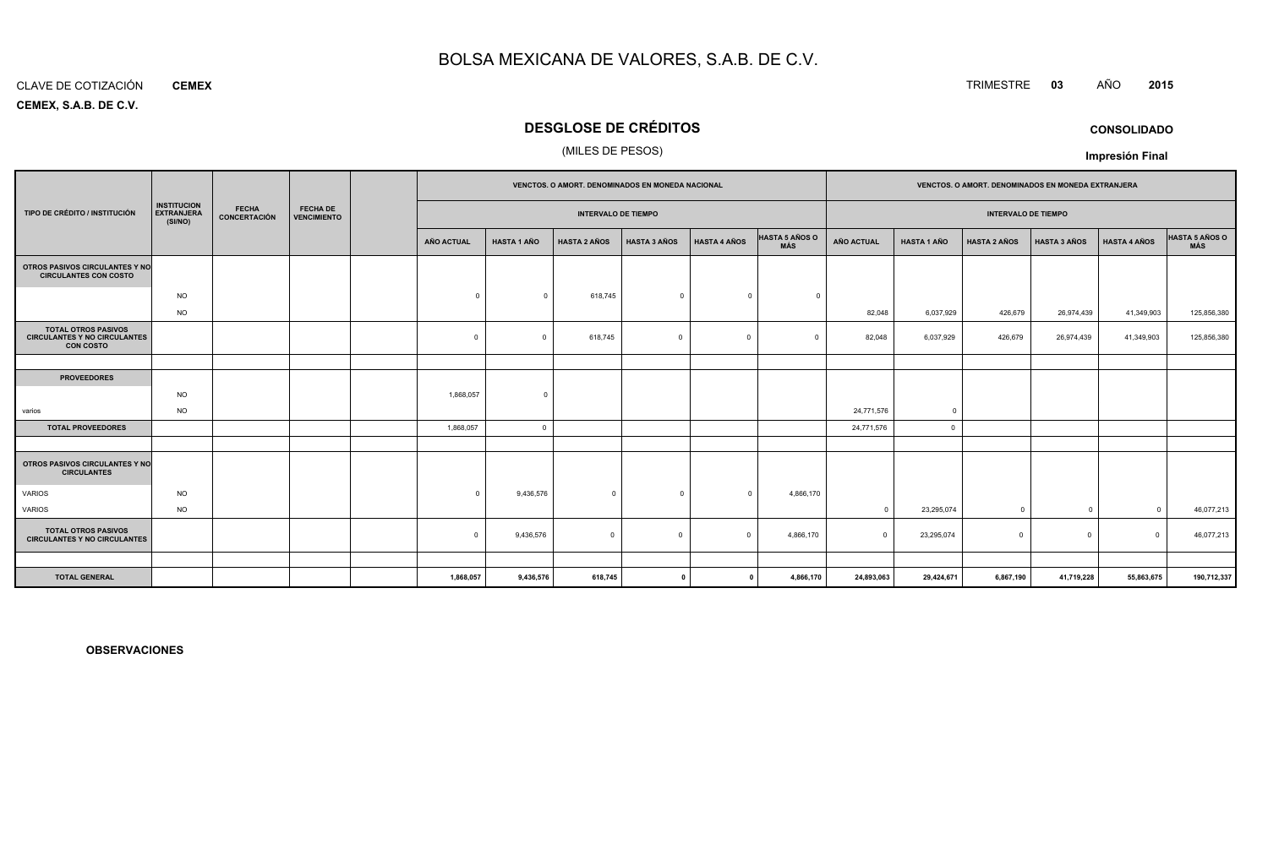#### CLAVE DE COTIZACIÓN**CEMEX**

**CEMEX, S.A.B. DE C.V.**

# **DESGLOSE DE CRÉDITOS**

## (MILES DE PESOS)

|                                                                                       |                                                                                                                             |  |  |  |            | VENCTOS. O AMORT. DENOMINADOS EN MONEDA NACIONAL |                            |                     |                     |                              | VENCTOS. O AMORT. DENOMINADOS EN MONEDA EXTRANJERA |                    |                            |                     |                     |                       |
|---------------------------------------------------------------------------------------|-----------------------------------------------------------------------------------------------------------------------------|--|--|--|------------|--------------------------------------------------|----------------------------|---------------------|---------------------|------------------------------|----------------------------------------------------|--------------------|----------------------------|---------------------|---------------------|-----------------------|
| TIPO DE CRÉDITO / INSTITUCIÓN                                                         | <b>INSTITUCION</b><br><b>FECHA</b><br><b>FECHA DE</b><br><b>EXTRANJERA</b><br>CONCERTACIÓN<br><b>VENCIMIENTO</b><br>(SI/NO) |  |  |  |            |                                                  | <b>INTERVALO DE TIEMPO</b> |                     |                     |                              |                                                    |                    | <b>INTERVALO DE TIEMPO</b> |                     |                     |                       |
|                                                                                       |                                                                                                                             |  |  |  | AÑO ACTUAL | <b>HASTA 1 AÑO</b>                               | <b>HASTA 2 AÑOS</b>        | <b>HASTA 3 AÑOS</b> | <b>HASTA 4 AÑOS</b> | <b>HASTA 5 AÑOS O</b><br>MÁS | <b>AÑO ACTUAL</b>                                  | <b>HASTA 1 AÑO</b> | <b>HASTA 2 AÑOS</b>        | <b>HASTA 3 AÑOS</b> | <b>HASTA 4 AÑOS</b> | HASTA 5 AÑOS O<br>MÁS |
| OTROS PASIVOS CIRCULANTES Y NO<br><b>CIRCULANTES CON COSTO</b>                        |                                                                                                                             |  |  |  |            |                                                  |                            |                     |                     |                              |                                                    |                    |                            |                     |                     |                       |
|                                                                                       | <b>NO</b>                                                                                                                   |  |  |  | $\Omega$   | $\Omega$                                         | 618,745                    | $\Omega$            | $\Omega$            | $\Omega$                     |                                                    |                    |                            |                     |                     |                       |
|                                                                                       | <b>NO</b>                                                                                                                   |  |  |  |            |                                                  |                            |                     |                     |                              | 82,048                                             | 6,037,929          | 426,679                    | 26,974,439          | 41,349,903          | 125,856,380           |
| <b>TOTAL OTROS PASIVOS</b><br><b>CIRCULANTES Y NO CIRCULANTES</b><br><b>CON COSTO</b> |                                                                                                                             |  |  |  | $^{\circ}$ | $\Omega$                                         | 618,745                    | $\Omega$            | $\Omega$            | $\Omega$                     | 82,048                                             | 6,037,929          | 426,679                    | 26,974,439          | 41,349,903          | 125,856,380           |
|                                                                                       |                                                                                                                             |  |  |  |            |                                                  |                            |                     |                     |                              |                                                    |                    |                            |                     |                     |                       |
| <b>PROVEEDORES</b>                                                                    |                                                                                                                             |  |  |  |            |                                                  |                            |                     |                     |                              |                                                    |                    |                            |                     |                     |                       |
|                                                                                       | <b>NO</b>                                                                                                                   |  |  |  | 1,868,057  | $\Omega$                                         |                            |                     |                     |                              |                                                    |                    |                            |                     |                     |                       |
| varios                                                                                | <b>NO</b>                                                                                                                   |  |  |  |            |                                                  |                            |                     |                     |                              | 24,771,576                                         | $\overline{0}$     |                            |                     |                     |                       |
| <b>TOTAL PROVEEDORES</b>                                                              |                                                                                                                             |  |  |  | 1,868,057  | $\Omega$                                         |                            |                     |                     |                              | 24,771,576                                         | $^{\circ}$         |                            |                     |                     |                       |
|                                                                                       |                                                                                                                             |  |  |  |            |                                                  |                            |                     |                     |                              |                                                    |                    |                            |                     |                     |                       |
| OTROS PASIVOS CIRCULANTES Y NO<br><b>CIRCULANTES</b>                                  |                                                                                                                             |  |  |  |            |                                                  |                            |                     |                     |                              |                                                    |                    |                            |                     |                     |                       |
| <b>VARIOS</b>                                                                         | <b>NO</b>                                                                                                                   |  |  |  | $\Omega$   | 9,436,576                                        | $\mathbf{0}$               | $\Omega$            | $\Omega$            | 4,866,170                    |                                                    |                    |                            |                     |                     |                       |
| <b>VARIOS</b>                                                                         | <b>NO</b>                                                                                                                   |  |  |  |            |                                                  |                            |                     |                     |                              | $\Omega$                                           | 23,295,074         | $^{\circ}$                 | $\mathbf 0$         | $\Omega$            | 46,077,213            |
| <b>TOTAL OTROS PASIVOS</b><br><b>CIRCULANTES Y NO CIRCULANTES</b>                     |                                                                                                                             |  |  |  | $\Omega$   | 9,436,576                                        | $\mathbf 0$                | $\Omega$            | $\Omega$            | 4,866,170                    |                                                    | 23,295,074         | $\Omega$                   | $\mathbf 0$         | $\Omega$            | 46,077,213            |
|                                                                                       |                                                                                                                             |  |  |  |            |                                                  |                            |                     |                     |                              |                                                    |                    |                            |                     |                     |                       |
| <b>TOTAL GENERAL</b>                                                                  |                                                                                                                             |  |  |  | 1,868,057  | 9,436,576                                        | 618,745                    |                     |                     | 4,866,170                    | 24,893,063                                         | 29,424,671         | 6,867,190                  | 41,719,228          | 55,863,675          | 190,712,337           |

**OBSERVACIONES**

TRIMESTRE **<sup>03</sup>** AÑO **<sup>2015</sup>**

**CONSOLIDADO**

**Impresión Final**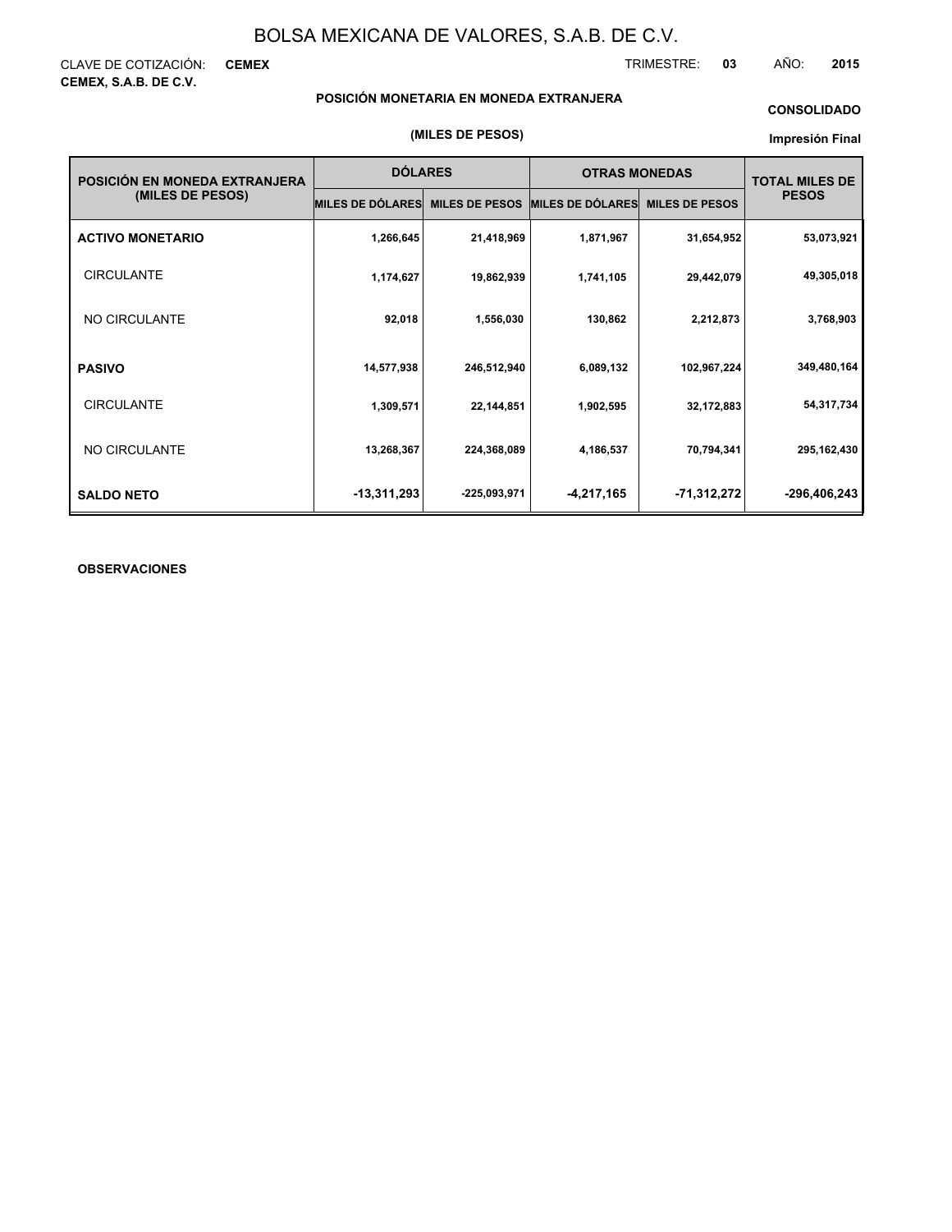CLAVE DE COTIZACIÓN: **CEMEX CEMEX, S.A.B. DE C.V.**

TRIMESTRE: **03** AÑO: **2015**

## **POSICIÓN MONETARIA EN MONEDA EXTRANJERA**

## **CONSOLIDADO**

#### **Impresión Final**

| POSICIÓN EN MONEDA EXTRANJERA | <b>DÓLARES</b>          |                       | <b>OTRAS MONEDAS</b> | <b>TOTAL MILES DE</b> |              |
|-------------------------------|-------------------------|-----------------------|----------------------|-----------------------|--------------|
| (MILES DE PESOS)              | <b>MILES DE DÓLARES</b> | <b>MILES DE PESOS</b> | MILES DE DÓLARES     | <b>MILES DE PESOS</b> | <b>PESOS</b> |
| <b>ACTIVO MONETARIO</b>       | 1,266,645               | 21,418,969            | 1,871,967            | 31,654,952            | 53,073,921   |
| <b>CIRCULANTE</b>             | 1,174,627               | 19,862,939            | 1,741,105            | 29,442,079            | 49,305,018   |
| NO CIRCULANTE                 | 92,018                  | 1,556,030             | 130,862              | 2,212,873             | 3,768,903    |
| <b>PASIVO</b>                 | 14,577,938              | 246,512,940           | 6,089,132            | 102,967,224           | 349,480,164  |
| <b>CIRCULANTE</b>             | 1,309,571               | 22,144,851            | 1,902,595            | 32,172,883            | 54,317,734   |
| NO CIRCULANTE                 | 13,268,367              | 224,368,089           | 4,186,537            | 70,794,341            | 295,162,430  |
| <b>SALDO NETO</b>             | $-13,311,293$           | -225,093,971          | $-4,217,165$         | -71,312,272           | -296,406,243 |

## **OBSERVACIONES**

#### **(MILES DE PESOS)**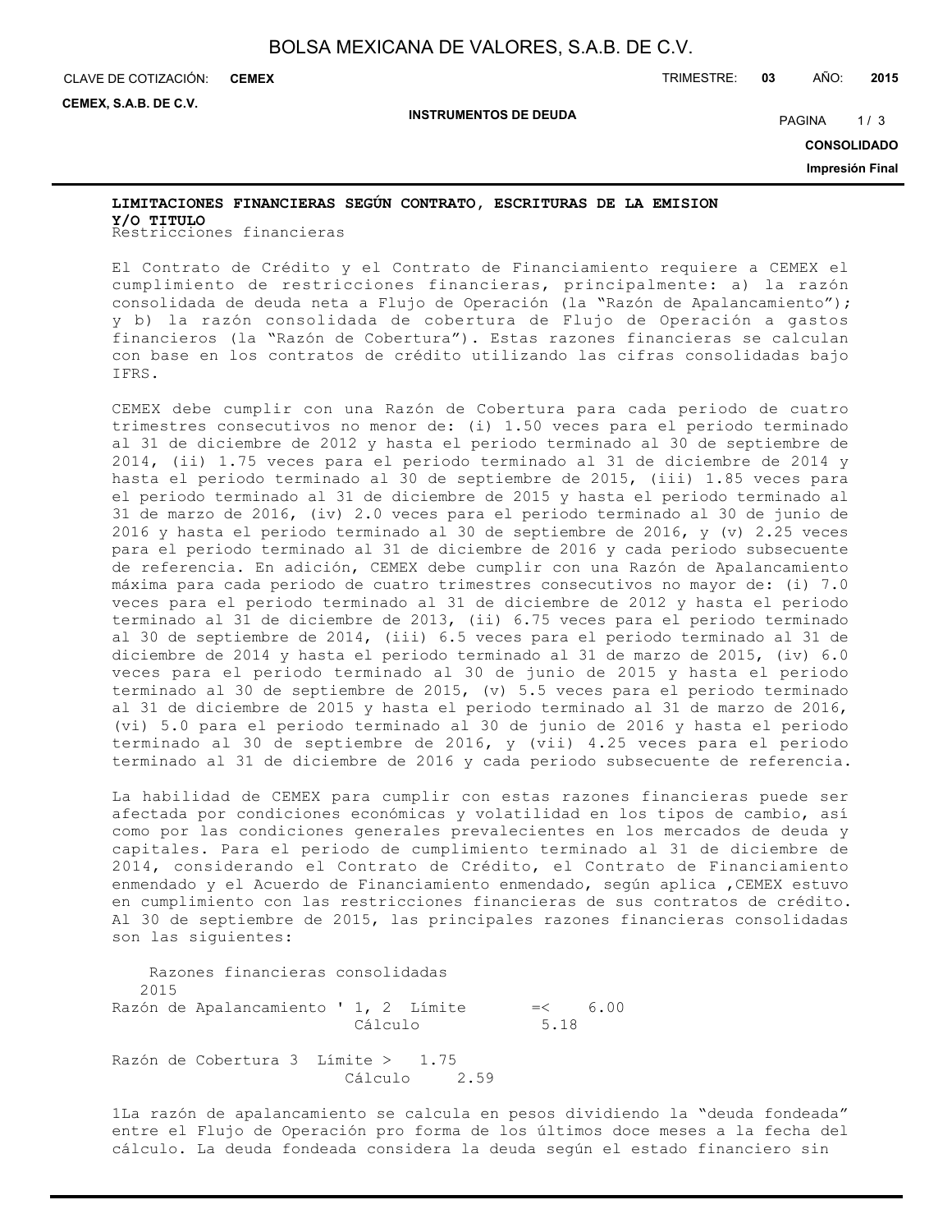**INSTRUMENTOS DE DEUDA**

CLAVE DE COTIZACIÓN: TRIMESTRE: **03** AÑO: **2015 CEMEX**

**CEMEX, S.A.B. DE C.V.**

PAGINA 1/3

**CONSOLIDADO**

**Impresión Final**

# Restricciones financieras **Y/O TITULOLIMITACIONES FINANCIERAS SEGÚN CONTRATO, ESCRITURAS DE LA EMISION**

El Contrato de Crédito y el Contrato de Financiamiento requiere a CEMEX el cumplimiento de restricciones financieras, principalmente: a) la razón consolidada de deuda neta a Flujo de Operación (la "Razón de Apalancamiento"); y b) la razón consolidada de cobertura de Flujo de Operación a gastos financieros (la "Razón de Cobertura"). Estas razones financieras se calculan con base en los contratos de crédito utilizando las cifras consolidadas bajo IFRS.

CEMEX debe cumplir con una Razón de Cobertura para cada periodo de cuatro trimestres consecutivos no menor de: (i) 1.50 veces para el periodo terminado al 31 de diciembre de 2012 y hasta el periodo terminado al 30 de septiembre de 2014, (ii) 1.75 veces para el periodo terminado al 31 de diciembre de 2014 y hasta el periodo terminado al 30 de septiembre de 2015, (iii) 1.85 veces para el periodo terminado al 31 de diciembre de 2015 y hasta el periodo terminado al 31 de marzo de 2016, (iv) 2.0 veces para el periodo terminado al 30 de junio de 2016 y hasta el periodo terminado al 30 de septiembre de 2016, y (v) 2.25 veces para el periodo terminado al 31 de diciembre de 2016 y cada periodo subsecuente de referencia. En adición, CEMEX debe cumplir con una Razón de Apalancamiento máxima para cada periodo de cuatro trimestres consecutivos no mayor de: (i) 7.0 veces para el periodo terminado al 31 de diciembre de 2012 y hasta el periodo terminado al 31 de diciembre de 2013, (ii) 6.75 veces para el periodo terminado al 30 de septiembre de 2014, (iii) 6.5 veces para el periodo terminado al 31 de diciembre de 2014 y hasta el periodo terminado al 31 de marzo de 2015, (iv) 6.0 veces para el periodo terminado al 30 de junio de 2015 y hasta el periodo terminado al 30 de septiembre de 2015, (v) 5.5 veces para el periodo terminado al 31 de diciembre de 2015 y hasta el periodo terminado al 31 de marzo de 2016, (vi) 5.0 para el periodo terminado al 30 de junio de 2016 y hasta el periodo terminado al 30 de septiembre de 2016, y (vii) 4.25 veces para el periodo terminado al 31 de diciembre de 2016 y cada periodo subsecuente de referencia.

La habilidad de CEMEX para cumplir con estas razones financieras puede ser afectada por condiciones económicas y volatilidad en los tipos de cambio, así como por las condiciones generales prevalecientes en los mercados de deuda y capitales. Para el periodo de cumplimiento terminado al 31 de diciembre de 2014, considerando el Contrato de Crédito, el Contrato de Financiamiento enmendado y el Acuerdo de Financiamiento enmendado, según aplica ,CEMEX estuvo en cumplimiento con las restricciones financieras de sus contratos de crédito. Al 30 de septiembre de 2015, las principales razones financieras consolidadas son las siguientes:

 Razones financieras consolidadas 2015 Razón de Apalancamiento ' 1, 2 Límite =< 6.00 Cálculo 5.18 Razón de Cobertura 3 Límite > 1.75 Cálculo 2.59

1La razón de apalancamiento se calcula en pesos dividiendo la "deuda fondeada" entre el Flujo de Operación pro forma de los últimos doce meses a la fecha del cálculo. La deuda fondeada considera la deuda según el estado financiero sin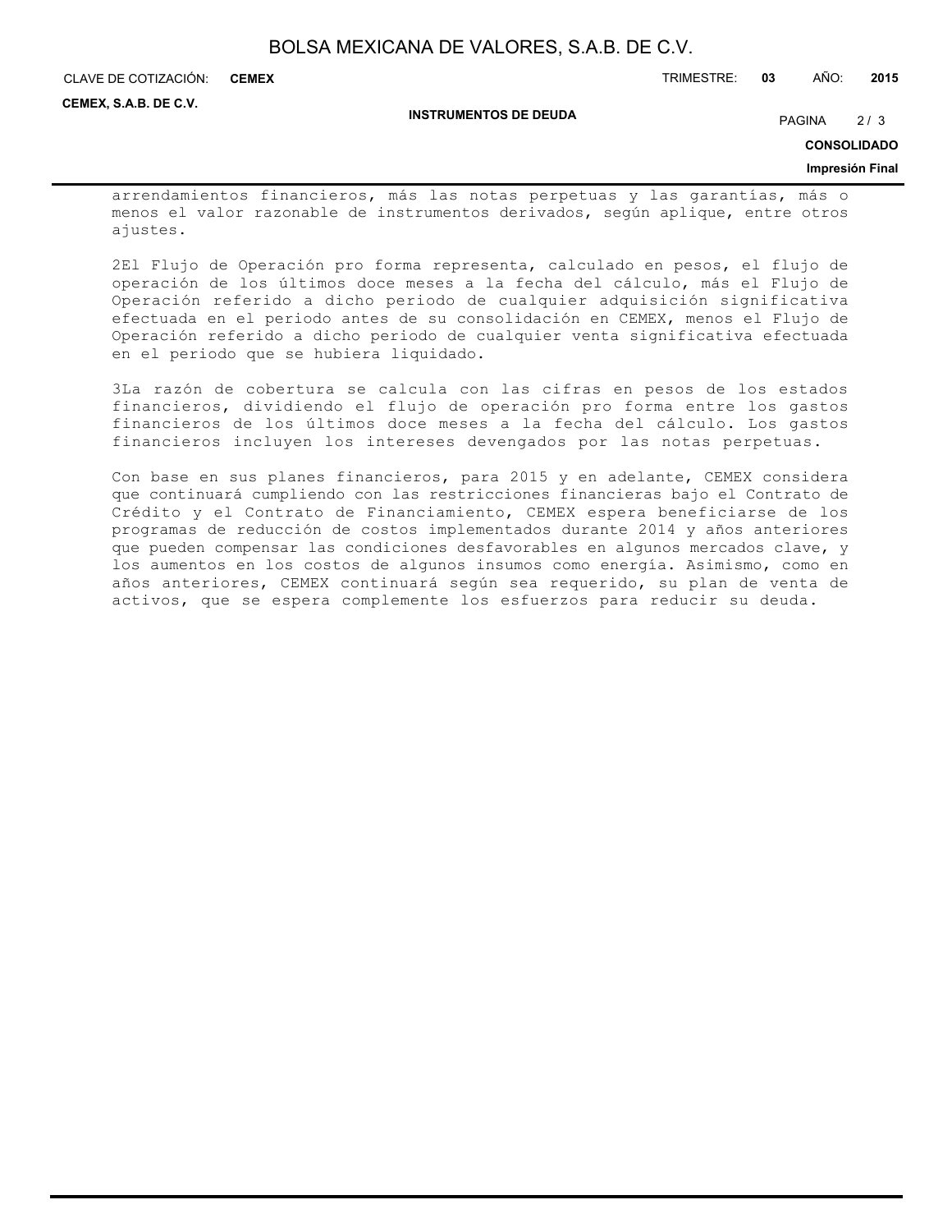| BOLSA MEXICANA DE VALORES, S.A.B. DE C.V. |  |  |  |  |  |  |
|-------------------------------------------|--|--|--|--|--|--|
|-------------------------------------------|--|--|--|--|--|--|

CLAVE DE COTIZACIÓN: TRIMESTRE: **03** AÑO: **2015 CEMEX**

**CEMEX, S.A.B. DE C.V.**

**INSTRUMENTOS DE DEUDA**

PAGINA 2/3

**CONSOLIDADO**

#### **Impresión Final**

arrendamientos financieros, más las notas perpetuas y las garantías, más o menos el valor razonable de instrumentos derivados, según aplique, entre otros ajustes.

2El Flujo de Operación pro forma representa, calculado en pesos, el flujo de operación de los últimos doce meses a la fecha del cálculo, más el Flujo de Operación referido a dicho periodo de cualquier adquisición significativa efectuada en el periodo antes de su consolidación en CEMEX, menos el Flujo de Operación referido a dicho periodo de cualquier venta significativa efectuada en el periodo que se hubiera liquidado.

3La razón de cobertura se calcula con las cifras en pesos de los estados financieros, dividiendo el flujo de operación pro forma entre los gastos financieros de los últimos doce meses a la fecha del cálculo. Los gastos financieros incluyen los intereses devengados por las notas perpetuas.

Con base en sus planes financieros, para 2015 y en adelante, CEMEX considera que continuará cumpliendo con las restricciones financieras bajo el Contrato de Crédito y el Contrato de Financiamiento, CEMEX espera beneficiarse de los programas de reducción de costos implementados durante 2014 y años anteriores que pueden compensar las condiciones desfavorables en algunos mercados clave, y los aumentos en los costos de algunos insumos como energía. Asimismo, como en años anteriores, CEMEX continuará según sea requerido, su plan de venta de activos, que se espera complemente los esfuerzos para reducir su deuda.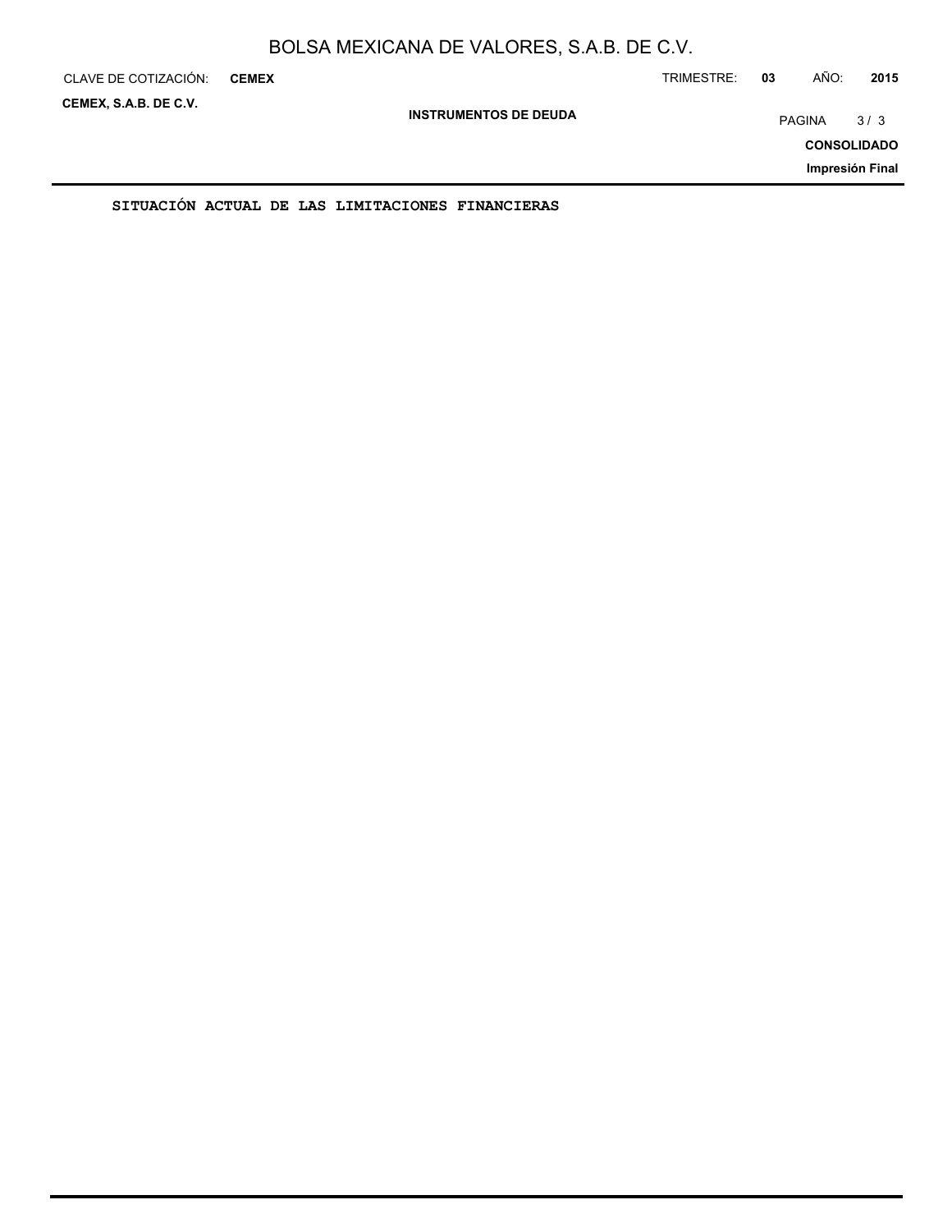| CLAVE DE COTIZACIÓN:  | <b>CEMEX</b> |                                                  |                              | TRIMESTRE: | 03 | AÑO:          | 2015               |
|-----------------------|--------------|--------------------------------------------------|------------------------------|------------|----|---------------|--------------------|
| CEMEX, S.A.B. DE C.V. |              |                                                  | <b>INSTRUMENTOS DE DEUDA</b> |            |    | <b>PAGINA</b> | 3/3                |
|                       |              |                                                  |                              |            |    |               | <b>CONSOLIDADO</b> |
|                       |              |                                                  |                              |            |    |               | Impresión Final    |
|                       |              | SITUACIÓN ACTUAL DE LAS LIMITACIONES FINANCIERAS |                              |            |    |               |                    |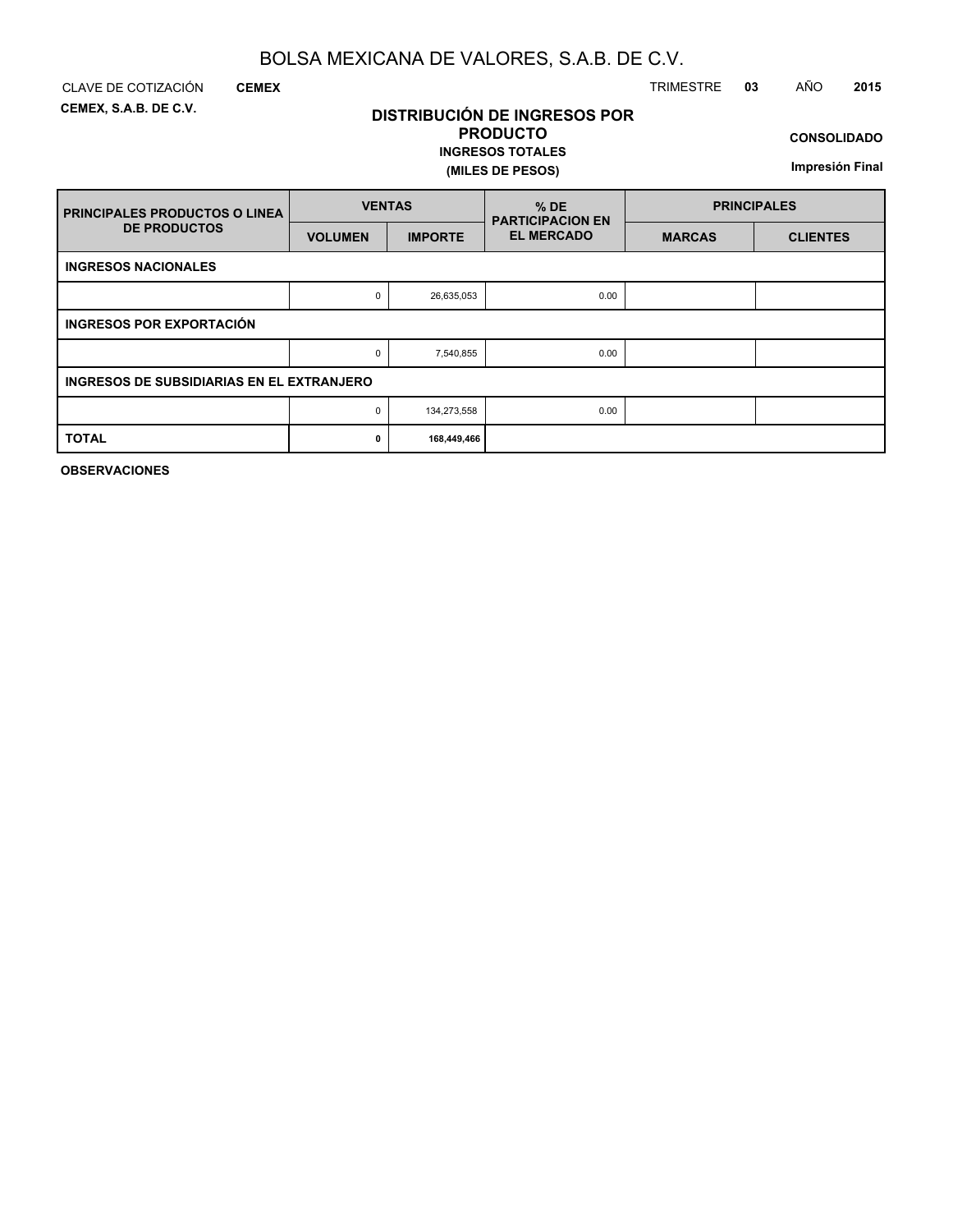**DISTRIBUCIÓN DE INGRESOS POR PRODUCTO**

**INGRESOS TOTALES**

**(MILES DE PESOS)**

**CEMEX, S.A.B. DE C.V.**

**CEMEX**

# CLAVE DE COTIZACIÓN TRIMESTRE **03** AÑO **2015**

**CONSOLIDADO**

**Impresión Final**

| <b>FRINCIPALES PRODUCTOS O LINEA</b>             | <b>VENTAS</b>  |                | $%$ DE<br><b>PARTICIPACION EN</b> | <b>PRINCIPALES</b> |                 |  |  |
|--------------------------------------------------|----------------|----------------|-----------------------------------|--------------------|-----------------|--|--|
| <b>DE PRODUCTOS</b>                              | <b>VOLUMEN</b> | <b>IMPORTE</b> | <b>EL MERCADO</b>                 | <b>MARCAS</b>      | <b>CLIENTES</b> |  |  |
| <b>INGRESOS NACIONALES</b>                       |                |                |                                   |                    |                 |  |  |
|                                                  | 0              | 26,635,053     | 0.00                              |                    |                 |  |  |
| <b>INGRESOS POR EXPORTACIÓN</b>                  |                |                |                                   |                    |                 |  |  |
|                                                  | 0              | 7,540,855      | 0.00                              |                    |                 |  |  |
| <b>INGRESOS DE SUBSIDIARIAS EN EL EXTRANJERO</b> |                |                |                                   |                    |                 |  |  |
|                                                  | 0              | 134,273,558    | 0.00                              |                    |                 |  |  |
| <b>TOTAL</b>                                     | 0              | 168,449,466    |                                   |                    |                 |  |  |

**OBSERVACIONES**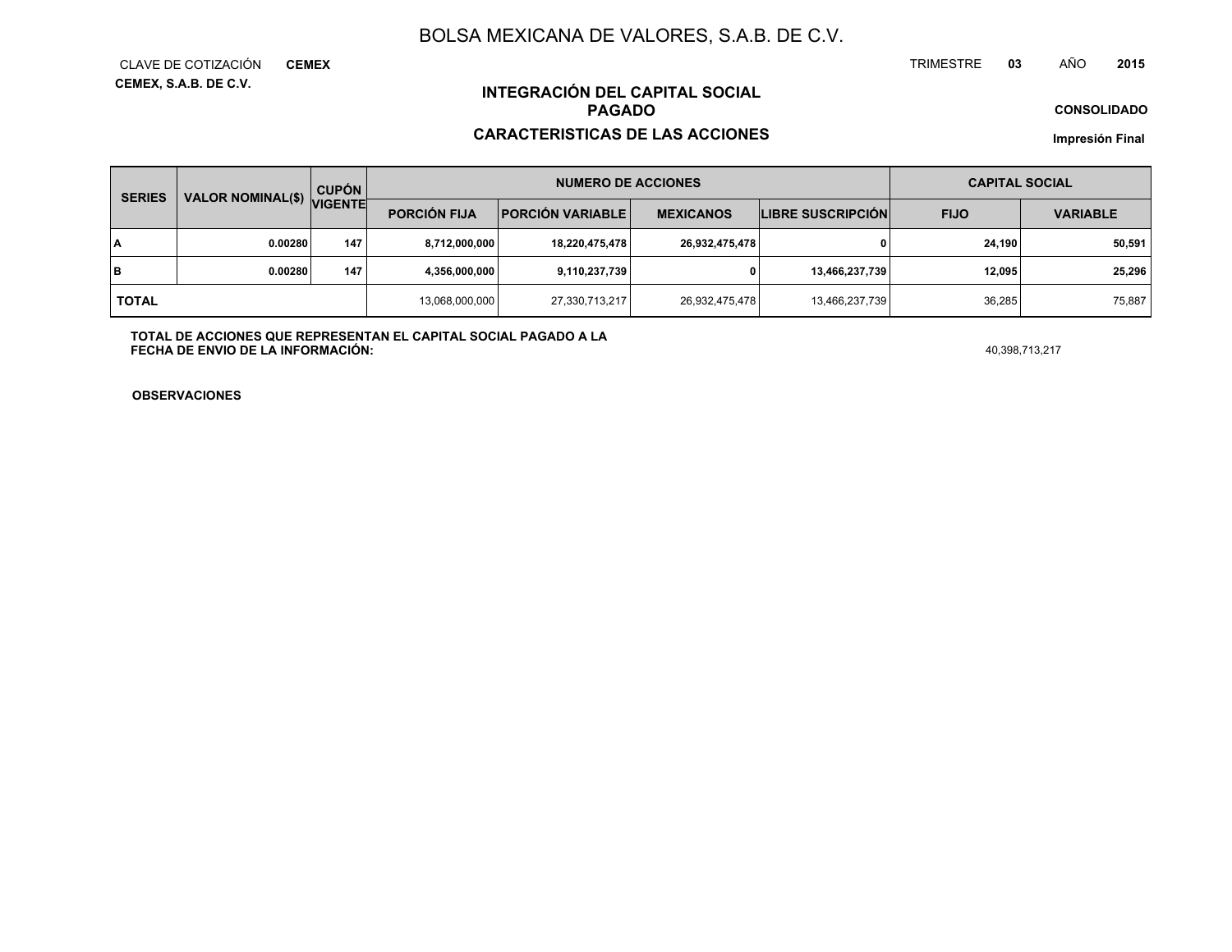**CEMEX, S.A.B. DE C.V.** CLAVE DE COTIZACIÓN**CEMEX**

#### TRIMESTRE **<sup>03</sup>** AÑO**<sup>2015</sup>**

**CONSOLIDADO**

## **INTEGRACIÓN DEL CAPITAL SOCIALPAGADO**

### **CARACTERISTICAS DE LAS ACCIONES**

**Impresión Final**

| <b>SERIES</b> | <b>VALOR NOMINAL(\$)</b> | <b>CUPÓN</b>   |                     | <b>NUMERO DE ACCIONES</b> | <b>CAPITAL SOCIAL</b> |                          |             |                 |  |
|---------------|--------------------------|----------------|---------------------|---------------------------|-----------------------|--------------------------|-------------|-----------------|--|
|               |                          | <b>VIGENTE</b> | <b>PORCIÓN FIJA</b> | <b>PORCIÓN VARIABLE</b>   | <b>MEXICANOS</b>      | <b>LIBRE SUSCRIPCIÓN</b> | <b>FIJO</b> | <b>VARIABLE</b> |  |
| l٨            | 0.00280                  | 147            | 8,712,000,000       | 18,220,475,478            | 26,932,475,478        |                          | 24.190      | 50.591          |  |
| lв            | 0.00280                  | 147            | 4,356,000,000       | 9,110,237,739             |                       | 13,466,237,739           | 12.095      | 25,296          |  |
| <b>TOTAL</b>  |                          |                | 13,068,000,000      | 27,330,713,217            | 26,932,475,478        | 13,466,237,739           | 36.285      | 75,887          |  |

**TOTAL DE ACCIONES QUE REPRESENTAN EL CAPITAL SOCIAL PAGADO A LAFECHA DE ENVIO DE LA INFORMACIÓN:**40,398,713,217

**OBSERVACIONES**